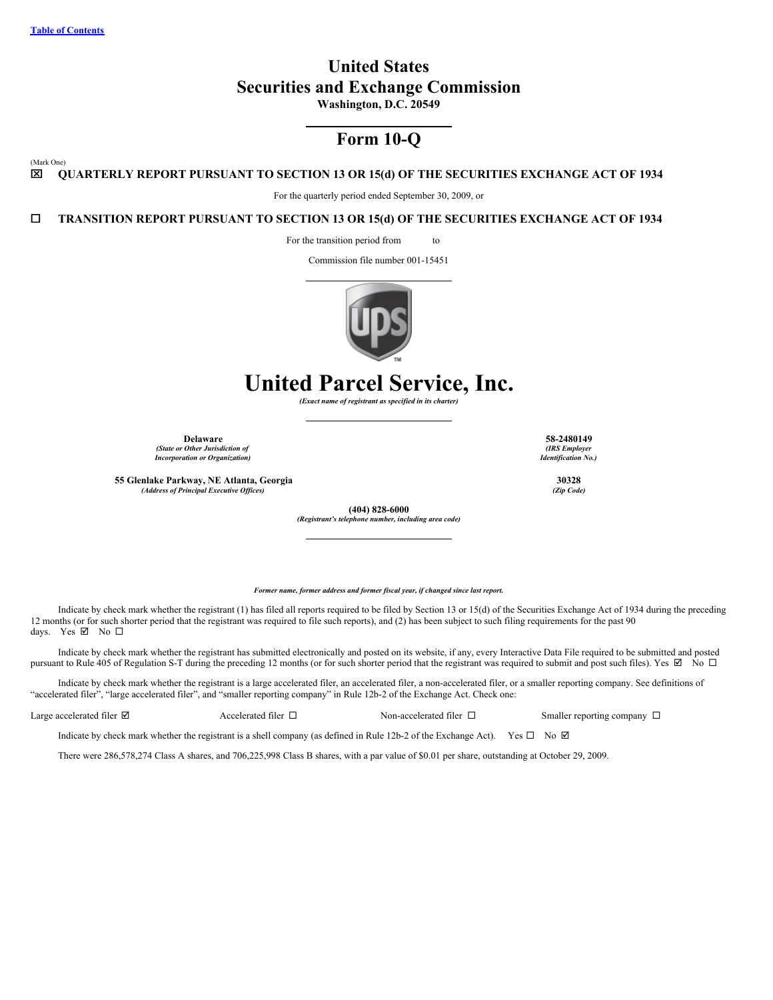## **United States Securities and Exchange Commission**

**Washington, D.C. 20549**

## **Form 10-Q**

<span id="page-0-0"></span>(Mark One)

## x **QUARTERLY REPORT PURSUANT TO SECTION 13 OR 15(d) OF THE SECURITIES EXCHANGE ACT OF 1934**

For the quarterly period ended September 30, 2009, or

## ¨ **TRANSITION REPORT PURSUANT TO SECTION 13 OR 15(d) OF THE SECURITIES EXCHANGE ACT OF 1934**

For the transition period from to

Commission file number 001-15451



# **United Parcel Service, Inc.**

*(Exact name of registrant as specified in its charter)*

*(State or Other Jurisdiction of Incorporation or Organization)*

**55 Glenlake Parkway, NE Atlanta, Georgia 30328**  $(A$ *ddress of Principal Executive Offices*)

**Delaware 58-2480149** *(IRS Employer Identification No.)*

**(404) 828-6000** *(Registrant's telephone number, including area code)*

*Former name, former address and former fiscal year, if changed since last report.*

Indicate by check mark whether the registrant (1) has filed all reports required to be filed by Section 13 or 15(d) of the Securities Exchange Act of 1934 during the preceding 12 months (or for such shorter period that the registrant was required to file such reports), and (2) has been subject to such filing requirements for the past 90 days. Yes Ø No □

Indicate by check mark whether the registrant has submitted electronically and posted on its website, if any, every Interactive Data File required to be submitted and posted pursuant to Rule 405 of Regulation S-T during the preceding 12 months (or for such shorter period that the registrant was required to submit and post such files). Yes  $\boxtimes$  No  $\Box$ 

Indicate by check mark whether the registrant is a large accelerated filer, an accelerated filer, a non-accelerated filer, or a smaller reporting company. See definitions of "accelerated filer", "large accelerated filer", and "smaller reporting company" in Rule 12b-2 of the Exchange Act. Check one:

Large accelerated filer  $\Box$  Accelerated filer  $\Box$  Non-accelerated filer  $\Box$  Smaller reporting company  $\Box$ 

Indicate by check mark whether the registrant is a shell company (as defined in Rule 12b-2 of the Exchange Act). Yes  $\Box$  No  $\Box$ 

There were 286,578,274 Class A shares, and 706,225,998 Class B shares, with a par value of \$0.01 per share, outstanding at October 29, 2009.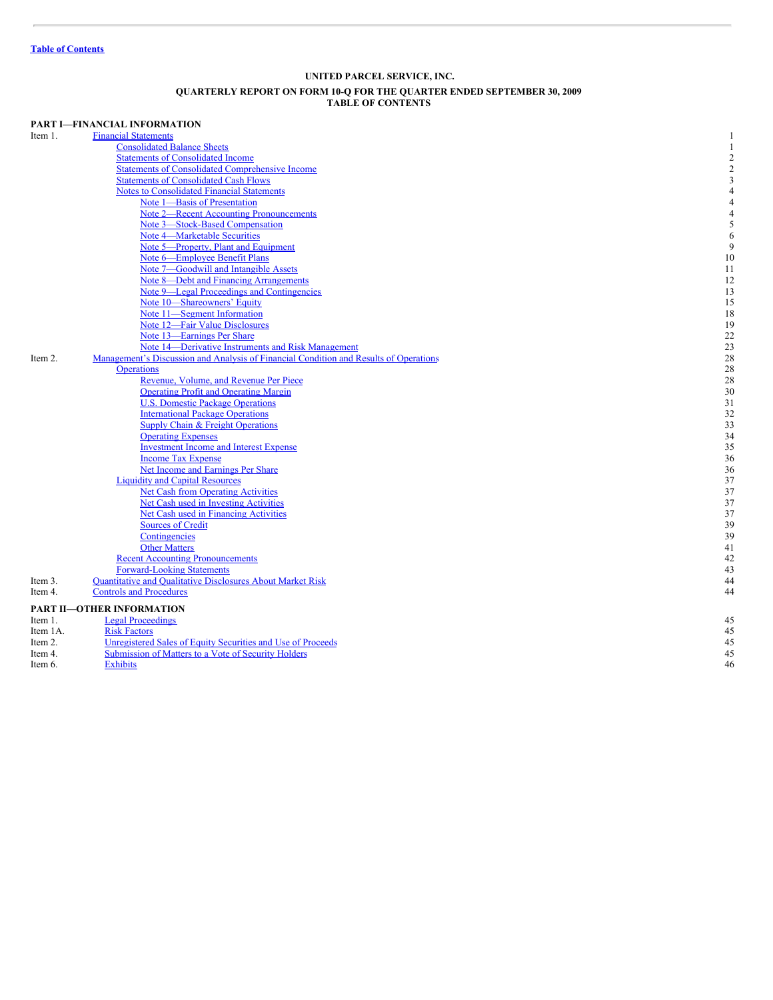## <span id="page-1-0"></span>**UNITED PARCEL SERVICE, INC.**

## **QUARTERLY REPORT ON FORM 10-Q FOR THE QUARTER ENDED SEPTEMBER 30, 2009**

### **TABLE OF CONTENTS**

|          | PART I-FINANCIAL INFORMATION                                                          |                |
|----------|---------------------------------------------------------------------------------------|----------------|
| Item 1.  | <b>Financial Statements</b>                                                           | -1             |
|          | <b>Consolidated Balance Sheets</b>                                                    | $\mathbf{1}$   |
|          | <b>Statements of Consolidated Income</b>                                              | $\overline{2}$ |
|          | <b>Statements of Consolidated Comprehensive Income</b>                                | $\overline{2}$ |
|          | <b>Statements of Consolidated Cash Flows</b>                                          | 3              |
|          | <b>Notes to Consolidated Financial Statements</b>                                     | $\overline{4}$ |
|          | Note 1-Basis of Presentation                                                          | $\overline{4}$ |
|          | <b>Note 2—Recent Accounting Pronouncements</b>                                        | $\overline{4}$ |
|          | <b>Note 3—Stock-Based Compensation</b>                                                | 5              |
|          | Note 4—Marketable Securities                                                          | 6              |
|          | Note 5—Property, Plant and Equipment                                                  | 9              |
|          | Note 6—Employee Benefit Plans                                                         | 10             |
|          | Note 7-Goodwill and Intangible Assets                                                 | 11             |
|          | Note 8—Debt and Financing Arrangements                                                | 12             |
|          | Note 9—Legal Proceedings and Contingencies                                            | 13             |
|          | Note 10—Shareowners' Equity                                                           | 15             |
|          | Note 11-Segment Information                                                           | 18             |
|          | <b>Note 12-Fair Value Disclosures</b>                                                 | 19             |
|          | Note 13-Earnings Per Share                                                            | 22             |
|          | Note 14—Derivative Instruments and Risk Management                                    | 23             |
| Item 2.  | Management's Discussion and Analysis of Financial Condition and Results of Operations | 28             |
|          | <b>Operations</b>                                                                     | 28             |
|          | Revenue, Volume, and Revenue Per Piece                                                | 28             |
|          | <b>Operating Profit and Operating Margin</b>                                          | 30             |
|          | <b>U.S. Domestic Package Operations</b>                                               | 31             |
|          | <b>International Package Operations</b>                                               | 32             |
|          | Supply Chain & Freight Operations                                                     | 33             |
|          | <b>Operating Expenses</b>                                                             | 34             |
|          | <b>Investment Income and Interest Expense</b>                                         | 35             |
|          | <b>Income Tax Expense</b>                                                             | 36             |
|          | Net Income and Earnings Per Share                                                     | 36             |
|          | <b>Liquidity and Capital Resources</b>                                                | 37             |
|          | <b>Net Cash from Operating Activities</b>                                             | 37             |
|          | Net Cash used in Investing Activities                                                 | 37             |
|          | <b>Net Cash used in Financing Activities</b>                                          | 37             |
|          | <b>Sources of Credit</b>                                                              | 39             |
|          | Contingencies                                                                         | 39             |
|          | <b>Other Matters</b>                                                                  | 41             |
|          | <b>Recent Accounting Pronouncements</b>                                               | 42             |
|          | <b>Forward-Looking Statements</b>                                                     | 43             |
| Item 3.  | <b>Quantitative and Qualitative Disclosures About Market Risk</b>                     | 44             |
| Item 4.  | <b>Controls and Procedures</b>                                                        | 44             |
|          |                                                                                       |                |
|          | <b>PART II-OTHER INFORMATION</b>                                                      |                |
| Item 1.  | <b>Legal Proceedings</b>                                                              | 45             |
| Item 1A. | <b>Risk Factors</b>                                                                   | 45             |
| Item 2.  | Unregistered Sales of Equity Securities and Use of Proceeds                           | 45             |
| Item 4.  | Submission of Matters to a Vote of Security Holders                                   | 45             |
| Item 6.  | <b>Exhibits</b>                                                                       | 46             |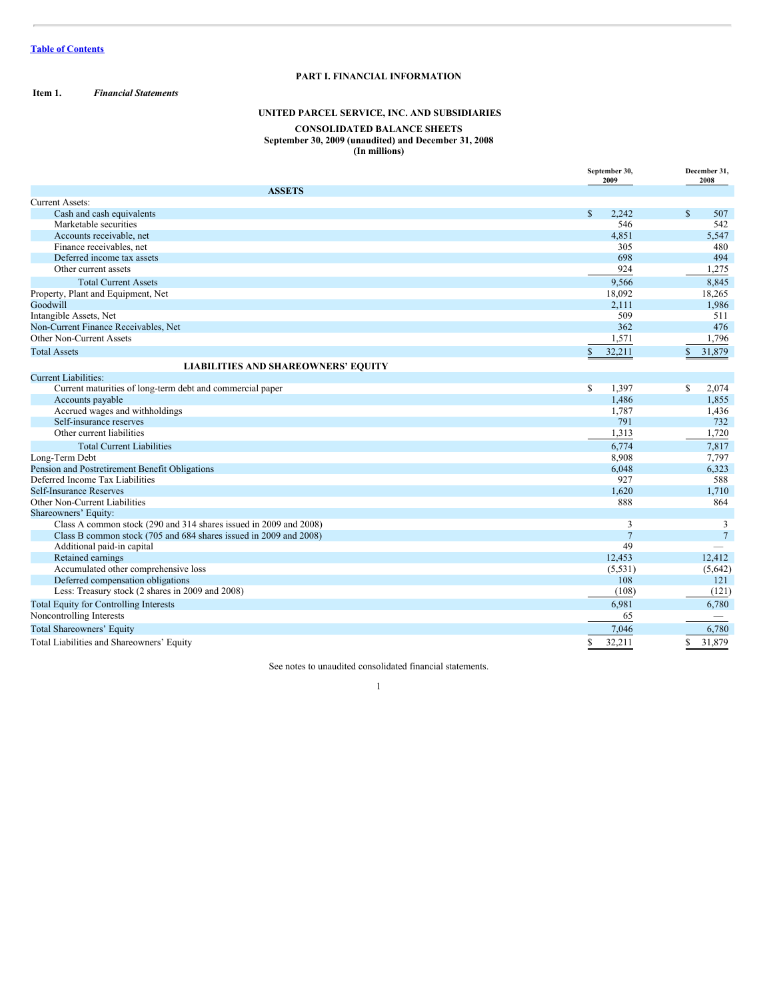## **PART I. FINANCIAL INFORMATION**

<span id="page-2-0"></span>**Item 1.** *Financial Statements*

## <span id="page-2-1"></span>**UNITED PARCEL SERVICE, INC. AND SUBSIDIARIES**

### **CONSOLIDATED BALANCE SHEETS September 30, 2009 (unaudited) and December 31, 2008 (In millions)**

|                                                                   | September 30,<br>2009  | December 31,<br>2008 |
|-------------------------------------------------------------------|------------------------|----------------------|
| <b>ASSETS</b>                                                     |                        |                      |
| <b>Current Assets:</b>                                            |                        |                      |
| Cash and cash equivalents                                         | $\mathbf S$<br>2,242   | $\mathbb{S}$<br>507  |
| Marketable securities                                             | 546                    | 542                  |
| Accounts receivable, net                                          | 4,851                  | 5,547                |
| Finance receivables, net                                          | 305                    | 480                  |
| Deferred income tax assets                                        | 698                    | 494                  |
| Other current assets                                              | 924                    | 1,275                |
| <b>Total Current Assets</b>                                       | 9.566                  | 8,845                |
| Property, Plant and Equipment, Net                                | 18,092                 | 18,265               |
| Goodwill                                                          | 2,111                  | 1,986                |
| Intangible Assets, Net                                            | 509                    | 511                  |
| Non-Current Finance Receivables, Net                              | 362                    | 476                  |
| Other Non-Current Assets                                          | 1,571                  | 1,796                |
| <b>Total Assets</b>                                               | $\mathbb{S}$<br>32,211 | S<br>31,879          |
| <b>LIABILITIES AND SHAREOWNERS' EQUITY</b>                        |                        |                      |
| <b>Current Liabilities:</b>                                       |                        |                      |
| Current maturities of long-term debt and commercial paper         | \$<br>1,397            | \$<br>2,074          |
| Accounts payable                                                  | 1,486                  | 1,855                |
| Accrued wages and withholdings                                    | 1,787                  | 1,436                |
| Self-insurance reserves                                           | 791                    | 732                  |
| Other current liabilities                                         | 1,313                  | 1,720                |
| <b>Total Current Liabilities</b>                                  | 6,774                  | 7,817                |
| Long-Term Debt                                                    | 8.908                  | 7,797                |
| Pension and Postretirement Benefit Obligations                    | 6,048                  | 6,323                |
| Deferred Income Tax Liabilities                                   | 927                    | 588                  |
| <b>Self-Insurance Reserves</b>                                    | 1.620                  | 1.710                |
| Other Non-Current Liabilities                                     | 888                    | 864                  |
| Shareowners' Equity:                                              |                        |                      |
| Class A common stock (290 and 314 shares issued in 2009 and 2008) | 3                      | 3                    |
| Class B common stock (705 and 684 shares issued in 2009 and 2008) | $\overline{7}$         | $\overline{7}$       |
| Additional paid-in capital                                        | 49                     |                      |
| Retained earnings                                                 | 12,453                 | 12,412               |
| Accumulated other comprehensive loss                              | (5,531)                | (5,642)              |
| Deferred compensation obligations                                 | 108                    | 121                  |
| Less: Treasury stock (2 shares in 2009 and 2008)                  | (108)                  | (121)                |
| <b>Total Equity for Controlling Interests</b>                     | 6,981                  | 6,780                |
| Noncontrolling Interests                                          | 65                     |                      |
| <b>Total Shareowners' Equity</b>                                  | 7,046                  | 6,780                |
| Total Liabilities and Shareowners' Equity                         | S<br>32,211            | 31.879<br>S          |

See notes to unaudited consolidated financial statements.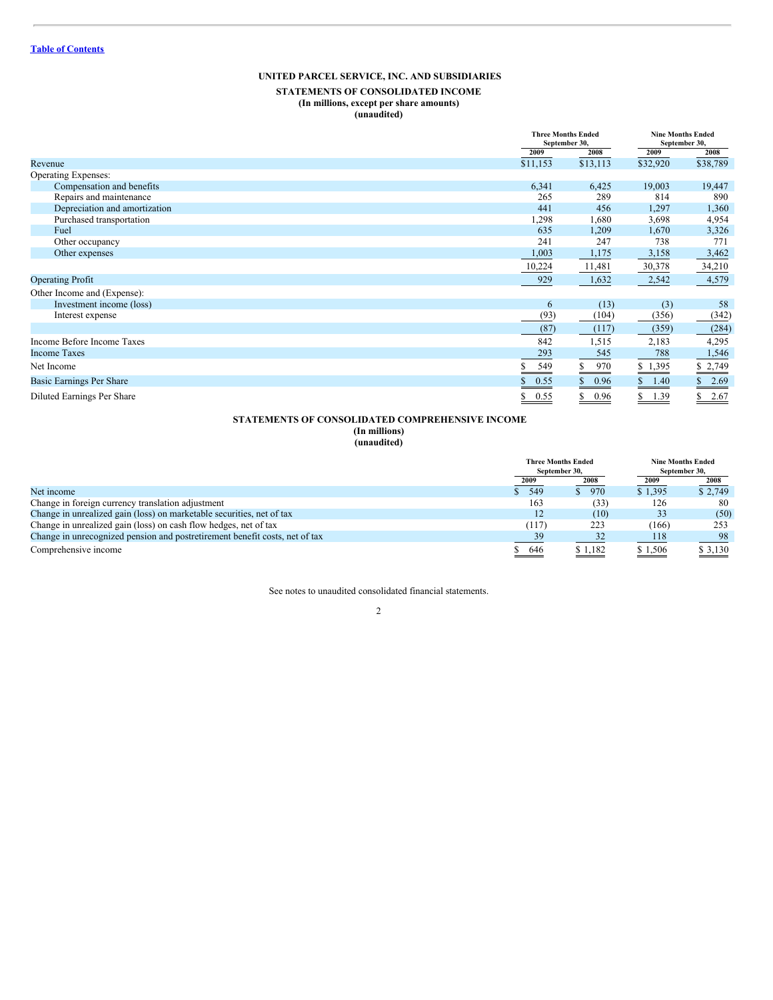## <span id="page-3-0"></span>**UNITED PARCEL SERVICE, INC. AND SUBSIDIARIES**

## **STATEMENTS OF CONSOLIDATED INCOME (In millions, except per share amounts)**

**(unaudited)**

|                               |            | <b>Three Months Ended</b><br>September 30, |           | <b>Nine Months Ended</b><br>September 30, |
|-------------------------------|------------|--------------------------------------------|-----------|-------------------------------------------|
|                               | 2009       | 2008                                       | 2009      | 2008                                      |
| Revenue                       | \$11,153   | \$13,113                                   | \$32,920  | \$38,789                                  |
| Operating Expenses:           |            |                                            |           |                                           |
| Compensation and benefits     | 6,341      | 6,425                                      | 19,003    | 19,447                                    |
| Repairs and maintenance       | 265        | 289                                        | 814       | 890                                       |
| Depreciation and amortization | 441        | 456                                        | 1,297     | 1,360                                     |
| Purchased transportation      | 1,298      | 1,680                                      | 3,698     | 4,954                                     |
| Fuel                          | 635        | 1,209                                      | 1,670     | 3,326                                     |
| Other occupancy               | 241        | 247                                        | 738       | 771                                       |
| Other expenses                | 1,003      | 1,175                                      | 3,158     | 3,462                                     |
|                               | 10,224     | 11,481                                     | 30,378    | 34,210                                    |
| <b>Operating Profit</b>       | 929        | 1,632                                      | 2,542     | 4,579                                     |
| Other Income and (Expense):   |            |                                            |           |                                           |
| Investment income (loss)      | 6          | (13)                                       | (3)       | 58                                        |
| Interest expense              | (93)       | (104)                                      | (356)     | (342)                                     |
|                               | (87)       | (117)                                      | (359)     | (284)                                     |
| Income Before Income Taxes    | 842        | 1,515                                      | 2,183     | 4,295                                     |
| <b>Income Taxes</b>           | 293        | 545                                        | 788       | 1,546                                     |
| Net Income                    | 549        | 970<br>S                                   | \$1,395   | 2,749<br>ъ                                |
| Basic Earnings Per Share      | 0.55       | 0.96                                       | 1.40      | 2.69                                      |
| Diluted Earnings Per Share    | 0.55<br>\$ | S<br>0.96                                  | S<br>1.39 | \$<br>2.67                                |

### <span id="page-3-1"></span>**STATEMENTS OF CONSOLIDATED COMPREHENSIVE INCOME (In millions) (unaudited)**

|                                                                             |       | <b>Three Months Ended</b><br>September 30, |         | <b>Nine Months Ended</b> |  |
|-----------------------------------------------------------------------------|-------|--------------------------------------------|---------|--------------------------|--|
|                                                                             |       |                                            |         | September 30,            |  |
|                                                                             | 2009  | 2008                                       | 2009    | 2008                     |  |
| Net income                                                                  | \$549 | \$970                                      | \$1.395 | \$2.749                  |  |
| Change in foreign currency translation adjustment                           | 163   | (33)                                       | 126     | 80                       |  |
| Change in unrealized gain (loss) on marketable securities, net of tax       | 12    | (10)                                       | 33      | (50)                     |  |
| Change in unrealized gain (loss) on cash flow hedges, net of tax            | (117) | 223                                        | (166)   | 253                      |  |
| Change in unrecognized pension and postretirement benefit costs, net of tax | 39    | 32                                         | 118     | 98                       |  |
| Comprehensive income                                                        | - 646 | \$1,182                                    | \$1,506 | \$3,130                  |  |

See notes to unaudited consolidated financial statements.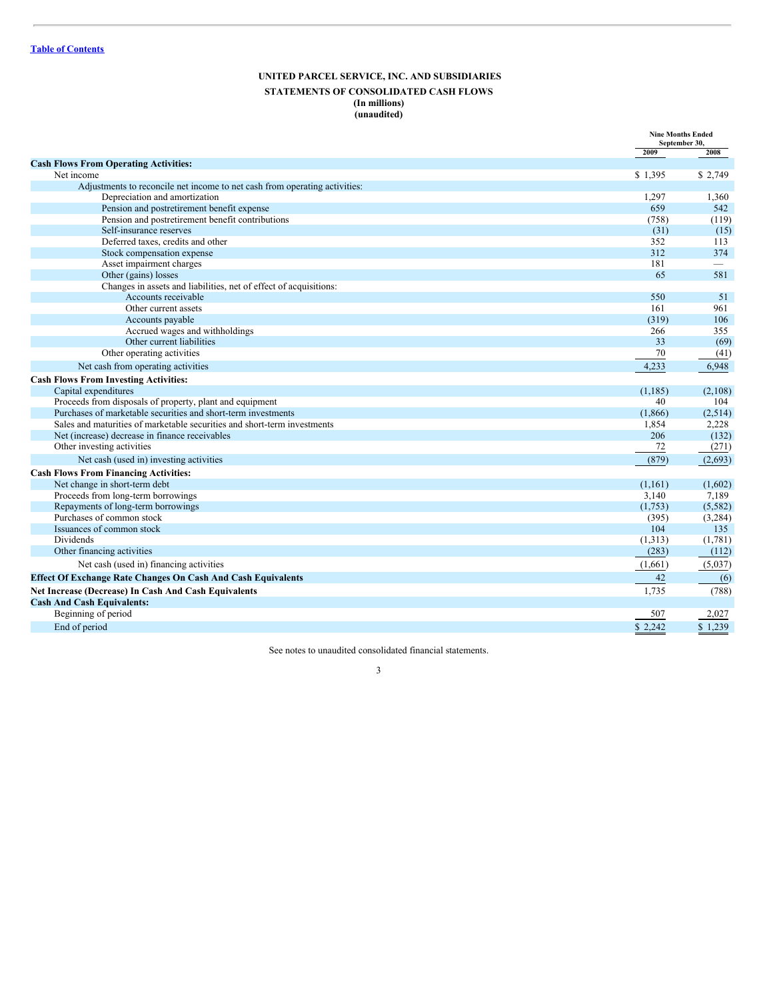## <span id="page-4-0"></span>**UNITED PARCEL SERVICE, INC. AND SUBSIDIARIES STATEMENTS OF CONSOLIDATED CASH FLOWS (In millions) (unaudited)**

| 2008<br>\$1,395<br>\$ 2,749<br>1,297<br>1,360<br>659<br>542<br>(758)<br>(119)<br>(31)<br>(15)<br>352<br>113<br>312<br>374<br>$\overline{\phantom{0}}$                                                                                   |
|-----------------------------------------------------------------------------------------------------------------------------------------------------------------------------------------------------------------------------------------|
|                                                                                                                                                                                                                                         |
|                                                                                                                                                                                                                                         |
|                                                                                                                                                                                                                                         |
|                                                                                                                                                                                                                                         |
|                                                                                                                                                                                                                                         |
|                                                                                                                                                                                                                                         |
|                                                                                                                                                                                                                                         |
|                                                                                                                                                                                                                                         |
|                                                                                                                                                                                                                                         |
|                                                                                                                                                                                                                                         |
| 581                                                                                                                                                                                                                                     |
|                                                                                                                                                                                                                                         |
| 51                                                                                                                                                                                                                                      |
| 961                                                                                                                                                                                                                                     |
| 106                                                                                                                                                                                                                                     |
| 355                                                                                                                                                                                                                                     |
| (69)                                                                                                                                                                                                                                    |
| (41)                                                                                                                                                                                                                                    |
| 6,948                                                                                                                                                                                                                                   |
|                                                                                                                                                                                                                                         |
| (2,108)                                                                                                                                                                                                                                 |
| 104                                                                                                                                                                                                                                     |
| (2,514)                                                                                                                                                                                                                                 |
| 2,228                                                                                                                                                                                                                                   |
| (132)                                                                                                                                                                                                                                   |
| (271)                                                                                                                                                                                                                                   |
| (2,693)                                                                                                                                                                                                                                 |
|                                                                                                                                                                                                                                         |
| (1,602)                                                                                                                                                                                                                                 |
| 7,189                                                                                                                                                                                                                                   |
| (5,582)                                                                                                                                                                                                                                 |
| (3, 284)                                                                                                                                                                                                                                |
| 135                                                                                                                                                                                                                                     |
| (1,781)                                                                                                                                                                                                                                 |
| (112)                                                                                                                                                                                                                                   |
| (5,037)                                                                                                                                                                                                                                 |
| (6)                                                                                                                                                                                                                                     |
| (788)                                                                                                                                                                                                                                   |
|                                                                                                                                                                                                                                         |
| 2,027                                                                                                                                                                                                                                   |
| \$1,239                                                                                                                                                                                                                                 |
| 181<br>65<br>550<br>161<br>(319)<br>266<br>33<br>70<br>4,233<br>(1, 185)<br>40<br>(1,866)<br>1,854<br>206<br>72<br>(879)<br>(1,161)<br>3,140<br>(1,753)<br>(395)<br>104<br>(1,313)<br>(283)<br>(1,661)<br>42<br>1,735<br>507<br>\$2,242 |

See notes to unaudited consolidated financial statements.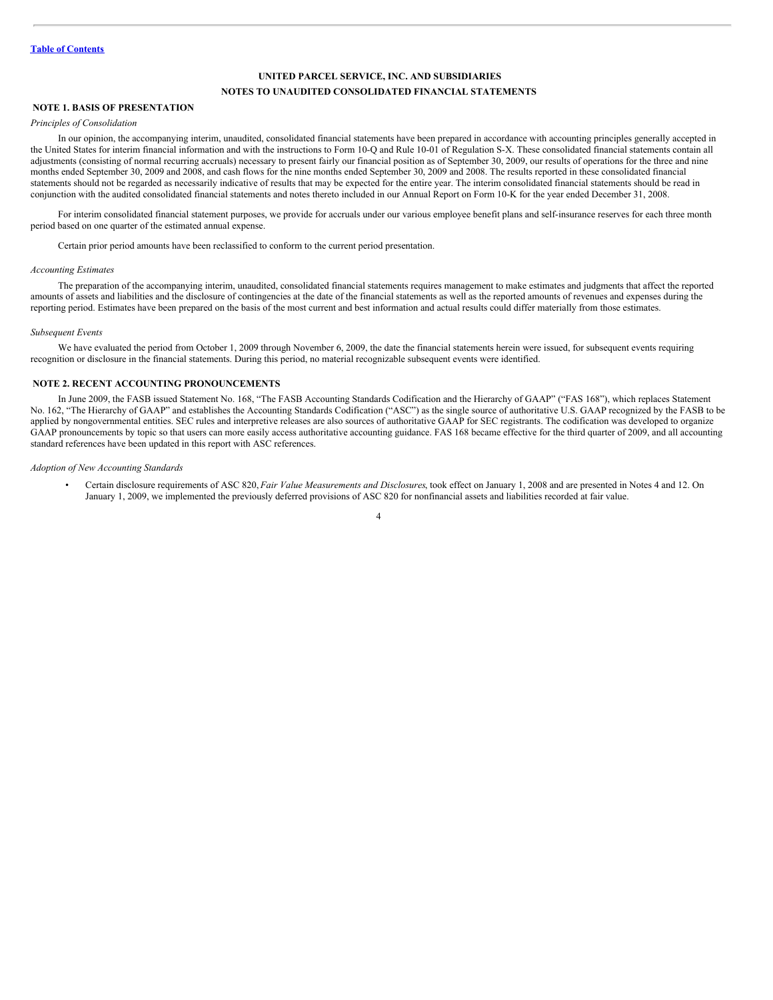### <span id="page-5-1"></span><span id="page-5-0"></span>**NOTE 1. BASIS OF PRESENTATION**

### *Principles of Consolidation*

In our opinion, the accompanying interim, unaudited, consolidated financial statements have been prepared in accordance with accounting principles generally accepted in the United States for interim financial information and with the instructions to Form 10-Q and Rule 10-01 of Regulation S-X. These consolidated financial statements contain all adjustments (consisting of normal recurring accruals) necessary to present fairly our financial position as of September 30, 2009, our results of operations for the three and nine months ended September 30, 2009 and 2008, and cash flows for the nine months ended September 30, 2009 and 2008. The results reported in these consolidated financial statements should not be regarded as necessarily indicative of results that may be expected for the entire year. The interim consolidated financial statements should be read in conjunction with the audited consolidated financial statements and notes thereto included in our Annual Report on Form 10-K for the year ended December 31, 2008.

For interim consolidated financial statement purposes, we provide for accruals under our various employee benefit plans and self-insurance reserves for each three month period based on one quarter of the estimated annual expense.

Certain prior period amounts have been reclassified to conform to the current period presentation.

### *Accounting Estimates*

The preparation of the accompanying interim, unaudited, consolidated financial statements requires management to make estimates and judgments that affect the reported amounts of assets and liabilities and the disclosure of contingencies at the date of the financial statements as well as the reported amounts of revenues and expenses during the reporting period. Estimates have been prepared on the basis of the most current and best information and actual results could differ materially from those estimates.

### *Subsequent Events*

We have evaluated the period from October 1, 2009 through November 6, 2009, the date the financial statements herein were issued, for subsequent events requiring recognition or disclosure in the financial statements. During this period, no material recognizable subsequent events were identified.

### <span id="page-5-2"></span>**NOTE 2. RECENT ACCOUNTING PRONOUNCEMENTS**

In June 2009, the FASB issued Statement No. 168, "The FASB Accounting Standards Codification and the Hierarchy of GAAP" ("FAS 168"), which replaces Statement No. 162, "The Hierarchy of GAAP" and establishes the Accounting Standards Codification ("ASC") as the single source of authoritative U.S. GAAP recognized by the FASB to be applied by nongovernmental entities. SEC rules and interpretive releases are also sources of authoritative GAAP for SEC registrants. The codification was developed to organize GAAP pronouncements by topic so that users can more easily access authoritative accounting guidance. FAS 168 became effective for the third quarter of 2009, and all accounting standard references have been updated in this report with ASC references.

#### *Adoption of New Accounting Standards*

• Certain disclosure requirements of ASC 820, *Fair Value Measurements and Disclosures*, took effect on January 1, 2008 and are presented in Notes 4 and 12. On January 1, 2009, we implemented the previously deferred provisions of ASC 820 for nonfinancial assets and liabilities recorded at fair value.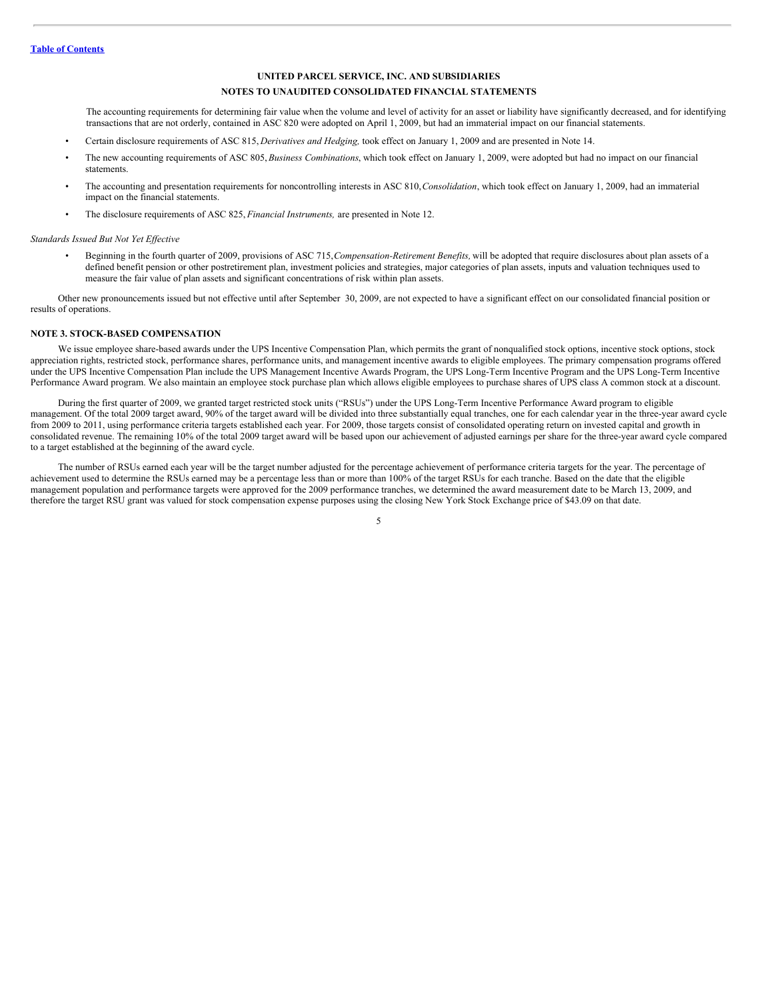The accounting requirements for determining fair value when the volume and level of activity for an asset or liability have significantly decreased, and for identifying transactions that are not orderly, contained in ASC 820 were adopted on April 1, 2009, but had an immaterial impact on our financial statements.

- Certain disclosure requirements of ASC 815, *Derivatives and Hedging,* took effect on January 1, 2009 and are presented in Note 14.
- The new accounting requirements of ASC 805, *Business Combinations*, which took effect on January 1, 2009, were adopted but had no impact on our financial statements.
- The accounting and presentation requirements for noncontrolling interests in ASC 810,*Consolidation*, which took effect on January 1, 2009, had an immaterial impact on the financial statements.
- The disclosure requirements of ASC 825, *Financial Instruments,* are presented in Note 12.

### *Standards Issued But Not Yet Ef ective*

• Beginning in the fourth quarter of 2009, provisions of ASC 715,*Compensation-Retirement Benefits,* will be adopted that require disclosures about plan assets of a defined benefit pension or other postretirement plan, investment policies and strategies, major categories of plan assets, inputs and valuation techniques used to measure the fair value of plan assets and significant concentrations of risk within plan assets.

Other new pronouncements issued but not effective until after September 30, 2009, are not expected to have a significant effect on our consolidated financial position or results of operations.

### **NOTE 3. STOCK-BASED COMPENSATION**

We issue employee share-based awards under the UPS Incentive Compensation Plan, which permits the grant of nonqualified stock options, incentive stock options, stock appreciation rights, restricted stock, performance shares, performance units, and management incentive awards to eligible employees. The primary compensation programs offered under the UPS Incentive Compensation Plan include the UPS Management Incentive Awards Program, the UPS Long-Term Incentive Program and the UPS Long-Term Incentive Performance Award program. We also maintain an employee stock purchase plan which allows eligible employees to purchase shares of UPS class A common stock at a discount.

During the first quarter of 2009, we granted target restricted stock units ("RSUs") under the UPS Long-Term Incentive Performance Award program to eligible management. Of the total 2009 target award, 90% of the target award will be divided into three substantially equal tranches, one for each calendar year in the three-year award cycle from 2009 to 2011, using performance criteria targets established each year. For 2009, those targets consist of consolidated operating return on invested capital and growth in consolidated revenue. The remaining 10% of the total 2009 target award will be based upon our achievement of adjusted earnings per share for the three-year award cycle compared to a target established at the beginning of the award cycle.

The number of RSUs earned each year will be the target number adjusted for the percentage achievement of performance criteria targets for the year. The percentage of achievement used to determine the RSUs earned may be a percentage less than or more than 100% of the target RSUs for each tranche. Based on the date that the eligible management population and performance targets were approved for the 2009 performance tranches, we determined the award measurement date to be March 13, 2009, and therefore the target RSU grant was valued for stock compensation expense purposes using the closing New York Stock Exchange price of \$43.09 on that date.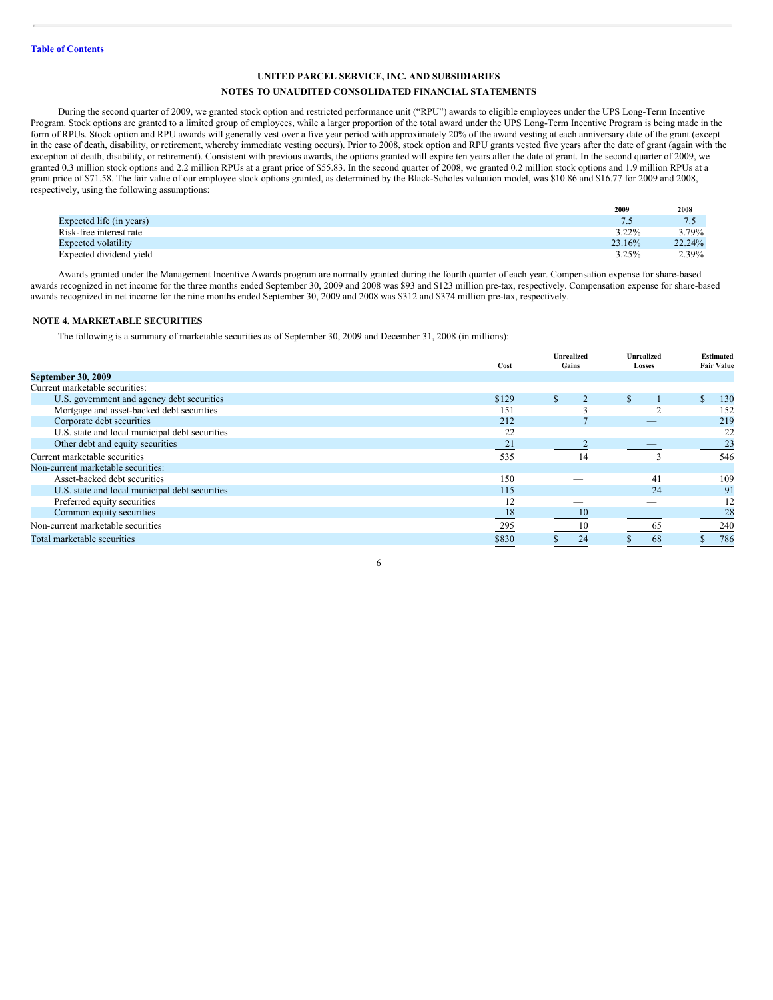## **UNITED PARCEL SERVICE, INC. AND SUBSIDIARIES**

## **NOTES TO UNAUDITED CONSOLIDATED FINANCIAL STATEMENTS**

During the second quarter of 2009, we granted stock option and restricted performance unit ("RPU") awards to eligible employees under the UPS Long-Term Incentive Program. Stock options are granted to a limited group of employees, while a larger proportion of the total award under the UPS Long-Term Incentive Program is being made in the form of RPUs. Stock option and RPU awards will generally vest over a five year period with approximately 20% of the award vesting at each anniversary date of the grant (except in the case of death, disability, or retirement, whereby immediate vesting occurs). Prior to 2008, stock option and RPU grants vested five years after the date of grant (again with the exception of death, disability, or retirement). Consistent with previous awards, the options granted will expire ten years after the date of grant. In the second quarter of 2009, we granted 0.3 million stock options and 2.2 million RPUs at a grant price of \$55.83. In the second quarter of 2008, we granted 0.2 million stock options and 1.9 million RPUs at a grant price of \$71.58. The fair value of our employee stock options granted, as determined by the Black-Scholes valuation model, was \$10.86 and \$16.77 for 2009 and 2008, respectively, using the following assumptions:

|                          | 2009    | $\frac{2008}{7.5}$ |
|--------------------------|---------|--------------------|
| Expected life (in years) | 75<br>. | $\cdot$            |
| Risk-free interest rate  | 3.22%   | 3.79%              |
| Expected volatility      | 23.16%  | 22.24%             |
| Expected dividend yield  | 3.25%   | 2.39%              |

Awards granted under the Management Incentive Awards program are normally granted during the fourth quarter of each year. Compensation expense for share-based awards recognized in net income for the three months ended September 30, 2009 and 2008 was \$93 and \$123 million pre-tax, respectively. Compensation expense for share-based awards recognized in net income for the nine months ended September 30, 2009 and 2008 was \$312 and \$374 million pre-tax, respectively.

### <span id="page-7-0"></span>**NOTE 4. MARKETABLE SECURITIES**

The following is a summary of marketable securities as of September 30, 2009 and December 31, 2008 (in millions):

|                                                | Cost         | Unrealized<br>Gains | <b>Unrealized</b><br><b>Losses</b> | <b>Estimated</b><br><b>Fair Value</b> |
|------------------------------------------------|--------------|---------------------|------------------------------------|---------------------------------------|
| <b>September 30, 2009</b>                      |              |                     |                                    |                                       |
| Current marketable securities:                 |              |                     |                                    |                                       |
| U.S. government and agency debt securities     | \$129        | <sup>\$</sup>       |                                    | 130                                   |
| Mortgage and asset-backed debt securities      | 151          |                     |                                    | 152                                   |
| Corporate debt securities                      | 212          |                     |                                    | 219                                   |
| U.S. state and local municipal debt securities | 22           |                     |                                    | 22                                    |
| Other debt and equity securities               | $\boxed{21}$ |                     |                                    | 23                                    |
| Current marketable securities                  | 535          | 14                  |                                    | 546                                   |
| Non-current marketable securities:             |              |                     |                                    |                                       |
| Asset-backed debt securities                   | 150          |                     | 41                                 | 109                                   |
| U.S. state and local municipal debt securities | 115          | _                   | 24                                 | 91                                    |
| Preferred equity securities                    | 12           | __                  |                                    | 12                                    |
| Common equity securities                       | 18           | 10                  |                                    | 28                                    |
| Non-current marketable securities              | 295          | 10                  | 65                                 | 240                                   |
| Total marketable securities                    | \$830        | 24                  | 68                                 | 786                                   |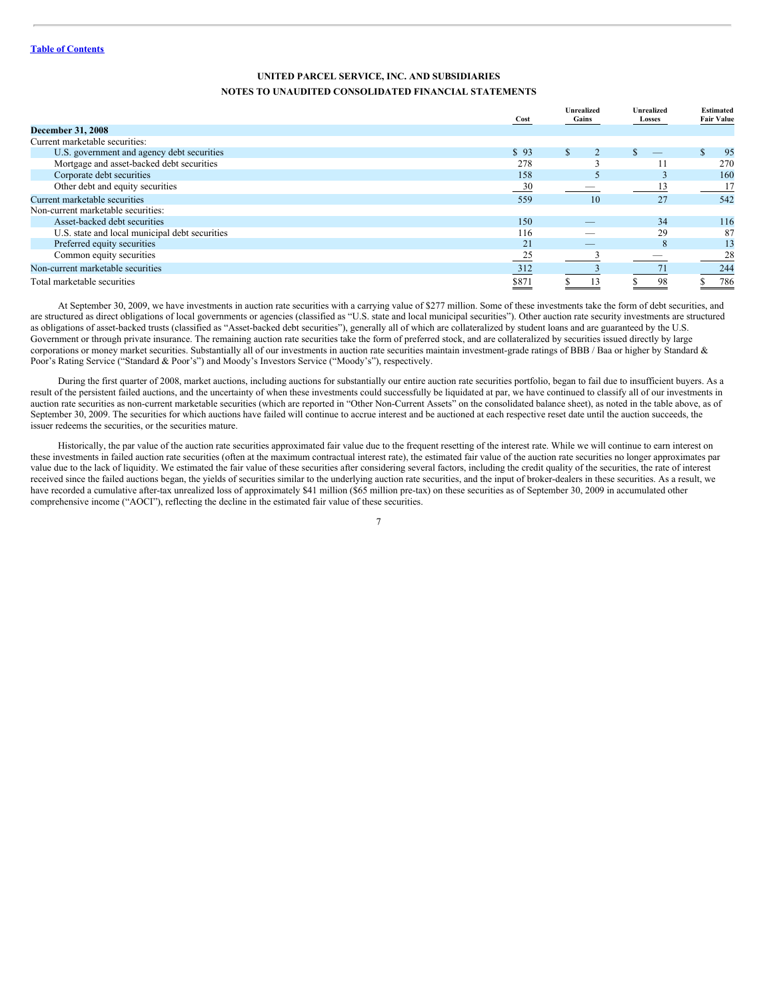|                                                | Cost           | <b>Unrealized</b><br>Gains | <b>Unrealized</b><br>Losses | <b>Estimated</b><br><b>Fair Value</b> |
|------------------------------------------------|----------------|----------------------------|-----------------------------|---------------------------------------|
| <b>December 31, 2008</b>                       |                |                            |                             |                                       |
| Current marketable securities:                 |                |                            |                             |                                       |
| U.S. government and agency debt securities     | \$93           |                            |                             | 95                                    |
| Mortgage and asset-backed debt securities      | 278            |                            |                             | 270                                   |
| Corporate debt securities                      | 158            |                            |                             | 160                                   |
| Other debt and equity securities               | $\frac{30}{2}$ |                            |                             | 17                                    |
| Current marketable securities                  | 559            | 10                         | 27                          | 542                                   |
| Non-current marketable securities:             |                |                            |                             |                                       |
| Asset-backed debt securities                   | 150            | _                          | 34                          | 116                                   |
| U.S. state and local municipal debt securities | 116            |                            | 29                          | 87                                    |
| Preferred equity securities                    | 21             |                            | 8                           | 13                                    |
| Common equity securities                       | $\frac{25}{2}$ |                            |                             | 28                                    |
| Non-current marketable securities              | 312            |                            |                             | 244                                   |
| Total marketable securities                    | \$871          | 13                         | 98                          | 786                                   |

At September 30, 2009, we have investments in auction rate securities with a carrying value of \$277 million. Some of these investments take the form of debt securities, and are structured as direct obligations of local governments or agencies (classified as "U.S. state and local municipal securities"). Other auction rate security investments are structured as obligations of asset-backed trusts (classified as "Asset-backed debt securities"), generally all of which are collateralized by student loans and are guaranteed by the U.S. Government or through private insurance. The remaining auction rate securities take the form of preferred stock, and are collateralized by securities issued directly by large corporations or money market securities. Substantially all of our investments in auction rate securities maintain investment-grade ratings of BBB / Baa or higher by Standard & Poor's Rating Service ("Standard & Poor's") and Moody's Investors Service ("Moody's"), respectively.

During the first quarter of 2008, market auctions, including auctions for substantially our entire auction rate securities portfolio, began to fail due to insufficient buyers. As a result of the persistent failed auctions, and the uncertainty of when these investments could successfully be liquidated at par, we have continued to classify all of our investments in auction rate securities as non-current marketable securities (which are reported in "Other Non-Current Assets" on the consolidated balance sheet), as noted in the table above, as of September 30, 2009. The securities for which auctions have failed will continue to accrue interest and be auctioned at each respective reset date until the auction succeeds, the issuer redeems the securities, or the securities mature.

Historically, the par value of the auction rate securities approximated fair value due to the frequent resetting of the interest rate. While we will continue to earn interest on these investments in failed auction rate securities (often at the maximum contractual interest rate), the estimated fair value of the auction rate securities no longer approximates par value due to the lack of liquidity. We estimated the fair value of these securities after considering several factors, including the credit quality of the securities, the rate of interest received since the failed auctions began, the yields of securities similar to the underlying auction rate securities, and the input of broker-dealers in these securities. As a result, we have recorded a cumulative after-tax unrealized loss of approximately \$41 million (\$65 million pre-tax) on these securities as of September 30, 2009 in accumulated other comprehensive income ("AOCI"), reflecting the decline in the estimated fair value of these securities.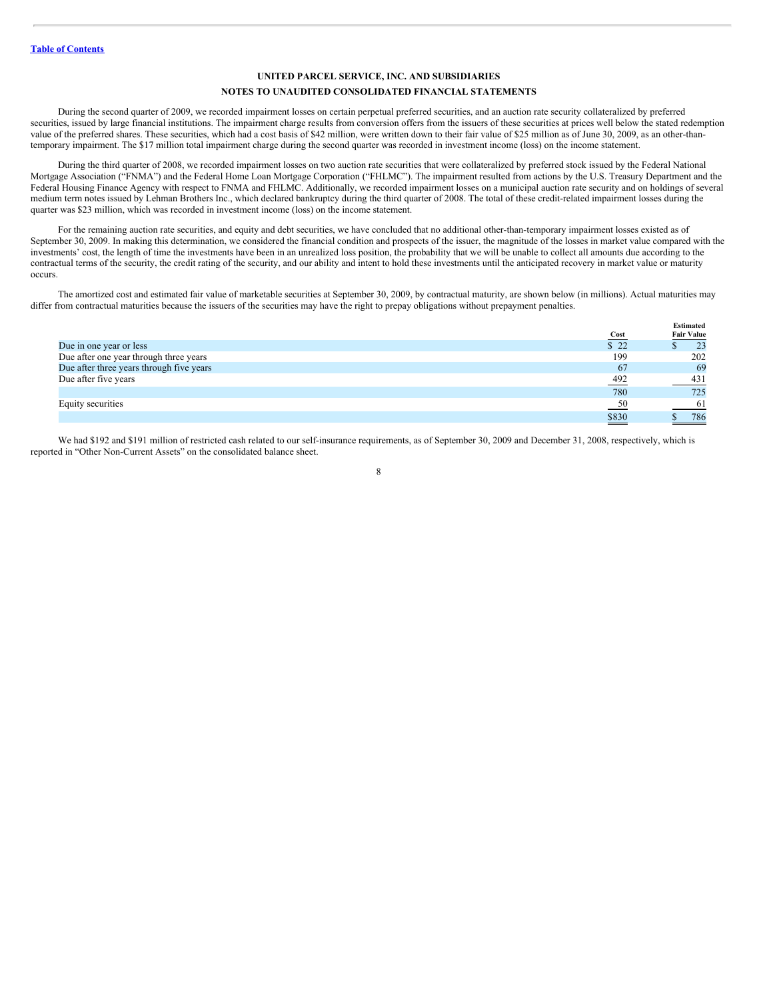During the second quarter of 2009, we recorded impairment losses on certain perpetual preferred securities, and an auction rate security collateralized by preferred securities, issued by large financial institutions. The impairment charge results from conversion offers from the issuers of these securities at prices well below the stated redemption value of the preferred shares. These securities, which had a cost basis of \$42 million, were written down to their fair value of \$25 million as of June 30, 2009, as an other-thantemporary impairment. The \$17 million total impairment charge during the second quarter was recorded in investment income (loss) on the income statement.

During the third quarter of 2008, we recorded impairment losses on two auction rate securities that were collateralized by preferred stock issued by the Federal National Mortgage Association ("FNMA") and the Federal Home Loan Mortgage Corporation ("FHLMC"). The impairment resulted from actions by the U.S. Treasury Department and the Federal Housing Finance Agency with respect to FNMA and FHLMC. Additionally, we recorded impairment losses on a municipal auction rate security and on holdings of several medium term notes issued by Lehman Brothers Inc., which declared bankruptcy during the third quarter of 2008. The total of these credit-related impairment losses during the quarter was \$23 million, which was recorded in investment income (loss) on the income statement.

For the remaining auction rate securities, and equity and debt securities, we have concluded that no additional other-than-temporary impairment losses existed as of September 30, 2009. In making this determination, we considered the financial condition and prospects of the issuer, the magnitude of the losses in market value compared with the investments' cost, the length of time the investments have been in an unrealized loss position, the probability that we will be unable to collect all amounts due according to the contractual terms of the security, the credit rating of the security, and our ability and intent to hold these investments until the anticipated recovery in market value or maturity occurs.

The amortized cost and estimated fair value of marketable securities at September 30, 2009, by contractual maturity, are shown below (in millions). Actual maturities may differ from contractual maturities because the issuers of the securities may have the right to prepay obligations without prepayment penalties.

|                                          |             | <b>Estimated</b>  |
|------------------------------------------|-------------|-------------------|
|                                          | <b>Cost</b> | <b>Fair Value</b> |
| Due in one year or less                  | \$22        | 23                |
| Due after one year through three years   | 199         | 202               |
| Due after three years through five years | 67          | 69                |
| Due after five years                     | 492         | 431               |
|                                          | 780         | 725               |
| Equity securities                        | 50          | -61               |
|                                          | \$830       | 786               |

We had \$192 and \$191 million of restricted cash related to our self-insurance requirements, as of September 30, 2009 and December 31, 2008, respectively, which is reported in "Other Non-Current Assets" on the consolidated balance sheet.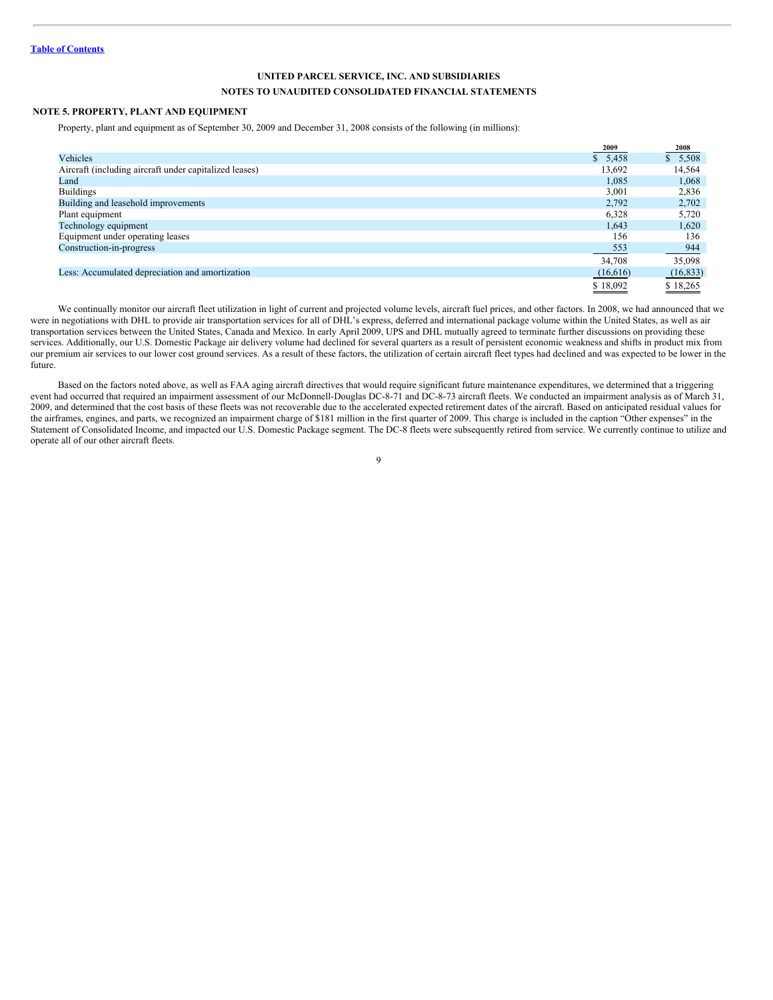## <span id="page-10-0"></span>**NOTE 5. PROPERTY, PLANT AND EQUIPMENT**

Property, plant and equipment as of September 30, 2009 and December 31, 2008 consists of the following (in millions):

|                                                        | 2009     | 2008      |
|--------------------------------------------------------|----------|-----------|
| Vehicles                                               | \$5,458  | \$5,508   |
| Aircraft (including aircraft under capitalized leases) | 13,692   | 14,564    |
| Land                                                   | 1.085    | 1,068     |
| <b>Buildings</b>                                       | 3,001    | 2,836     |
| Building and leasehold improvements                    | 2,792    | 2,702     |
| Plant equipment                                        | 6,328    | 5,720     |
| Technology equipment                                   | 1.643    | 1,620     |
| Equipment under operating leases                       | 156      | 136       |
| Construction-in-progress                               | 553      | 944       |
|                                                        | 34,708   | 35,098    |
| Less: Accumulated depreciation and amortization        | (16,616) | (16, 833) |
|                                                        | \$18,092 | \$18,265  |

We continually monitor our aircraft fleet utilization in light of current and projected volume levels, aircraft fuel prices, and other factors. In 2008, we had announced that we were in negotiations with DHL to provide air transportation services for all of DHL's express, deferred and international package volume within the United States, as well as air transportation services between the United States, Canada and Mexico. In early April 2009, UPS and DHL mutually agreed to terminate further discussions on providing these services. Additionally, our U.S. Domestic Package air delivery volume had declined for several quarters as a result of persistent economic weakness and shifts in product mix from our premium air services to our lower cost ground services. As a result of these factors, the utilization of certain aircraft fleet types had declined and was expected to be lower in the future.

Based on the factors noted above, as well as FAA aging aircraft directives that would require significant future maintenance expenditures, we determined that a triggering event had occurred that required an impairment assessment of our McDonnell-Douglas DC-8-71 and DC-8-73 aircraft fleets. We conducted an impairment analysis as of March 31, 2009, and determined that the cost basis of these fleets was not recoverable due to the accelerated expected retirement dates of the aircraft. Based on anticipated residual values for the airframes, engines, and parts, we recognized an impairment charge of \$181 million in the first quarter of 2009. This charge is included in the caption "Other expenses" in the Statement of Consolidated Income, and impacted our U.S. Domestic Package segment. The DC-8 fleets were subsequently retired from service. We currently continue to utilize and operate all of our other aircraft fleets.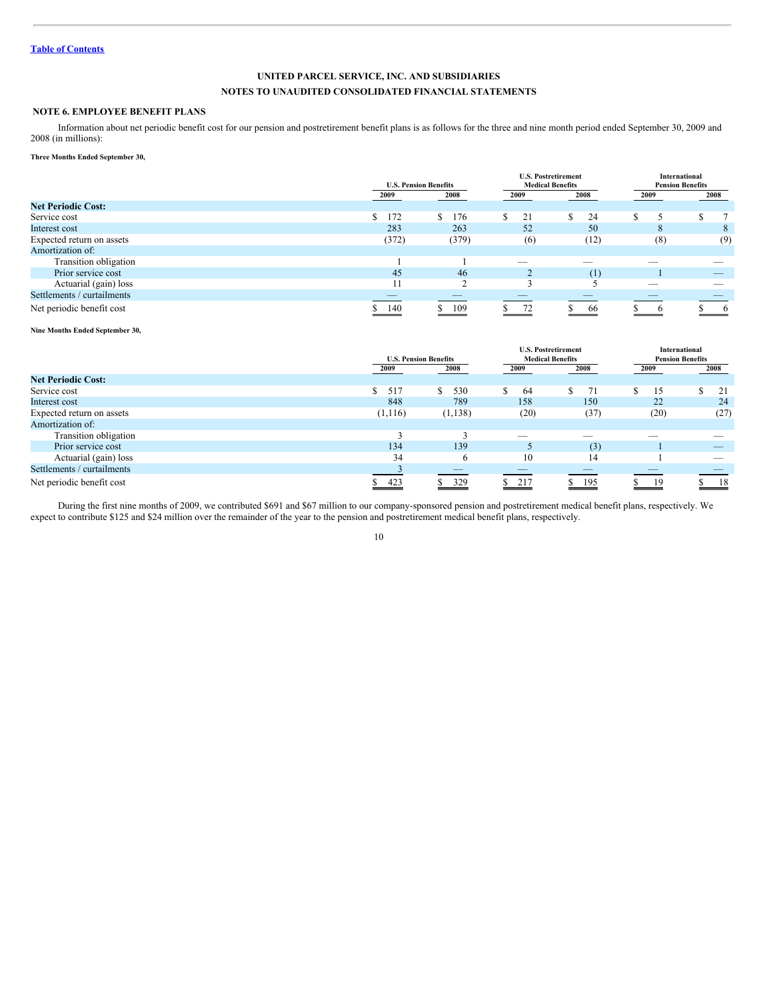## <span id="page-11-0"></span>**NOTE 6. EMPLOYEE BENEFIT PLANS**

Information about net periodic benefit cost for our pension and postretirement benefit plans is as follows for the three and nine month period ended September 30, 2009 and 2008 (in millions):

### **Three Months Ended September 30,**

|                            |       | <b>U.S. Pension Benefits</b> |                          | <b>U.S. Postretirement</b><br><b>Medical Benefits</b> |      | <b>International</b><br><b>Pension Benefits</b> |  |
|----------------------------|-------|------------------------------|--------------------------|-------------------------------------------------------|------|-------------------------------------------------|--|
|                            | 2009  | 2008                         | 2009                     | 2008                                                  | 2009 | 2008                                            |  |
| <b>Net Periodic Cost:</b>  |       |                              |                          |                                                       |      |                                                 |  |
| Service cost               | 172   | 176                          | 21                       | 24                                                    |      |                                                 |  |
| Interest cost              | 283   | 263                          | 52                       | 50                                                    | 8    | 8                                               |  |
| Expected return on assets  | (372) | (379)                        | (6)                      | (12)                                                  | (8)  | (9)                                             |  |
| Amortization of:           |       |                              |                          |                                                       |      |                                                 |  |
| Transition obligation      |       |                              | $\overline{\phantom{a}}$ |                                                       |      |                                                 |  |
| Prior service cost         | 45    | 46                           |                          | $\left(1\right)$                                      |      |                                                 |  |
| Actuarial (gain) loss      | 11    | $\bigcirc$                   |                          |                                                       | __   |                                                 |  |
| Settlements / curtailments | _     |                              |                          |                                                       |      |                                                 |  |
| Net periodic benefit cost  | 140   | 109                          | 72                       | -66                                                   |      | 6                                               |  |

### **Nine Months Ended September 30,**

|                            |           | <b>U.S. Pension Benefits</b> |                          | <b>U.S. Postretirement</b><br><b>Medical Benefits</b> |      | <b>International</b><br><b>Pension Benefits</b> |  |
|----------------------------|-----------|------------------------------|--------------------------|-------------------------------------------------------|------|-------------------------------------------------|--|
|                            | 2009      | 2008                         | 2009                     | 2008                                                  | 2009 | 2008                                            |  |
| <b>Net Periodic Cost:</b>  |           |                              |                          |                                                       |      |                                                 |  |
| Service cost               | S.<br>517 | 530                          | 64                       | -71<br>S                                              | 15   | 21                                              |  |
| Interest cost              | 848       | 789                          | 158                      | 150                                                   | 22   | 24                                              |  |
| Expected return on assets  | (1,116)   | (1,138)                      | (20)                     | (37)                                                  | (20) | (27)                                            |  |
| Amortization of:           |           |                              |                          |                                                       |      |                                                 |  |
| Transition obligation      |           | ٠                            | $\overline{\phantom{a}}$ |                                                       |      |                                                 |  |
| Prior service cost         | 134       | 139                          |                          | (3)                                                   |      | $\overline{\phantom{a}}$                        |  |
| Actuarial (gain) loss      | 34        | $\sigma$                     | 10                       | 14                                                    |      |                                                 |  |
| Settlements / curtailments |           | __                           |                          |                                                       |      |                                                 |  |
| Net periodic benefit cost  | 423       | 329                          | 217                      | 195<br>D                                              | 19   | 18                                              |  |

During the first nine months of 2009, we contributed \$691 and \$67 million to our company-sponsored pension and postretirement medical benefit plans, respectively. We expect to contribute \$125 and \$24 million over the remainder of the year to the pension and postretirement medical benefit plans, respectively.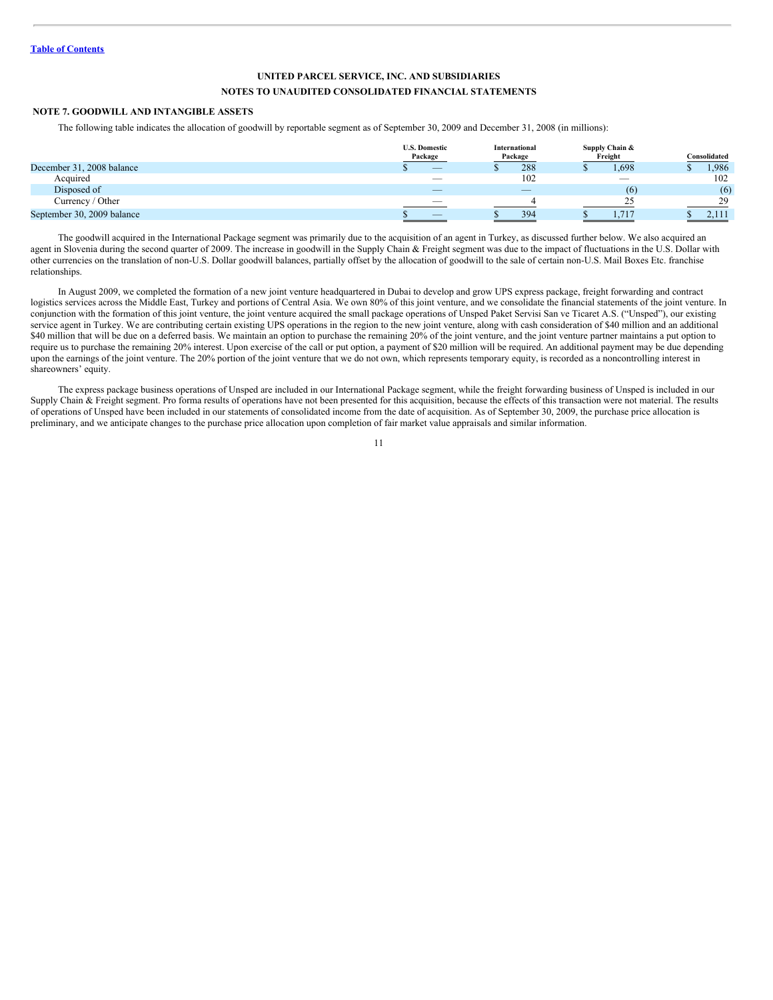## <span id="page-12-0"></span>**NOTE 7. GOODWILL AND INTANGIBLE ASSETS**

The following table indicates the allocation of goodwill by reportable segment as of September 30, 2009 and December 31, 2008 (in millions):

|                            | <b>U.S. Domestic</b><br>Package | International<br>Package | Supply Chain &<br>Freight | Consolidated |
|----------------------------|---------------------------------|--------------------------|---------------------------|--------------|
| December 31, 2008 balance  |                                 | 288                      | 1,698                     | .986         |
| Acquired                   | $\qquad \qquad$                 | 102                      | $\qquad \qquad$           | 102          |
| Disposed of                | __                              |                          | (6)                       | (6)          |
| Currency / Other           | _                               |                          |                           | 29           |
| September 30, 2009 balance |                                 | 394                      |                           |              |

The goodwill acquired in the International Package segment was primarily due to the acquisition of an agent in Turkey, as discussed further below. We also acquired an agent in Slovenia during the second quarter of 2009. The increase in goodwill in the Supply Chain & Freight segment was due to the impact of fluctuations in the U.S. Dollar with other currencies on the translation of non-U.S. Dollar goodwill balances, partially offset by the allocation of goodwill to the sale of certain non-U.S. Mail Boxes Etc. franchise relationships.

In August 2009, we completed the formation of a new joint venture headquartered in Dubai to develop and grow UPS express package, freight forwarding and contract logistics services across the Middle East, Turkey and portions of Central Asia. We own 80% of this joint venture, and we consolidate the financial statements of the joint venture. In conjunction with the formation of this joint venture, the joint venture acquired the small package operations of Unsped Paket Servisi San ve Ticaret A.S. ("Unsped"), our existing service agent in Turkey. We are contributing certain existing UPS operations in the region to the new joint venture, along with cash consideration of \$40 million and an additional \$40 million that will be due on a deferred basis. We maintain an option to purchase the remaining 20% of the joint venture, and the joint venture partner maintains a put option to require us to purchase the remaining 20% interest. Upon exercise of the call or put option, a payment of \$20 million will be required. An additional payment may be due depending upon the earnings of the joint venture. The 20% portion of the joint venture that we do not own, which represents temporary equity, is recorded as a noncontrolling interest in shareowners' equity.

The express package business operations of Unsped are included in our International Package segment, while the freight forwarding business of Unsped is included in our Supply Chain & Freight segment. Pro forma results of operations have not been presented for this acquisition, because the effects of this transaction were not material. The results of operations of Unsped have been included in our statements of consolidated income from the date of acquisition. As of September 30, 2009, the purchase price allocation is preliminary, and we anticipate changes to the purchase price allocation upon completion of fair market value appraisals and similar information.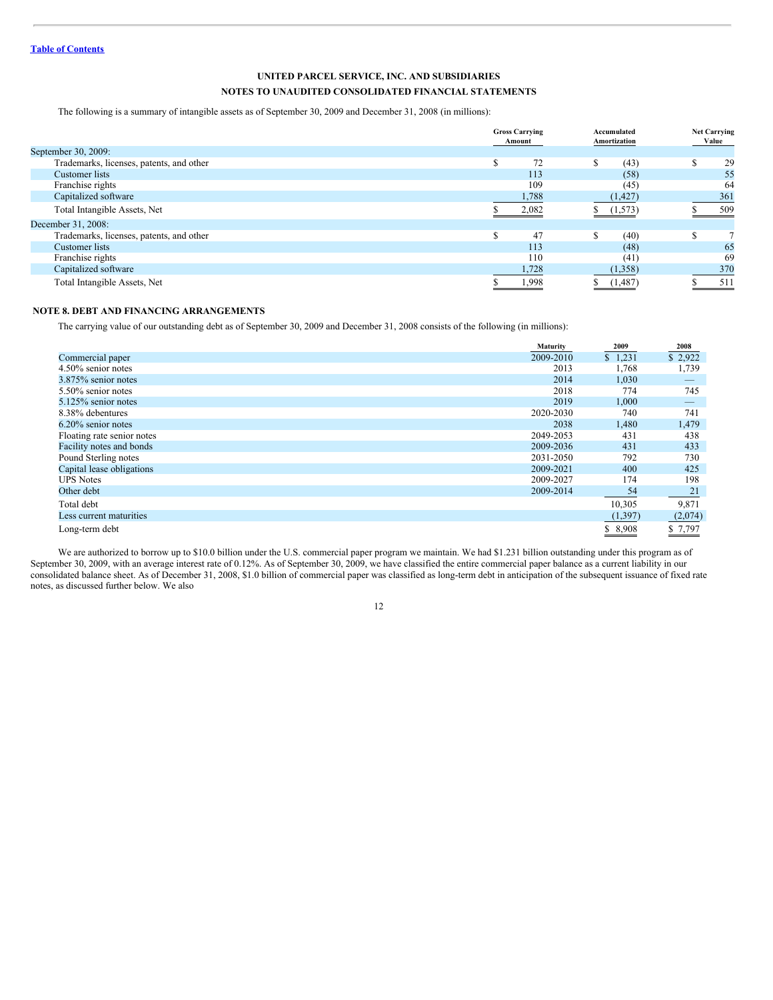The following is a summary of intangible assets as of September 30, 2009 and December 31, 2008 (in millions):

|                                          | <b>Gross Carrying</b><br>Amount | Accumulated<br>Amortization | <b>Net Carrying</b><br>Value |
|------------------------------------------|---------------------------------|-----------------------------|------------------------------|
| September 30, 2009:                      |                                 |                             |                              |
| Trademarks, licenses, patents, and other | 72                              | (43)<br>S                   | 29                           |
| Customer lists                           | 113                             | (58)                        | 55                           |
| Franchise rights                         | 109                             | (45)                        | -64                          |
| Capitalized software                     | 1,788                           | (1, 427)                    | 361                          |
| Total Intangible Assets, Net             | 2,082                           | (1,573)                     | 509                          |
| December 31, 2008:                       |                                 |                             |                              |
| Trademarks, licenses, patents, and other | 47                              | S<br>(40)                   | ж                            |
| Customer lists                           | 113                             | (48)                        | 65                           |
| Franchise rights                         | 110                             | (41)                        | -69                          |
| Capitalized software                     | 1,728                           | (1,358)                     | 370                          |
| Total Intangible Assets, Net             | 1,998                           | (1,487)                     | 511                          |

## <span id="page-13-0"></span>**NOTE 8. DEBT AND FINANCING ARRANGEMENTS**

The carrying value of our outstanding debt as of September 30, 2009 and December 31, 2008 consists of the following (in millions):

|                            | Maturity  | 2009        | 2008     |
|----------------------------|-----------|-------------|----------|
| Commercial paper           | 2009-2010 | \$1,231     | \$2,922  |
| 4.50% senior notes         | 2013      | 1,768       | 1,739    |
| 3.875% senior notes        | 2014      | 1,030       |          |
| 5.50% senior notes         | 2018      | 774         | 745      |
| 5.125% senior notes        | 2019      | 1.000       |          |
| 8.38% debentures           | 2020-2030 | 740         | 741      |
| $6.20\%$ senior notes      | 2038      | 1,480       | 1,479    |
| Floating rate senior notes | 2049-2053 | 431         | 438      |
| Facility notes and bonds   | 2009-2036 | 431         | 433      |
| Pound Sterling notes       | 2031-2050 | 792         | 730      |
| Capital lease obligations  | 2009-2021 | 400         | 425      |
| <b>UPS</b> Notes           | 2009-2027 | 174         | 198      |
| Other debt                 | 2009-2014 | 54          | 21       |
| Total debt                 |           | 10,305      | 9,871    |
| Less current maturities    |           | (1,397)     | (2,074)  |
| Long-term debt             |           | 8,908<br>\$ | \$ 7,797 |

We are authorized to borrow up to \$10.0 billion under the U.S. commercial paper program we maintain. We had \$1.231 billion outstanding under this program as of September 30, 2009, with an average interest rate of 0.12%. As of September 30, 2009, we have classified the entire commercial paper balance as a current liability in our consolidated balance sheet. As of December 31, 2008, \$1.0 billion of commercial paper was classified as long-term debt in anticipation of the subsequent issuance of fixed rate notes, as discussed further below. We also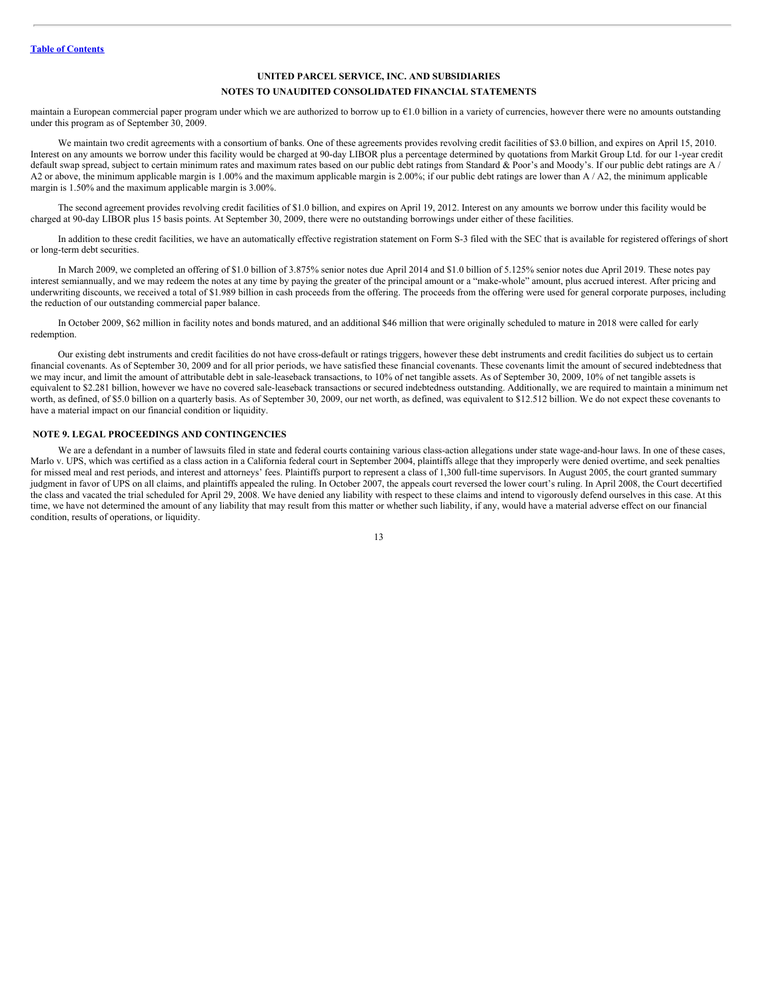maintain a European commercial paper program under which we are authorized to borrow up to  $61.0$  billion in a variety of currencies, however there were no amounts outstanding under this program as of September 30, 2009.

We maintain two credit agreements with a consortium of banks. One of these agreements provides revolving credit facilities of \$3.0 billion, and expires on April 15, 2010. Interest on any amounts we borrow under this facility would be charged at 90-day LIBOR plus a percentage determined by quotations from Markit Group Ltd. for our 1-year credit default swap spread, subject to certain minimum rates and maximum rates based on our public debt ratings from Standard & Poor's and Moody's. If our public debt ratings are A / A2 or above, the minimum applicable margin is 1.00% and the maximum applicable margin is 2.00%; if our public debt ratings are lower than A / A2, the minimum applicable margin is 1.50% and the maximum applicable margin is 3.00%.

The second agreement provides revolving credit facilities of \$1.0 billion, and expires on April 19, 2012. Interest on any amounts we borrow under this facility would be charged at 90-day LIBOR plus 15 basis points. At September 30, 2009, there were no outstanding borrowings under either of these facilities.

In addition to these credit facilities, we have an automatically effective registration statement on Form S-3 filed with the SEC that is available for registered offerings of short or long-term debt securities.

In March 2009, we completed an offering of \$1.0 billion of 3.875% senior notes due April 2014 and \$1.0 billion of 5.125% senior notes due April 2019. These notes pay interest semiannually, and we may redeem the notes at any time by paying the greater of the principal amount or a "make-whole" amount, plus accrued interest. After pricing and underwriting discounts, we received a total of \$1.989 billion in cash proceeds from the offering. The proceeds from the offering were used for general corporate purposes, including the reduction of our outstanding commercial paper balance.

In October 2009, \$62 million in facility notes and bonds matured, and an additional \$46 million that were originally scheduled to mature in 2018 were called for early redemption.

Our existing debt instruments and credit facilities do not have cross-default or ratings triggers, however these debt instruments and credit facilities do subject us to certain financial covenants. As of September 30, 2009 and for all prior periods, we have satisfied these financial covenants. These covenants limit the amount of secured indebtedness that we may incur, and limit the amount of attributable debt in sale-leaseback transactions, to 10% of net tangible assets. As of September 30, 2009, 10% of net tangible assets is equivalent to \$2.281 billion, however we have no covered sale-leaseback transactions or secured indebtedness outstanding. Additionally, we are required to maintain a minimum net worth, as defined, of \$5.0 billion on a quarterly basis. As of September 30, 2009, our net worth, as defined, was equivalent to \$12.512 billion. We do not expect these covenants to have a material impact on our financial condition or liquidity.

### <span id="page-14-0"></span>**NOTE 9. LEGAL PROCEEDINGS AND CONTINGENCIES**

We are a defendant in a number of lawsuits filed in state and federal courts containing various class-action allegations under state wage-and-hour laws. In one of these cases, Marlo v. UPS, which was certified as a class action in a California federal court in September 2004, plaintiffs allege that they improperly were denied overtime, and seek penalties for missed meal and rest periods, and interest and attorneys' fees. Plaintiffs purport to represent a class of 1,300 full-time supervisors. In August 2005, the court granted summary judgment in favor of UPS on all claims, and plaintiffs appealed the ruling. In October 2007, the appeals court reversed the lower court's ruling. In April 2008, the Court decertified the class and vacated the trial scheduled for April 29, 2008. We have denied any liability with respect to these claims and intend to vigorously defend ourselves in this case. At this time, we have not determined the amount of any liability that may result from this matter or whether such liability, if any, would have a material adverse effect on our financial condition, results of operations, or liquidity.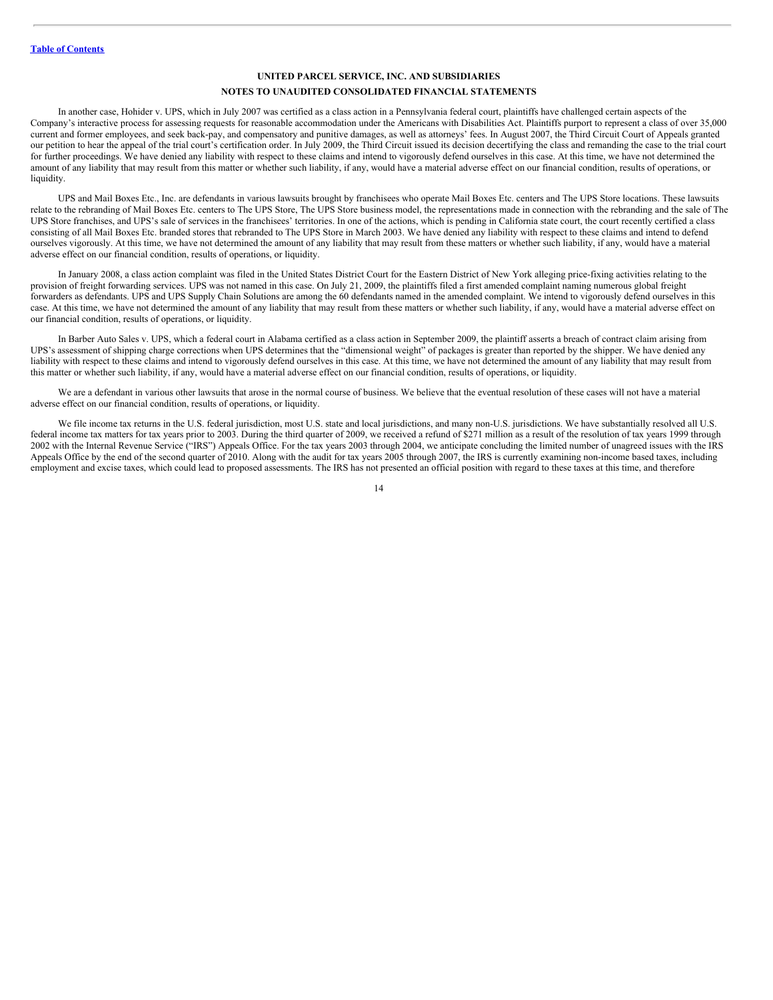In another case, Hohider v. UPS, which in July 2007 was certified as a class action in a Pennsylvania federal court, plaintiffs have challenged certain aspects of the Company's interactive process for assessing requests for reasonable accommodation under the Americans with Disabilities Act. Plaintiffs purport to represent a class of over 35,000 current and former employees, and seek back-pay, and compensatory and punitive damages, as well as attorneys' fees. In August 2007, the Third Circuit Court of Appeals granted our petition to hear the appeal of the trial court's certification order. In July 2009, the Third Circuit issued its decision decertifying the class and remanding the case to the trial court for further proceedings. We have denied any liability with respect to these claims and intend to vigorously defend ourselves in this case. At this time, we have not determined the amount of any liability that may result from this matter or whether such liability, if any, would have a material adverse effect on our financial condition, results of operations, or liquidity.

UPS and Mail Boxes Etc., Inc. are defendants in various lawsuits brought by franchisees who operate Mail Boxes Etc. centers and The UPS Store locations. These lawsuits relate to the rebranding of Mail Boxes Etc. centers to The UPS Store, The UPS Store business model, the representations made in connection with the rebranding and the sale of The UPS Store franchises, and UPS's sale of services in the franchisees' territories. In one of the actions, which is pending in California state court, the court recently certified a class consisting of all Mail Boxes Etc. branded stores that rebranded to The UPS Store in March 2003. We have denied any liability with respect to these claims and intend to defend ourselves vigorously. At this time, we have not determined the amount of any liability that may result from these matters or whether such liability, if any, would have a material adverse effect on our financial condition, results of operations, or liquidity.

In January 2008, a class action complaint was filed in the United States District Court for the Eastern District of New York alleging price-fixing activities relating to the provision of freight forwarding services. UPS was not named in this case. On July 21, 2009, the plaintiffs filed a first amended complaint naming numerous global freight forwarders as defendants. UPS and UPS Supply Chain Solutions are among the 60 defendants named in the amended complaint. We intend to vigorously defend ourselves in this case. At this time, we have not determined the amount of any liability that may result from these matters or whether such liability, if any, would have a material adverse effect on our financial condition, results of operations, or liquidity.

In Barber Auto Sales v. UPS, which a federal court in Alabama certified as a class action in September 2009, the plaintiff asserts a breach of contract claim arising from UPS's assessment of shipping charge corrections when UPS determines that the "dimensional weight" of packages is greater than reported by the shipper. We have denied any liability with respect to these claims and intend to vigorously defend ourselves in this case. At this time, we have not determined the amount of any liability that may result from this matter or whether such liability, if any, would have a material adverse effect on our financial condition, results of operations, or liquidity.

We are a defendant in various other lawsuits that arose in the normal course of business. We believe that the eventual resolution of these cases will not have a material adverse effect on our financial condition, results of operations, or liquidity.

We file income tax returns in the U.S. federal jurisdiction, most U.S. state and local jurisdictions, and many non-U.S. jurisdictions. We have substantially resolved all U.S. federal income tax matters for tax years prior to 2003. During the third quarter of 2009, we received a refund of \$271 million as a result of the resolution of tax years 1999 through 2002 with the Internal Revenue Service ("IRS") Appeals Office. For the tax years 2003 through 2004, we anticipate concluding the limited number of unagreed issues with the IRS Appeals Office by the end of the second quarter of 2010. Along with the audit for tax years 2005 through 2007, the IRS is currently examining non-income based taxes, including employment and excise taxes, which could lead to proposed assessments. The IRS has not presented an official position with regard to these taxes at this time, and therefore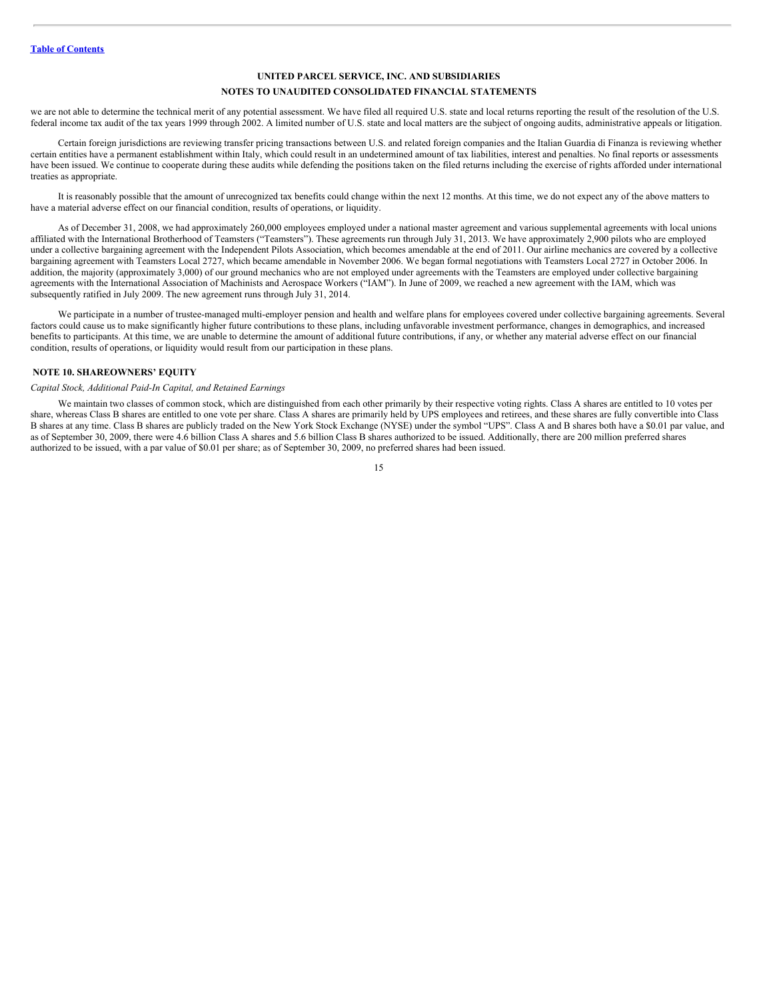we are not able to determine the technical merit of any potential assessment. We have filed all required U.S. state and local returns reporting the result of the resolution of the U.S. federal income tax audit of the tax years 1999 through 2002. A limited number of U.S. state and local matters are the subject of ongoing audits, administrative appeals or litigation.

Certain foreign jurisdictions are reviewing transfer pricing transactions between U.S. and related foreign companies and the Italian Guardia di Finanza is reviewing whether certain entities have a permanent establishment within Italy, which could result in an undetermined amount of tax liabilities, interest and penalties. No final reports or assessments have been issued. We continue to cooperate during these audits while defending the positions taken on the filed returns including the exercise of rights afforded under international treaties as appropriate.

It is reasonably possible that the amount of unrecognized tax benefits could change within the next 12 months. At this time, we do not expect any of the above matters to have a material adverse effect on our financial condition, results of operations, or liquidity.

As of December 31, 2008, we had approximately 260,000 employees employed under a national master agreement and various supplemental agreements with local unions affiliated with the International Brotherhood of Teamsters ("Teamsters"). These agreements run through July 31, 2013. We have approximately 2,900 pilots who are employed under a collective bargaining agreement with the Independent Pilots Association, which becomes amendable at the end of 2011. Our airline mechanics are covered by a collective bargaining agreement with Teamsters Local 2727, which became amendable in November 2006. We began formal negotiations with Teamsters Local 2727 in October 2006. In addition, the majority (approximately 3,000) of our ground mechanics who are not employed under agreements with the Teamsters are employed under collective bargaining agreements with the International Association of Machinists and Aerospace Workers ("IAM"). In June of 2009, we reached a new agreement with the IAM, which was subsequently ratified in July 2009. The new agreement runs through July 31, 2014.

We participate in a number of trustee-managed multi-employer pension and health and welfare plans for employees covered under collective bargaining agreements. Several factors could cause us to make significantly higher future contributions to these plans, including unfavorable investment performance, changes in demographics, and increased benefits to participants. At this time, we are unable to determine the amount of additional future contributions, if any, or whether any material adverse effect on our financial condition, results of operations, or liquidity would result from our participation in these plans.

### <span id="page-16-0"></span>**NOTE 10. SHAREOWNERS' EQUITY**

### *Capital Stock, Additional Paid-In Capital, and Retained Earnings*

We maintain two classes of common stock, which are distinguished from each other primarily by their respective voting rights. Class A shares are entitled to 10 votes per share, whereas Class B shares are entitled to one vote per share. Class A shares are primarily held by UPS employees and retirees, and these shares are fully convertible into Class B shares at any time. Class B shares are publicly traded on the New York Stock Exchange (NYSE) under the symbol "UPS". Class A and B shares both have a \$0.01 par value, and as of September 30, 2009, there were 4.6 billion Class A shares and 5.6 billion Class B shares authorized to be issued. Additionally, there are 200 million preferred shares authorized to be issued, with a par value of \$0.01 per share; as of September 30, 2009, no preferred shares had been issued.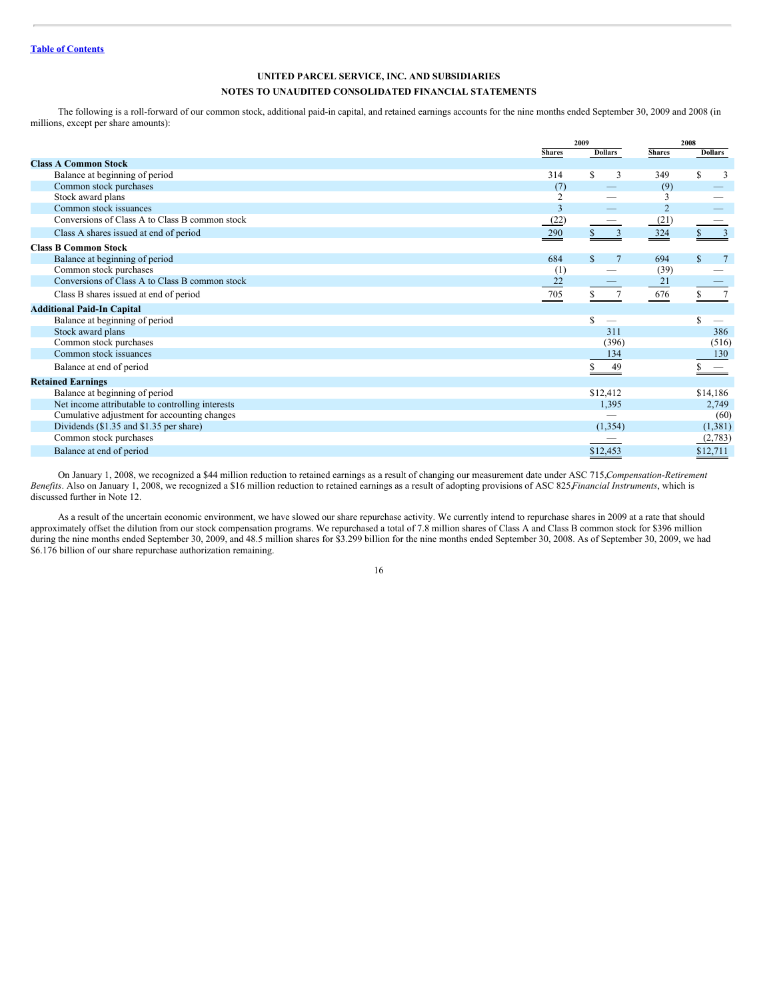The following is a roll-forward of our common stock, additional paid-in capital, and retained earnings accounts for the nine months ended September 30, 2009 and 2008 (in millions, except per share amounts):

|                                                  |                 | 2009            | 2008           |                |  |
|--------------------------------------------------|-----------------|-----------------|----------------|----------------|--|
|                                                  | <b>Shares</b>   | <b>Dollars</b>  | <b>Shares</b>  | <b>Dollars</b> |  |
| <b>Class A Common Stock</b>                      |                 |                 |                |                |  |
| Balance at beginning of period                   | 314             | S.<br>3         | 349            | \$.<br>3       |  |
| Common stock purchases                           | (7)             |                 | (9)            |                |  |
| Stock award plans                                | 2               |                 | 3              |                |  |
| Common stock issuances                           | $\overline{3}$  |                 | $\overline{2}$ |                |  |
| Conversions of Class A to Class B common stock   | (22)            |                 | (21)           |                |  |
| Class A shares issued at end of period           | $\frac{290}{2}$ | $\frac{1}{2}$ 3 | 324            |                |  |
| <b>Class B Common Stock</b>                      |                 |                 |                |                |  |
| Balance at beginning of period                   | 684             |                 | 694            | \$             |  |
| Common stock purchases                           | (1)             |                 | (39)           |                |  |
| Conversions of Class A to Class B common stock   | 22              |                 | 21             |                |  |
| Class B shares issued at end of period           | $\frac{705}{2}$ |                 | 676            |                |  |
| <b>Additional Paid-In Capital</b>                |                 |                 |                |                |  |
| Balance at beginning of period                   |                 | S               |                | \$.            |  |
| Stock award plans                                |                 | 311             |                | 386            |  |
| Common stock purchases                           |                 | (396)           |                | (516)          |  |
| Common stock issuances                           |                 | 134             |                | 130            |  |
| Balance at end of period                         |                 | 49              |                |                |  |
| <b>Retained Earnings</b>                         |                 |                 |                |                |  |
| Balance at beginning of period                   |                 | \$12,412        |                | \$14,186       |  |
| Net income attributable to controlling interests |                 | 1,395           |                | 2,749          |  |
| Cumulative adjustment for accounting changes     |                 |                 |                | (60)           |  |
| Dividends (\$1.35 and \$1.35 per share)          |                 | (1, 354)        |                | (1, 381)       |  |
| Common stock purchases                           |                 |                 |                | (2,783)        |  |
| Balance at end of period                         |                 | \$12,453        |                | \$12,711       |  |

On January 1, 2008, we recognized a \$44 million reduction to retained earnings as a result of changing our measurement date under ASC 715,*Compensation-Retirement Benefits*. Also on January 1, 2008, we recognized a \$16 million reduction to retained earnings as a result of adopting provisions of ASC 825,*Financial Instruments*, which is discussed further in Note 12.

As a result of the uncertain economic environment, we have slowed our share repurchase activity. We currently intend to repurchase shares in 2009 at a rate that should approximately offset the dilution from our stock compensation programs. We repurchased a total of 7.8 million shares of Class A and Class B common stock for \$396 million during the nine months ended September 30, 2009, and 48.5 million shares for \$3.299 billion for the nine months ended September 30, 2008. As of September 30, 2009, we had \$6.176 billion of our share repurchase authorization remaining.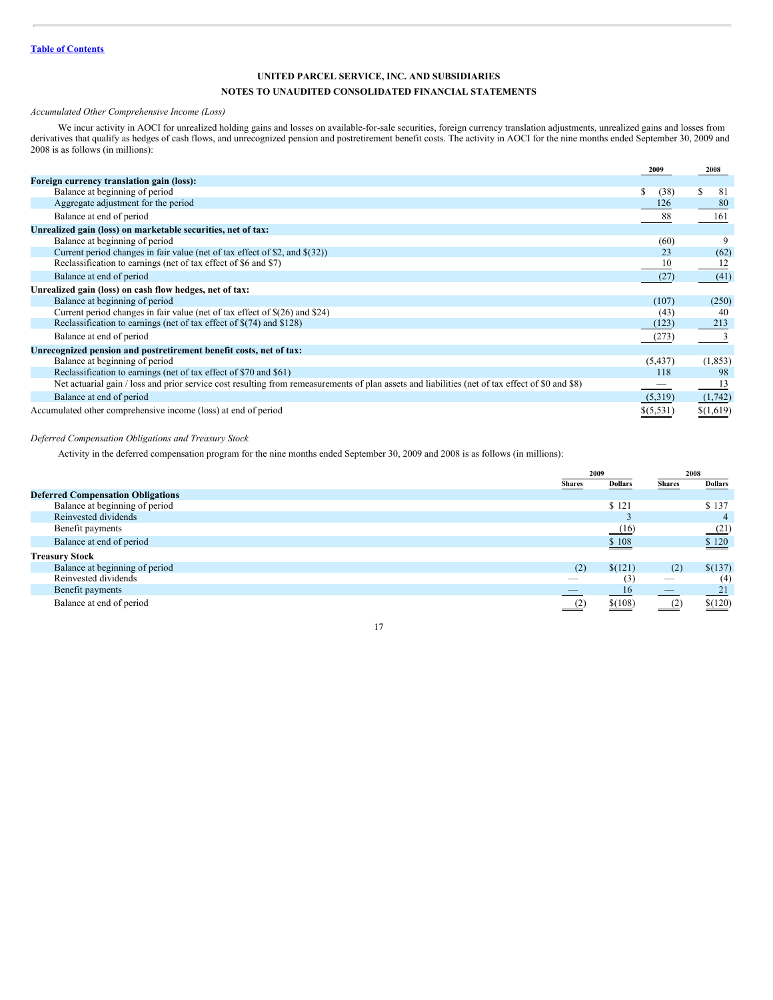## *Accumulated Other Comprehensive Income (Loss)*

We incur activity in AOCI for unrealized holding gains and losses on available-for-sale securities, foreign currency translation adjustments, unrealized gains and losses from derivatives that qualify as hedges of cash flows, and unrecognized pension and postretirement benefit costs. The activity in AOCI for the nine months ended September 30, 2009 and 2008 is as follows (in millions):

|                                                                                                                                                  | 2009      | 2008      |
|--------------------------------------------------------------------------------------------------------------------------------------------------|-----------|-----------|
| Foreign currency translation gain (loss):                                                                                                        |           |           |
| Balance at beginning of period                                                                                                                   | S<br>(38) | S<br>-81  |
| Aggregate adjustment for the period                                                                                                              | 126       | 80        |
| Balance at end of period                                                                                                                         | 88        | 161       |
| Unrealized gain (loss) on marketable securities, net of tax:                                                                                     |           |           |
| Balance at beginning of period                                                                                                                   | (60)      | 9         |
| Current period changes in fair value (net of tax effect of \$2, and \$(32))                                                                      | 23        | (62)      |
| Reclassification to earnings (net of tax effect of \$6 and \$7)                                                                                  | 10        |           |
| Balance at end of period                                                                                                                         | (27)      | (41)      |
| Unrealized gain (loss) on cash flow hedges, net of tax:                                                                                          |           |           |
| Balance at beginning of period                                                                                                                   | (107)     | (250)     |
| Current period changes in fair value (net of tax effect of $\S(26)$ and $\S(24)$ )                                                               | (43)      | 40        |
| Reclassification to earnings (net of tax effect of $\S(74)$ and $\S128$ )                                                                        | (123)     | 213       |
| Balance at end of period                                                                                                                         | (273)     |           |
| Unrecognized pension and postretirement benefit costs, net of tax:                                                                               |           |           |
| Balance at beginning of period                                                                                                                   | (5, 437)  | (1, 853)  |
| Reclassification to earnings (net of tax effect of \$70 and \$61)                                                                                | 118       | 98        |
| Net actuarial gain / loss and prior service cost resulting from remeasurements of plan assets and liabilities (net of tax effect of \$0 and \$8) |           | 13        |
| Balance at end of period                                                                                                                         | (5,319)   | (1,742)   |
| Accumulated other comprehensive income (loss) at end of period                                                                                   | \$(5,531) | \$(1,619) |

## *Deferred Compensation Obligations and Treasury Stock*

Activity in the deferred compensation program for the nine months ended September 30, 2009 and 2008 is as follows (in millions):

|                                          |               | 2009           |               | 2008           |  |
|------------------------------------------|---------------|----------------|---------------|----------------|--|
|                                          | <b>Shares</b> | <b>Dollars</b> | <b>Shares</b> | <b>Dollars</b> |  |
| <b>Deferred Compensation Obligations</b> |               |                |               |                |  |
| Balance at beginning of period           |               | \$121          |               | \$137          |  |
| Reinvested dividends                     |               |                |               |                |  |
| Benefit payments                         |               | (16)           |               | (21)           |  |
| Balance at end of period                 |               | \$108          |               | \$120          |  |
| <b>Treasury Stock</b>                    |               |                |               |                |  |
| Balance at beginning of period           | (2)           | \$(121)        | (2)           | \$(137)        |  |
| Reinvested dividends                     |               | (3)            |               | (4)            |  |
| Benefit payments                         |               | 16             |               | 21             |  |
| Balance at end of period                 |               | \$(108)        |               | \$ (120)       |  |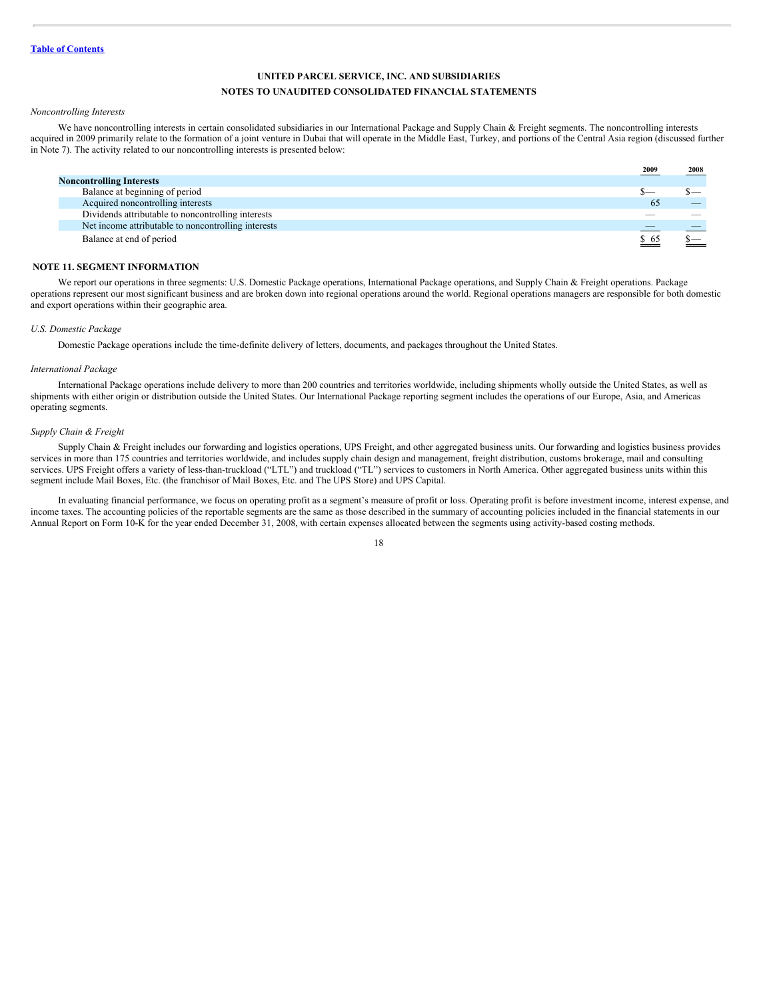### *Noncontrolling Interests*

We have noncontrolling interests in certain consolidated subsidiaries in our International Package and Supply Chain & Freight segments. The noncontrolling interests acquired in 2009 primarily relate to the formation of a joint venture in Dubai that will operate in the Middle East, Turkey, and portions of the Central Asia region (discussed further in Note 7). The activity related to our noncontrolling interests is presented below:

|                                                     | 2009         | 2008 |
|-----------------------------------------------------|--------------|------|
| <b>Noncontrolling Interests</b>                     |              |      |
| Balance at beginning of period                      |              |      |
| Acquired noncontrolling interests                   | <sub>0</sub> |      |
| Dividends attributable to noncontrolling interests  |              |      |
| Net income attributable to noncontrolling interests |              |      |
| Balance at end of period                            | \$65         |      |

### <span id="page-19-0"></span>**NOTE 11. SEGMENT INFORMATION**

We report our operations in three segments: U.S. Domestic Package operations, International Package operations, and Supply Chain & Freight operations. Package operations represent our most significant business and are broken down into regional operations around the world. Regional operations managers are responsible for both domestic and export operations within their geographic area.

### *U.S. Domestic Package*

Domestic Package operations include the time-definite delivery of letters, documents, and packages throughout the United States.

### *International Package*

International Package operations include delivery to more than 200 countries and territories worldwide, including shipments wholly outside the United States, as well as shipments with either origin or distribution outside the United States. Our International Package reporting segment includes the operations of our Europe, Asia, and Americas operating segments.

### *Supply Chain & Freight*

Supply Chain & Freight includes our forwarding and logistics operations, UPS Freight, and other aggregated business units. Our forwarding and logistics business provides services in more than 175 countries and territories worldwide, and includes supply chain design and management, freight distribution, customs brokerage, mail and consulting services. UPS Freight offers a variety of less-than-truckload ("LTL") and truckload ("TL") services to customers in North America. Other aggregated business units within this segment include Mail Boxes, Etc. (the franchisor of Mail Boxes, Etc. and The UPS Store) and UPS Capital.

In evaluating financial performance, we focus on operating profit as a segment's measure of profit or loss. Operating profit is before investment income, interest expense, and income taxes. The accounting policies of the reportable segments are the same as those described in the summary of accounting policies included in the financial statements in our Annual Report on Form 10-K for the year ended December 31, 2008, with certain expenses allocated between the segments using activity-based costing methods.

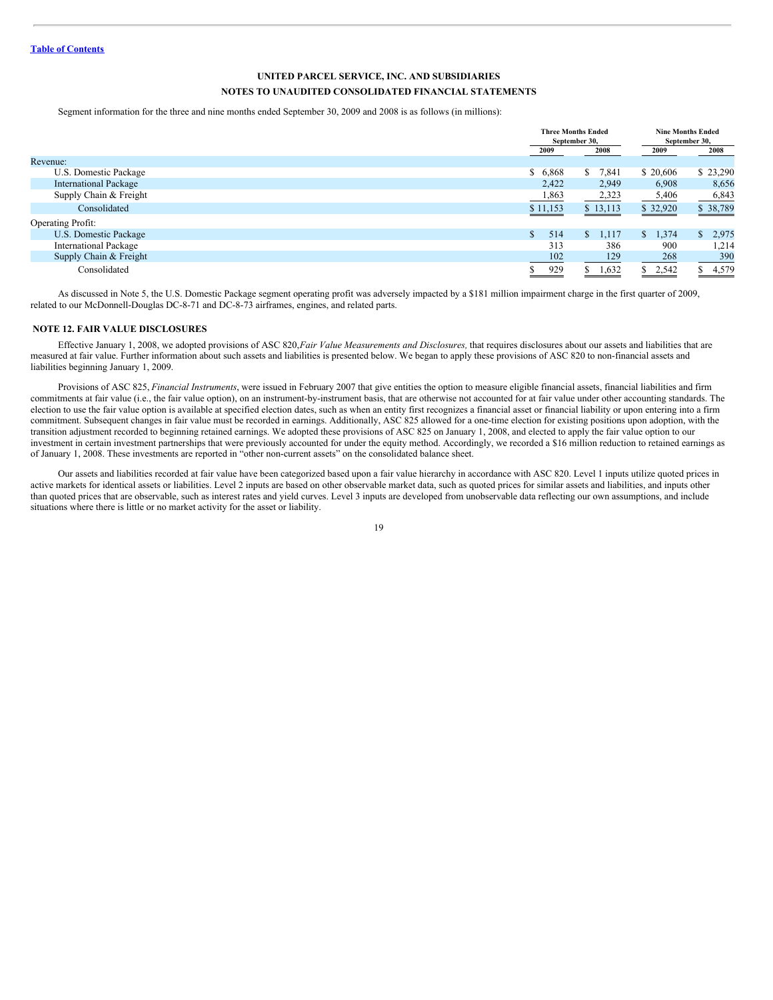Segment information for the three and nine months ended September 30, 2009 and 2008 is as follows (in millions):

|                              |            | <b>Three Months Ended</b><br>September 30, |                       | <b>Nine Months Ended</b><br>September 30, |  |
|------------------------------|------------|--------------------------------------------|-----------------------|-------------------------------------------|--|
|                              | 2009       | 2008                                       | 2009                  | 2008                                      |  |
| Revenue:                     |            |                                            |                       |                                           |  |
| U.S. Domestic Package        | \$6,868    | 7,841<br><sup>\$</sup>                     | \$20,606              | \$23,290                                  |  |
| <b>International Package</b> | 2,422      | 2,949                                      | 6,908                 | 8,656                                     |  |
| Supply Chain & Freight       | 1,863      | 2,323                                      | 5,406                 | 6,843                                     |  |
| Consolidated                 | \$11,153   | \$13,113                                   | \$ 32,920             | \$38,789                                  |  |
| <b>Operating Profit:</b>     |            |                                            |                       |                                           |  |
| <b>U.S. Domestic Package</b> | 514<br>\$. | 1,117<br>S.                                | 1,374<br>$\mathbf{s}$ | 2,975<br>$\mathbf{s}$                     |  |
| <b>International Package</b> | 313        | 386                                        | 900                   | 1,214                                     |  |
| Supply Chain & Freight       | 102        | 129                                        | 268                   | 390                                       |  |
| Consolidated                 | 929        | 1,632                                      | \$2,542               | 4,579                                     |  |

As discussed in Note 5, the U.S. Domestic Package segment operating profit was adversely impacted by a \$181 million impairment charge in the first quarter of 2009, related to our McDonnell-Douglas DC-8-71 and DC-8-73 airframes, engines, and related parts.

### <span id="page-20-0"></span>**NOTE 12. FAIR VALUE DISCLOSURES**

Effective January 1, 2008, we adopted provisions of ASC 820,*Fair Value Measurements and Disclosures,* that requires disclosures about our assets and liabilities that are measured at fair value. Further information about such assets and liabilities is presented below. We began to apply these provisions of ASC 820 to non-financial assets and liabilities beginning January 1, 2009.

Provisions of ASC 825, *Financial Instruments*, were issued in February 2007 that give entities the option to measure eligible financial assets, financial liabilities and firm commitments at fair value (i.e., the fair value option), on an instrument-by-instrument basis, that are otherwise not accounted for at fair value under other accounting standards. The election to use the fair value option is available at specified election dates, such as when an entity first recognizes a financial asset or financial liability or upon entering into a firm commitment. Subsequent changes in fair value must be recorded in earnings. Additionally, ASC 825 allowed for a one-time election for existing positions upon adoption, with the transition adjustment recorded to beginning retained earnings. We adopted these provisions of ASC 825 on January 1, 2008, and elected to apply the fair value option to our investment in certain investment partnerships that were previously accounted for under the equity method. Accordingly, we recorded a \$16 million reduction to retained earnings as of January 1, 2008. These investments are reported in "other non-current assets" on the consolidated balance sheet.

Our assets and liabilities recorded at fair value have been categorized based upon a fair value hierarchy in accordance with ASC 820. Level 1 inputs utilize quoted prices in active markets for identical assets or liabilities. Level 2 inputs are based on other observable market data, such as quoted prices for similar assets and liabilities, and inputs other than quoted prices that are observable, such as interest rates and yield curves. Level 3 inputs are developed from unobservable data reflecting our own assumptions, and include situations where there is little or no market activity for the asset or liability.

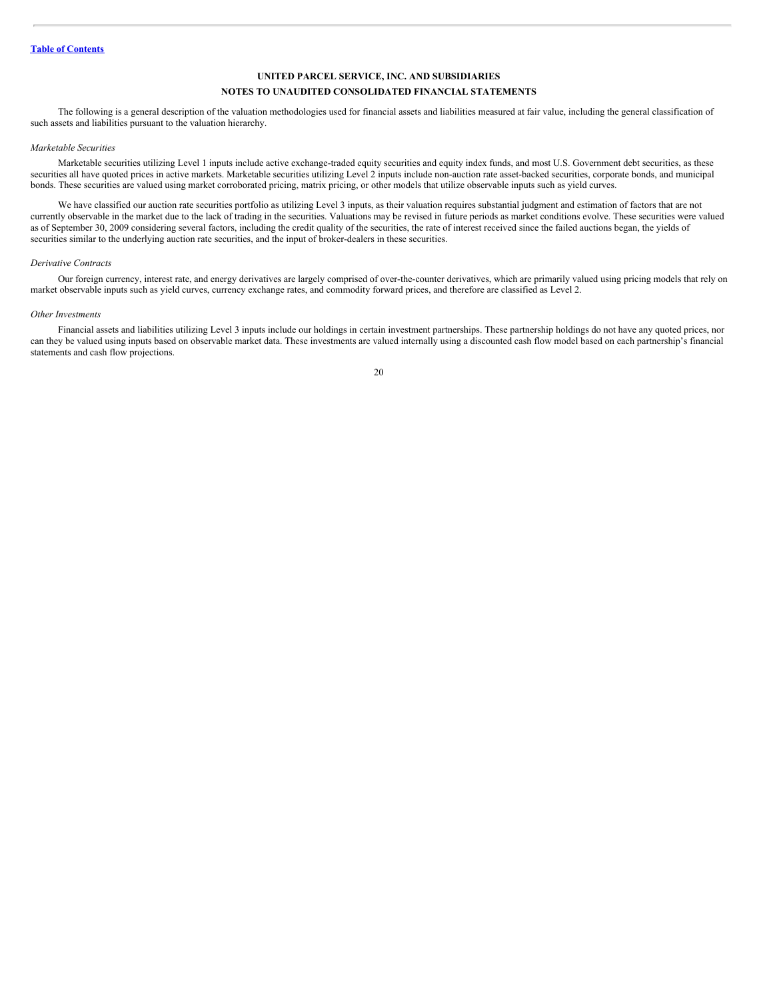The following is a general description of the valuation methodologies used for financial assets and liabilities measured at fair value, including the general classification of such assets and liabilities pursuant to the valuation hierarchy.

### *Marketable Securities*

Marketable securities utilizing Level 1 inputs include active exchange-traded equity securities and equity index funds, and most U.S. Government debt securities, as these securities all have quoted prices in active markets. Marketable securities utilizing Level 2 inputs include non-auction rate asset-backed securities, corporate bonds, and municipal bonds. These securities are valued using market corroborated pricing, matrix pricing, or other models that utilize observable inputs such as yield curves.

We have classified our auction rate securities portfolio as utilizing Level 3 inputs, as their valuation requires substantial judgment and estimation of factors that are not currently observable in the market due to the lack of trading in the securities. Valuations may be revised in future periods as market conditions evolve. These securities were valued as of September 30, 2009 considering several factors, including the credit quality of the securities, the rate of interest received since the failed auctions began, the yields of securities similar to the underlying auction rate securities, and the input of broker-dealers in these securities.

### *Derivative Contracts*

Our foreign currency, interest rate, and energy derivatives are largely comprised of over-the-counter derivatives, which are primarily valued using pricing models that rely on market observable inputs such as yield curves, currency exchange rates, and commodity forward prices, and therefore are classified as Level 2.

#### *Other Investments*

Financial assets and liabilities utilizing Level 3 inputs include our holdings in certain investment partnerships. These partnership holdings do not have any quoted prices, nor can they be valued using inputs based on observable market data. These investments are valued internally using a discounted cash flow model based on each partnership's financial statements and cash flow projections.

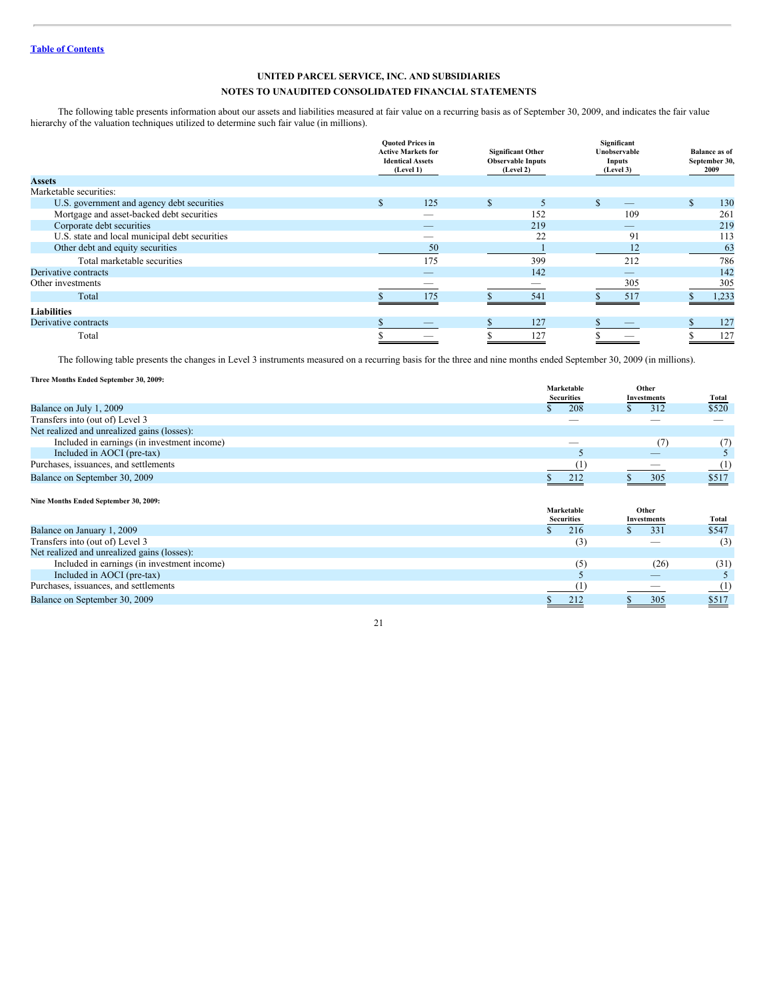The following table presents information about our assets and liabilities measured at fair value on a recurring basis as of September 30, 2009, and indicates the fair value hierarchy of the valuation techniques utilized to determine such fair value (in millions).

|                                                |   | <b>Ouoted Prices in</b><br><b>Active Markets for</b><br><b>Identical Assets</b><br>(Level 1) |                    | <b>Significant Other</b><br><b>Observable Inputs</b><br>(Level 2) | Significant<br>Unobservable<br>Inputs<br>(Level 3) |              | <b>Balance as of</b><br>September 30,<br>2009 |
|------------------------------------------------|---|----------------------------------------------------------------------------------------------|--------------------|-------------------------------------------------------------------|----------------------------------------------------|--------------|-----------------------------------------------|
| <b>Assets</b>                                  |   |                                                                                              |                    |                                                                   |                                                    |              |                                               |
| Marketable securities:                         |   |                                                                                              |                    |                                                                   |                                                    |              |                                               |
| U.S. government and agency debt securities     | ж | 125                                                                                          | $\mathbf{\hat{s}}$ |                                                                   |                                                    | $\mathbb{S}$ | 130                                           |
| Mortgage and asset-backed debt securities      |   | $\overline{\phantom{a}}$                                                                     |                    | 152                                                               | 109                                                |              | 261                                           |
| Corporate debt securities                      |   | _                                                                                            |                    | 219                                                               | $\overline{\phantom{a}}$                           |              | 219                                           |
| U.S. state and local municipal debt securities |   |                                                                                              |                    | 22                                                                | 91                                                 |              | 113                                           |
| Other debt and equity securities               |   | 50                                                                                           |                    |                                                                   |                                                    |              | 63                                            |
| Total marketable securities                    |   | 175                                                                                          |                    | 399                                                               | 212                                                |              | 786                                           |
| Derivative contracts                           |   | _                                                                                            |                    | 142                                                               |                                                    |              | 142                                           |
| Other investments                              |   |                                                                                              |                    |                                                                   | 305                                                |              | 305                                           |
| Total                                          |   | 175                                                                                          |                    | 541                                                               | 517                                                |              | 1,233                                         |
| <b>Liabilities</b>                             |   |                                                                                              |                    |                                                                   |                                                    |              |                                               |
| Derivative contracts                           |   |                                                                                              |                    | 127                                                               |                                                    |              | 127                                           |
| Total                                          |   |                                                                                              |                    | 127                                                               |                                                    |              | 127                                           |

The following table presents the changes in Level 3 instruments measured on a recurring basis for the three and nine months ended September 30, 2009 (in millions).

**Three Months Ended September 30, 2009:**

|                                             | Marketable        | Other                          |       |
|---------------------------------------------|-------------------|--------------------------------|-------|
|                                             | <b>Securities</b> | Investments                    | Total |
| Balance on July 1, 2009                     | 208               | 312                            | \$520 |
| Transfers into (out of) Level 3             |                   |                                |       |
| Net realized and unrealized gains (losses): |                   |                                |       |
| Included in earnings (in investment income) |                   |                                | 7)    |
| Included in AOCI (pre-tax)                  |                   |                                |       |
| Purchases, issuances, and settlements       |                   | $\overbrace{\hspace{25mm}}^{}$ | (1)   |
| Balance on September 30, 2009               | 212               | 305                            | \$517 |
|                                             |                   |                                |       |

| Nine Months Ended September 30, 2009:       |                                 |     |                                 |                |
|---------------------------------------------|---------------------------------|-----|---------------------------------|----------------|
|                                             | Marketable<br><b>Securities</b> |     | Other<br>Investments            |                |
| Balance on January 1, 2009                  |                                 | 216 | 331                             | Total<br>\$547 |
| Transfers into (out of) Level 3             |                                 | (3) | $\overline{\phantom{a}}$        | (3)            |
| Net realized and unrealized gains (losses): |                                 |     |                                 |                |
| Included in earnings (in investment income) |                                 | (5) | (26)                            | (31)           |
| Included in AOCI (pre-tax)                  |                                 |     | $\hspace{0.1mm}-\hspace{0.1mm}$ |                |
| Purchases, issuances, and settlements       |                                 |     | $\qquad \qquad$                 | (1)            |
| Balance on September 30, 2009               |                                 | 212 | 305                             | \$517          |

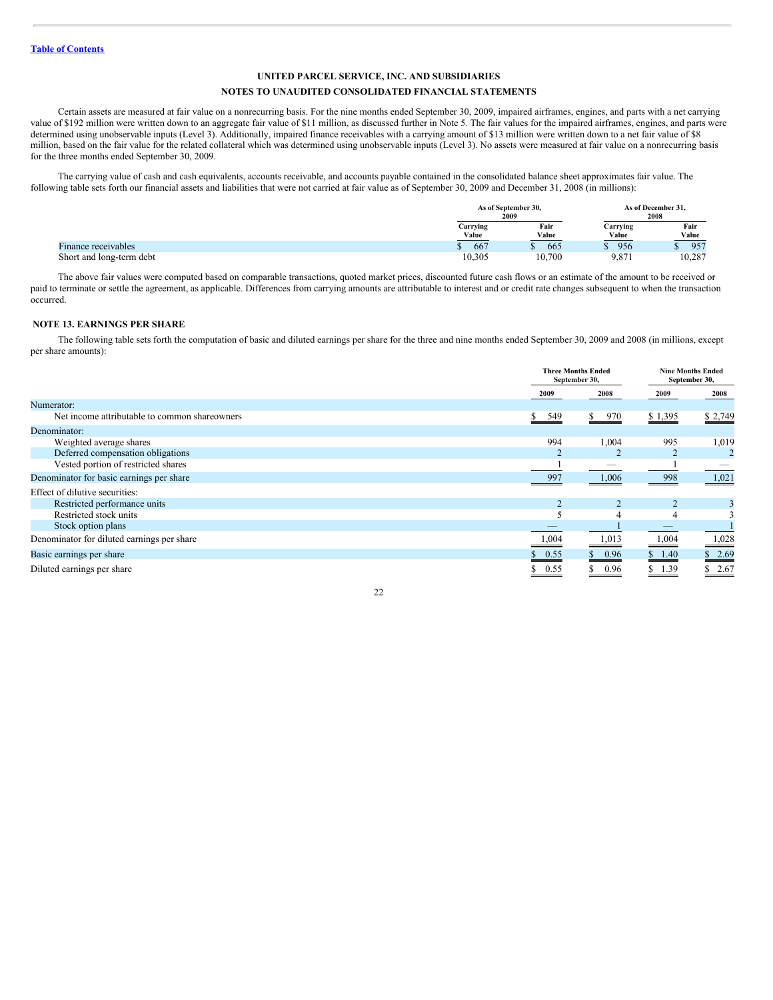Certain assets are measured at fair value on a nonrecurring basis. For the nine months ended September 30, 2009, impaired airframes, engines, and parts with a net carrying value of \$192 million were written down to an aggregate fair value of \$11 million, as discussed further in Note 5. The fair values for the impaired airframes, engines, and parts were determined using unobservable inputs (Level 3). Additionally, impaired finance receivables with a carrying amount of \$13 million were written down to a net fair value of \$8 million, based on the fair value for the related collateral which was determined using unobservable inputs (Level 3). No assets were measured at fair value on a nonrecurring basis for the three months ended September 30, 2009.

The carrying value of cash and cash equivalents, accounts receivable, and accounts payable contained in the consolidated balance sheet approximates fair value. The following table sets forth our financial assets and liabilities that were not carried at fair value as of September 30, 2009 and December 31, 2008 (in millions):

|                          | 2009              | As of September 30, |                   | As of December 31,<br>2008 |
|--------------------------|-------------------|---------------------|-------------------|----------------------------|
|                          | Carrying<br>Value | Fair<br>Value       | Carrving<br>Value | Fair<br><b>Value</b>       |
| Finance receivables      | 667               | 665<br>ພ            | 956               | 957                        |
| Short and long-term debt | 10.305            | 10.700              | 9,871             | 10.287                     |

The above fair values were computed based on comparable transactions, quoted market prices, discounted future cash flows or an estimate of the amount to be received or paid to terminate or settle the agreement, as applicable. Differences from carrying amounts are attributable to interest and or credit rate changes subsequent to when the transaction occurred.

### <span id="page-23-0"></span>**NOTE 13. EARNINGS PER SHARE**

The following table sets forth the computation of basic and diluted earnings per share for the three and nine months ended September 30, 2009 and 2008 (in millions, except per share amounts):

|                                               |                | <b>Three Months Ended</b><br>September 30, |                | <b>Nine Months Ended</b><br>September 30, |
|-----------------------------------------------|----------------|--------------------------------------------|----------------|-------------------------------------------|
|                                               | 2009           | 2008                                       | 2009           | 2008                                      |
| Numerator:                                    |                |                                            |                |                                           |
| Net income attributable to common shareowners | 549<br>Ъ.      | \$970                                      | \$1,395        | \$ 2,749                                  |
| Denominator:                                  |                |                                            |                |                                           |
| Weighted average shares                       | 994            | 1,004                                      | 995            | 1,019                                     |
| Deferred compensation obligations             |                |                                            |                |                                           |
| Vested portion of restricted shares           |                |                                            |                |                                           |
| Denominator for basic earnings per share      | 997            | 1,006                                      | 998            | 1,021                                     |
| Effect of dilutive securities:                |                |                                            |                |                                           |
| Restricted performance units                  | $\overline{2}$ | $\overline{2}$                             | 2              | 3                                         |
| Restricted stock units                        | 5              | 4                                          | $\overline{4}$ |                                           |
| Stock option plans                            |                |                                            |                |                                           |
| Denominator for diluted earnings per share    | 1,004          | 1,013                                      | 1,004          | 1,028                                     |
| Basic earnings per share                      | 0.55           | 0.96                                       | \$1.40         | 2.69                                      |
| Diluted earnings per share                    | 0.55           | 0.96                                       | 1.39           | 2.67                                      |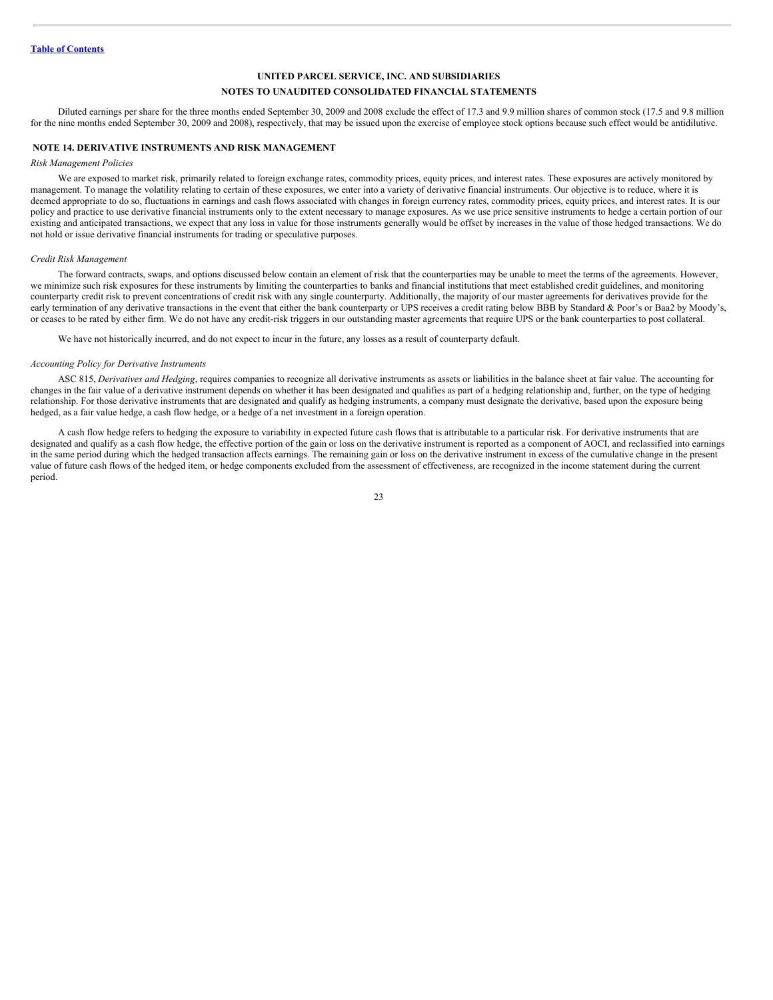Diluted earnings per share for the three months ended September 30, 2009 and 2008 exclude the effect of 17.3 and 9.9 million shares of common stock (17.5 and 9.8 million for the nine months ended September 30, 2009 and 2008), respectively, that may be issued upon the exercise of employee stock options because such effect would be antidilutive.

### <span id="page-24-0"></span>**NOTE 14. DERIVATIVE INSTRUMENTS AND RISK MANAGEMENT**

### *Risk Management Policies*

We are exposed to market risk, primarily related to foreign exchange rates, commodity prices, equity prices, and interest rates. These exposures are actively monitored by management. To manage the volatility relating to certain of these exposures, we enter into a variety of derivative financial instruments. Our objective is to reduce, where it is deemed appropriate to do so, fluctuations in earnings and cash flows associated with changes in foreign currency rates, commodity prices, equity prices, and interest rates. It is our policy and practice to use derivative financial instruments only to the extent necessary to manage exposures. As we use price sensitive instruments to hedge a certain portion of our existing and anticipated transactions, we expect that any loss in value for those instruments generally would be offset by increases in the value of those hedged transactions. We do not hold or issue derivative financial instruments for trading or speculative purposes.

### *Credit Risk Management*

The forward contracts, swaps, and options discussed below contain an element of risk that the counterparties may be unable to meet the terms of the agreements. However, we minimize such risk exposures for these instruments by limiting the counterparties to banks and financial institutions that meet established credit guidelines, and monitoring counterparty credit risk to prevent concentrations of credit risk with any single counterparty. Additionally, the majority of our master agreements for derivatives provide for the early termination of any derivative transactions in the event that either the bank counterparty or UPS receives a credit rating below BBB by Standard & Poor's or Baa2 by Moody's, or ceases to be rated by either firm. We do not have any credit-risk triggers in our outstanding master agreements that require UPS or the bank counterparties to post collateral.

We have not historically incurred, and do not expect to incur in the future, any losses as a result of counterparty default.

### *Accounting Policy for Derivative Instruments*

ASC 815, *Derivatives and Hedging*, requires companies to recognize all derivative instruments as assets or liabilities in the balance sheet at fair value. The accounting for changes in the fair value of a derivative instrument depends on whether it has been designated and qualifies as part of a hedging relationship and, further, on the type of hedging relationship. For those derivative instruments that are designated and qualify as hedging instruments, a company must designate the derivative, based upon the exposure being hedged, as a fair value hedge, a cash flow hedge, or a hedge of a net investment in a foreign operation.

A cash flow hedge refers to hedging the exposure to variability in expected future cash flows that is attributable to a particular risk. For derivative instruments that are designated and qualify as a cash flow hedge, the effective portion of the gain or loss on the derivative instrument is reported as a component of AOCI, and reclassified into earnings in the same period during which the hedged transaction affects earnings. The remaining gain or loss on the derivative instrument in excess of the cumulative change in the present value of future cash flows of the hedged item, or hedge components excluded from the assessment of effectiveness, are recognized in the income statement during the current period.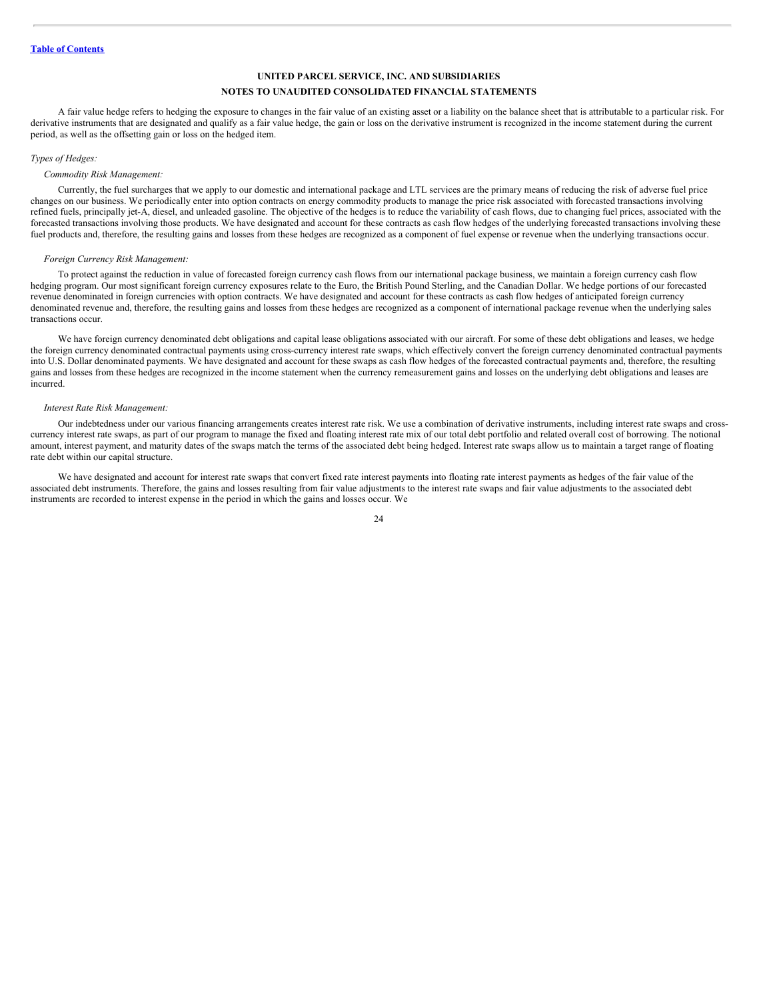A fair value hedge refers to hedging the exposure to changes in the fair value of an existing asset or a liability on the balance sheet that is attributable to a particular risk. For derivative instruments that are designated and qualify as a fair value hedge, the gain or loss on the derivative instrument is recognized in the income statement during the current period, as well as the offsetting gain or loss on the hedged item.

### *Types of Hedges:*

### *Commodity Risk Management:*

Currently, the fuel surcharges that we apply to our domestic and international package and LTL services are the primary means of reducing the risk of adverse fuel price changes on our business. We periodically enter into option contracts on energy commodity products to manage the price risk associated with forecasted transactions involving refined fuels, principally jet-A, diesel, and unleaded gasoline. The objective of the hedges is to reduce the variability of cash flows, due to changing fuel prices, associated with the forecasted transactions involving those products. We have designated and account for these contracts as cash flow hedges of the underlying forecasted transactions involving these fuel products and, therefore, the resulting gains and losses from these hedges are recognized as a component of fuel expense or revenue when the underlying transactions occur.

### *Foreign Currency Risk Management:*

To protect against the reduction in value of forecasted foreign currency cash flows from our international package business, we maintain a foreign currency cash flow hedging program. Our most significant foreign currency exposures relate to the Euro, the British Pound Sterling, and the Canadian Dollar. We hedge portions of our forecasted revenue denominated in foreign currencies with option contracts. We have designated and account for these contracts as cash flow hedges of anticipated foreign currency denominated revenue and, therefore, the resulting gains and losses from these hedges are recognized as a component of international package revenue when the underlying sales transactions occur.

We have foreign currency denominated debt obligations and capital lease obligations associated with our aircraft. For some of these debt obligations and leases, we hedge the foreign currency denominated contractual payments using cross-currency interest rate swaps, which effectively convert the foreign currency denominated contractual payments into U.S. Dollar denominated payments. We have designated and account for these swaps as cash flow hedges of the forecasted contractual payments and, therefore, the resulting gains and losses from these hedges are recognized in the income statement when the currency remeasurement gains and losses on the underlying debt obligations and leases are incurred.

### *Interest Rate Risk Management:*

Our indebtedness under our various financing arrangements creates interest rate risk. We use a combination of derivative instruments, including interest rate swaps and crosscurrency interest rate swaps, as part of our program to manage the fixed and floating interest rate mix of our total debt portfolio and related overall cost of borrowing. The notional amount, interest payment, and maturity dates of the swaps match the terms of the associated debt being hedged. Interest rate swaps allow us to maintain a target range of floating rate debt within our capital structure.

We have designated and account for interest rate swaps that convert fixed rate interest payments into floating rate interest payments as hedges of the fair value of the associated debt instruments. Therefore, the gains and losses resulting from fair value adjustments to the interest rate swaps and fair value adjustments to the associated debt instruments are recorded to interest expense in the period in which the gains and losses occur. We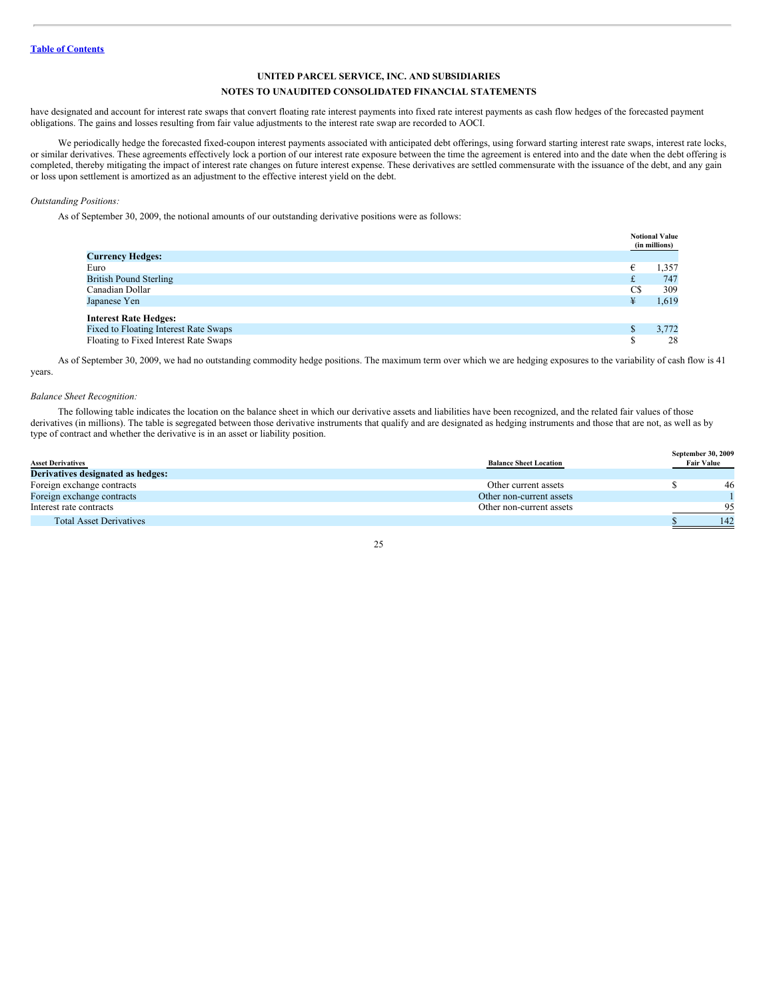## **UNITED PARCEL SERVICE, INC. AND SUBSIDIARIES**

## **NOTES TO UNAUDITED CONSOLIDATED FINANCIAL STATEMENTS**

have designated and account for interest rate swaps that convert floating rate interest payments into fixed rate interest payments as cash flow hedges of the forecasted payment obligations. The gains and losses resulting from fair value adjustments to the interest rate swap are recorded to AOCI.

We periodically hedge the forecasted fixed-coupon interest payments associated with anticipated debt offerings, using forward starting interest rate swaps, interest rate locks, or similar derivatives. These agreements effectively lock a portion of our interest rate exposure between the time the agreement is entered into and the date when the debt offering is completed, thereby mitigating the impact of interest rate changes on future interest expense. These derivatives are settled commensurate with the issuance of the debt, and any gain or loss upon settlement is amortized as an adjustment to the effective interest yield on the debt.

### *Outstanding Positions:*

As of September 30, 2009, the notional amounts of our outstanding derivative positions were as follows:

|                                              |     | <b>Notional Value</b><br>(in millions) |
|----------------------------------------------|-----|----------------------------------------|
| <b>Currency Hedges:</b>                      |     |                                        |
| Euro                                         |     | 1.357                                  |
| <b>British Pound Sterling</b>                | t   | 747                                    |
| Canadian Dollar                              | C\$ | 309                                    |
| Japanese Yen                                 | ¥   | 1,619                                  |
| <b>Interest Rate Hedges:</b>                 |     |                                        |
| <b>Fixed to Floating Interest Rate Swaps</b> |     | 3,772                                  |
| Floating to Fixed Interest Rate Swaps        |     | 28                                     |

As of September 30, 2009, we had no outstanding commodity hedge positions. The maximum term over which we are hedging exposures to the variability of cash flow is 41 years.

### *Balance Sheet Recognition:*

The following table indicates the location on the balance sheet in which our derivative assets and liabilities have been recognized, and the related fair values of those derivatives (in millions). The table is segregated between those derivative instruments that qualify and are designated as hedging instruments and those that are not, as well as by type of contract and whether the derivative is in an asset or liability position.

|                                   |                               | <b>September 30, 2009</b> |
|-----------------------------------|-------------------------------|---------------------------|
| <b>Asset Derivatives</b>          | <b>Balance Sheet Location</b> | <b>Fair Value</b>         |
| Derivatives designated as hedges: |                               |                           |
| Foreign exchange contracts        | Other current assets          | 46                        |
| Foreign exchange contracts        | Other non-current assets      |                           |
| Interest rate contracts           | Other non-current assets      | 95                        |
| <b>Total Asset Derivatives</b>    |                               | 142                       |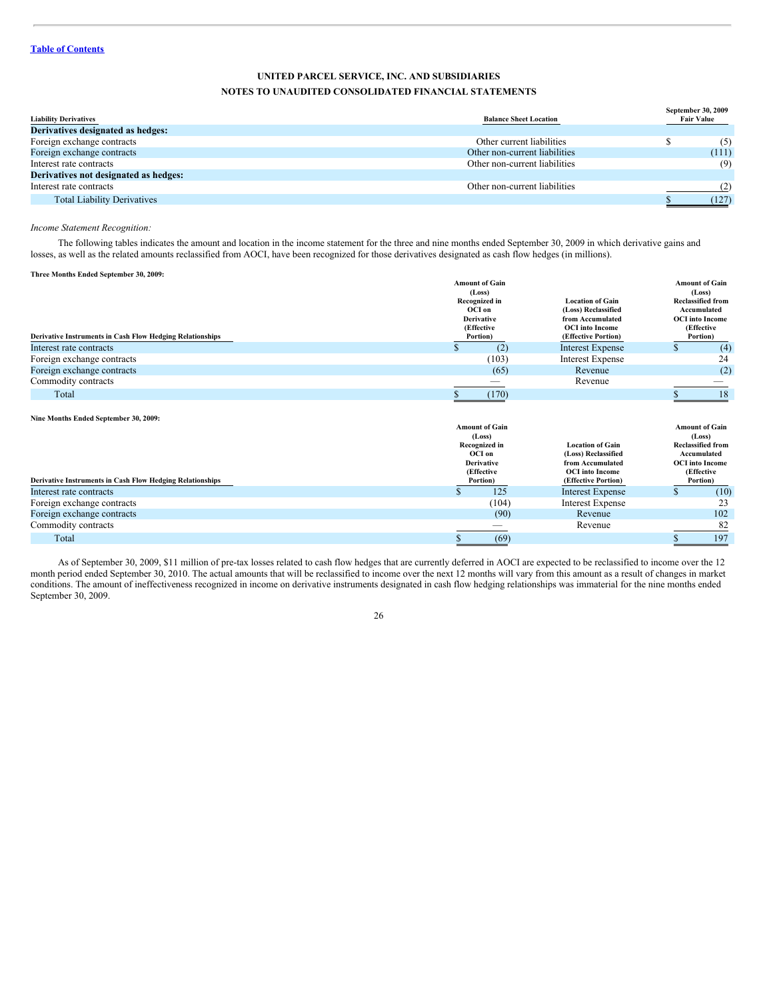|                                       |                               | September 30, 2009 |
|---------------------------------------|-------------------------------|--------------------|
| <b>Liability Derivatives</b>          | <b>Balance Sheet Location</b> | <b>Fair Value</b>  |
| Derivatives designated as hedges:     |                               |                    |
| Foreign exchange contracts            | Other current liabilities     | (5)                |
| Foreign exchange contracts            | Other non-current liabilities | (111)              |
| Interest rate contracts               | Other non-current liabilities | (9)                |
| Derivatives not designated as hedges: |                               |                    |
| Interest rate contracts               | Other non-current liabilities | (2)                |
| <b>Total Liability Derivatives</b>    |                               | (127)              |
|                                       |                               |                    |

## *Income Statement Recognition:*

The following tables indicates the amount and location in the income statement for the three and nine months ended September 30, 2009 in which derivative gains and losses, as well as the related amounts reclassified from AOCI, have been recognized for those derivatives designated as cash flow hedges (in millions).

### **Three Months Ended September 30, 2009:**

| <b>Amount of Gain</b><br>(Loss)<br>Recognized in<br>OCI on<br><b>Derivative</b><br><b>(Effective</b><br>Portion) | <b>Location of Gain</b><br>(Loss) Reclassified<br>from Accumulated<br><b>OCI</b> into Income<br>(Effective Portion) | <b>Amount of Gain</b><br>(Loss)<br><b>Reclassified from</b><br>Accumulated<br><b>OCI</b> into Income<br>(Effective<br>Portion) |
|------------------------------------------------------------------------------------------------------------------|---------------------------------------------------------------------------------------------------------------------|--------------------------------------------------------------------------------------------------------------------------------|
| \$<br>(2)                                                                                                        | <b>Interest Expense</b>                                                                                             | $\mathbf S$<br>(4)                                                                                                             |
|                                                                                                                  |                                                                                                                     | 24                                                                                                                             |
| (65)                                                                                                             | Revenue                                                                                                             | (2)                                                                                                                            |
|                                                                                                                  | Revenue                                                                                                             |                                                                                                                                |
| (170)                                                                                                            |                                                                                                                     | 18                                                                                                                             |
| <b>Amount of Gain</b><br>(Loss)<br>Recognized in<br>OCI on<br><b>Derivative</b><br><b>(Effective</b>             | <b>Location of Gain</b><br>(Loss) Reclassified<br>from Accumulated<br><b>OCI</b> into Income                        | <b>Amount of Gain</b><br>(Loss)<br><b>Reclassified from</b><br>Accumulated<br><b>OCI</b> into Income<br>(Effective             |
|                                                                                                                  |                                                                                                                     | Portion)<br>\$<br>(10)                                                                                                         |
|                                                                                                                  |                                                                                                                     | 23                                                                                                                             |
|                                                                                                                  |                                                                                                                     | 102                                                                                                                            |
|                                                                                                                  | Revenue                                                                                                             | 82                                                                                                                             |
| (69)                                                                                                             |                                                                                                                     | 197                                                                                                                            |
|                                                                                                                  | (103)<br>Portion)<br>125<br>(104)<br>(90)                                                                           | <b>Interest Expense</b><br>(Effective Portion)<br><b>Interest Expense</b><br><b>Interest Expense</b><br>Revenue                |

As of September 30, 2009, \$11 million of pre-tax losses related to cash flow hedges that are currently deferred in AOCI are expected to be reclassified to income over the 12 month period ended September 30, 2010. The actual amounts that will be reclassified to income over the next 12 months will vary from this amount as a result of changes in market conditions. The amount of ineffectiveness recognized in income on derivative instruments designated in cash flow hedging relationships was immaterial for the nine months ended September 30, 2009.

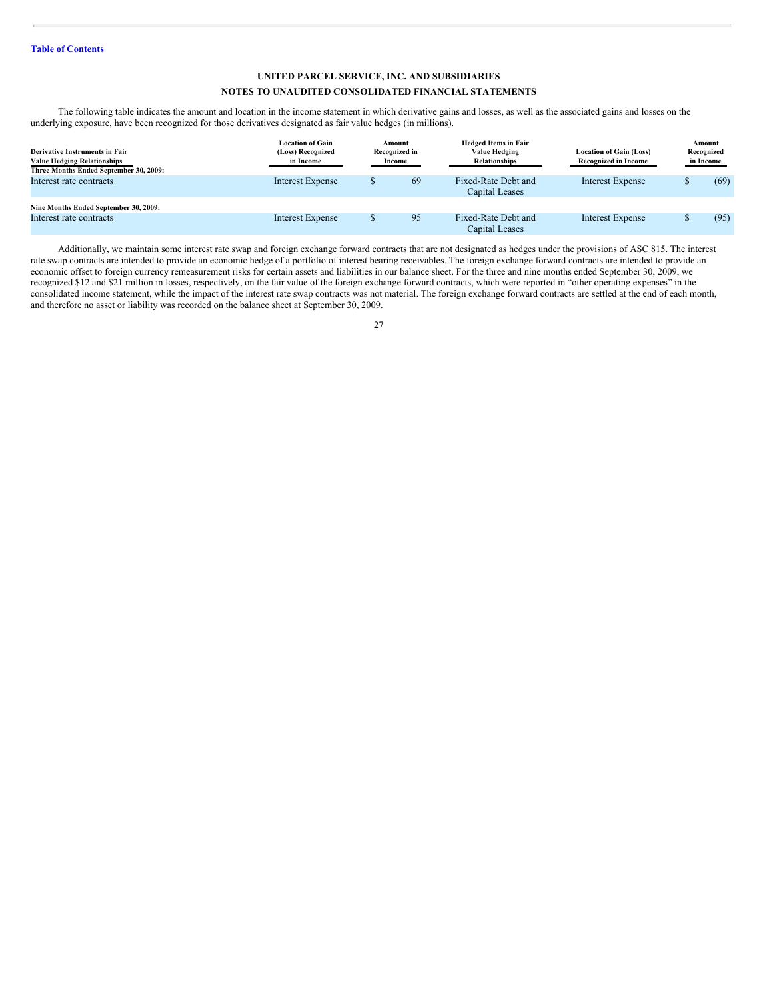The following table indicates the amount and location in the income statement in which derivative gains and losses, as well as the associated gains and losses on the underlying exposure, have been recognized for those derivatives designated as fair value hedges (in millions).

| <b>Derivative Instruments in Fair</b><br><b>Value Hedging Relationships</b><br>Three Months Ended September 30, 2009: | <b>Location of Gain</b><br>(Loss) Recognized<br>in Income |   | Amount<br><b>Recognized in</b><br>Income | <b>Hedged Items in Fair</b><br><b>Value Hedging</b><br><b>Relationships</b> | <b>Location of Gain (Loss)</b><br><b>Recognized in Income</b> | Amount<br>Recognized<br>in Income |
|-----------------------------------------------------------------------------------------------------------------------|-----------------------------------------------------------|---|------------------------------------------|-----------------------------------------------------------------------------|---------------------------------------------------------------|-----------------------------------|
| Interest rate contracts                                                                                               | Interest Expense                                          |   | 69                                       | Fixed-Rate Debt and<br>Capital Leases                                       | Interest Expense                                              | (69)                              |
| Nine Months Ended September 30, 2009:                                                                                 |                                                           |   |                                          |                                                                             |                                                               |                                   |
| Interest rate contracts                                                                                               | Interest Expense                                          | Φ | 95                                       | Fixed-Rate Debt and<br>Capital Leases                                       | <b>Interest Expense</b>                                       | (95)                              |

Additionally, we maintain some interest rate swap and foreign exchange forward contracts that are not designated as hedges under the provisions of ASC 815. The interest rate swap contracts are intended to provide an economic hedge of a portfolio of interest bearing receivables. The foreign exchange forward contracts are intended to provide an economic offset to foreign currency remeasurement risks for certain assets and liabilities in our balance sheet. For the three and nine months ended September 30, 2009, we recognized \$12 and \$21 million in losses, respectively, on the fair value of the foreign exchange forward contracts, which were reported in "other operating expenses" in the consolidated income statement, while the impact of the interest rate swap contracts was not material. The foreign exchange forward contracts are settled at the end of each month, and therefore no asset or liability was recorded on the balance sheet at September 30, 2009.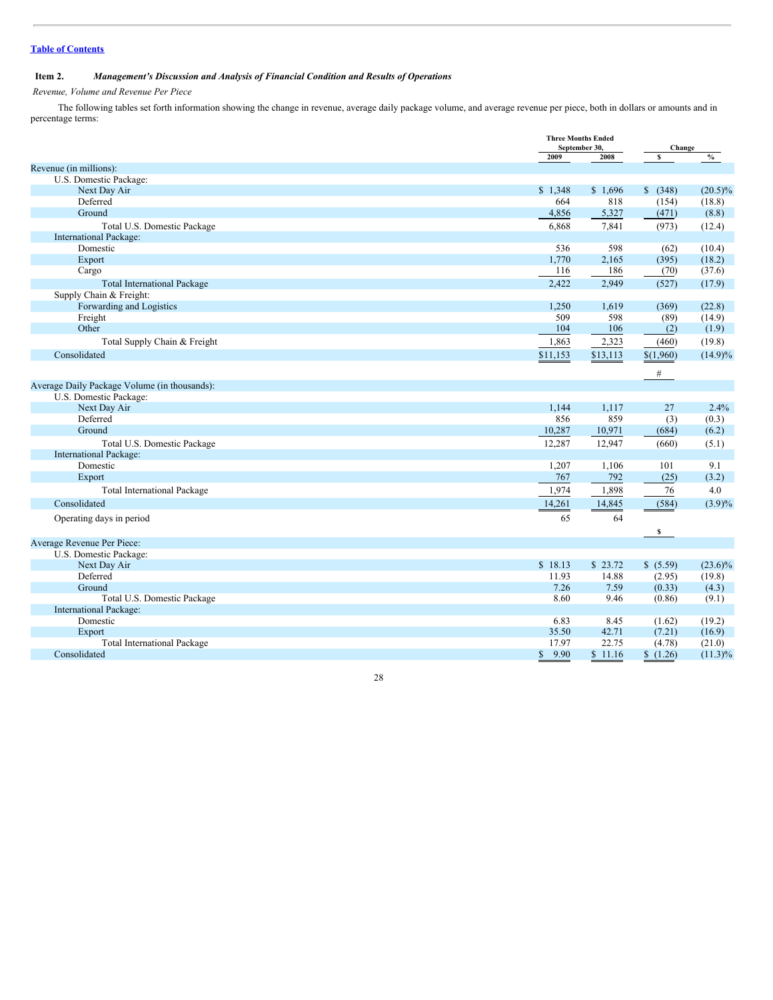## **Table of [Contents](#page-1-0)**

## <span id="page-29-1"></span><span id="page-29-0"></span>**Item 2.** *Management's Discussion and Analysis of Financial Condition and Results of Operations*

<span id="page-29-2"></span>*Revenue, Volume and Revenue Per Piece*

The following tables set forth information showing the change in revenue, average daily package volume, and average revenue per piece, both in dollars or amounts and in percentage terms:

|                                              |            | <b>Three Months Ended</b><br>September 30, |              | Change     |
|----------------------------------------------|------------|--------------------------------------------|--------------|------------|
|                                              | 2009       | 2008                                       | \$           | $\%$       |
| Revenue (in millions):                       |            |                                            |              |            |
| U.S. Domestic Package:                       |            |                                            |              |            |
| Next Day Air                                 | \$1.348    | \$1,696                                    | \$ (348)     | $(20.5)\%$ |
| Deferred                                     | 664        | 818                                        | (154)        | (18.8)     |
| Ground                                       | 4,856      | 5,327                                      | (471)        | (8.8)      |
| Total U.S. Domestic Package                  | 6,868      | 7,841                                      | (973)        | (12.4)     |
| International Package:                       |            |                                            |              |            |
| Domestic                                     | 536        | 598                                        | (62)         | (10.4)     |
| Export                                       | 1,770      | 2,165                                      | (395)        | (18.2)     |
| Cargo                                        | 116        | 186                                        | (70)         | (37.6)     |
| <b>Total International Package</b>           | 2,422      | 2,949                                      | (527)        | (17.9)     |
| Supply Chain & Freight:                      |            |                                            |              |            |
| Forwarding and Logistics                     | 1,250      | 1,619                                      | (369)        | (22.8)     |
| Freight                                      | 509        | 598                                        | (89)         | (14.9)     |
| Other                                        | 104        | 106                                        | (2)          | (1.9)      |
| Total Supply Chain & Freight                 | 1,863      | 2,323                                      | (460)        | (19.8)     |
| Consolidated                                 | \$11,153   | \$13,113                                   | \$(1,960)    | $(14.9)\%$ |
|                                              |            |                                            |              |            |
|                                              |            |                                            | $\#$         |            |
| Average Daily Package Volume (in thousands): |            |                                            |              |            |
| U.S. Domestic Package:                       |            |                                            |              |            |
| Next Day Air                                 | 1,144      | 1,117                                      | 27           | 2.4%       |
| Deferred                                     | 856        | 859                                        | (3)          | (0.3)      |
| Ground                                       | 10,287     | 10,971                                     | (684)        | (6.2)      |
| Total U.S. Domestic Package                  | 12,287     | 12,947                                     | (660)        | (5.1)      |
| International Package:                       |            |                                            |              |            |
| Domestic                                     | 1,207      | 1,106                                      | 101          | 9.1        |
| Export                                       | 767        | 792                                        | (25)         | (3.2)      |
| <b>Total International Package</b>           | 1,974      | 1,898                                      | 76           | 4.0        |
| Consolidated                                 | 14,261     | 14,845                                     | (584)        | $(3.9)\%$  |
|                                              |            |                                            |              |            |
| Operating days in period                     | 65         | 64                                         |              |            |
|                                              |            |                                            | $\mathbf{s}$ |            |
| Average Revenue Per Piece:                   |            |                                            |              |            |
| U.S. Domestic Package:                       |            |                                            |              |            |
| Next Day Air                                 | \$18.13    | \$23.72                                    | \$ (5.59)    | $(23.6)\%$ |
| Deferred                                     | 11.93      | 14.88                                      | (2.95)       | (19.8)     |
| Ground                                       | 7.26       | 7.59                                       | (0.33)       | (4.3)      |
| Total U.S. Domestic Package                  | 8.60       | 9.46                                       | (0.86)       | (9.1)      |
| International Package:                       |            |                                            |              |            |
| Domestic                                     | 6.83       | 8.45                                       | (1.62)       | (19.2)     |
| Export                                       | 35.50      | 42.71                                      | (7.21)       | (16.9)     |
| <b>Total International Package</b>           | 17.97      | 22.75                                      | (4.78)       | (21.0)     |
| Consolidated                                 | 9.90<br>\$ | \$11.16                                    | \$(1.26)     | $(11.3)\%$ |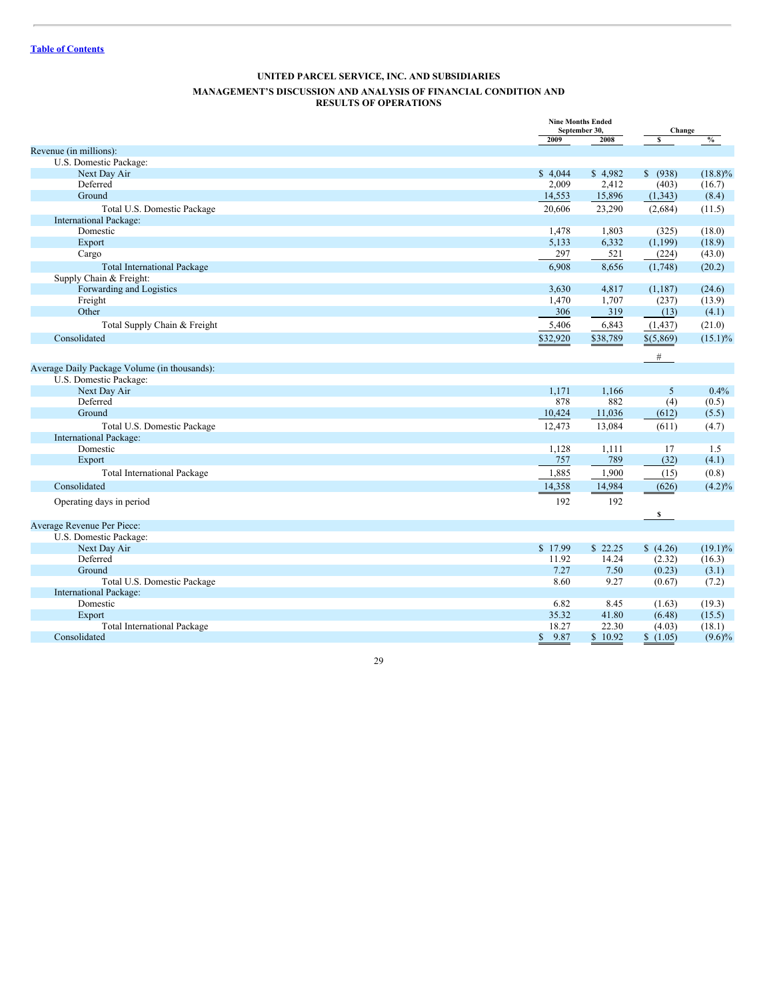|                                              |                      | <b>Nine Months Ended</b><br>September 30, |              | Change     |
|----------------------------------------------|----------------------|-------------------------------------------|--------------|------------|
|                                              | 2009                 | 2008                                      | s            | $\%$       |
| Revenue (in millions):                       |                      |                                           |              |            |
| U.S. Domestic Package:                       |                      |                                           |              |            |
| Next Day Air                                 | \$4.044              | \$4,982                                   | \$ (938)     | $(18.8)\%$ |
| Deferred                                     | 2,009                | 2,412                                     | (403)        | (16.7)     |
| Ground                                       | 14,553               | 15,896                                    | (1, 343)     | (8.4)      |
| Total U.S. Domestic Package                  | 20,606               | 23,290                                    | (2,684)      | (11.5)     |
| International Package:                       |                      |                                           |              |            |
| Domestic                                     | 1,478                | 1,803                                     | (325)        | (18.0)     |
| Export                                       | 5,133                | 6,332                                     | (1,199)      | (18.9)     |
| Cargo                                        | 297                  | 521                                       | (224)        | (43.0)     |
| <b>Total International Package</b>           | 6,908                | 8,656                                     | (1,748)      | (20.2)     |
| Supply Chain & Freight:                      |                      |                                           |              |            |
| Forwarding and Logistics                     | 3,630                | 4,817                                     | (1,187)      | (24.6)     |
| Freight                                      | 1,470                | 1,707                                     | (237)        | (13.9)     |
| Other                                        | 306                  | 319                                       | (13)         | (4.1)      |
| Total Supply Chain & Freight                 | 5,406                | 6,843                                     | (1, 437)     | (21.0)     |
| Consolidated                                 | \$32,920             | \$38,789                                  | \$(5,869)    | $(15.1)\%$ |
|                                              |                      |                                           |              |            |
|                                              |                      |                                           | $\#$         |            |
| Average Daily Package Volume (in thousands): |                      |                                           |              |            |
| U.S. Domestic Package:                       |                      |                                           |              |            |
| Next Day Air                                 | 1,171                | 1,166                                     | 5            | 0.4%       |
| Deferred                                     | 878                  | 882                                       | (4)          | (0.5)      |
| Ground                                       | 10,424               | 11,036                                    | (612)        | (5.5)      |
| Total U.S. Domestic Package                  | 12,473               | 13,084                                    | (611)        | (4.7)      |
| International Package:                       |                      |                                           |              |            |
| Domestic                                     | 1,128                | 1,111                                     | 17           | 1.5        |
| Export                                       | 757                  | 789                                       | (32)         | (4.1)      |
| <b>Total International Package</b>           | 1,885                | 1,900                                     | (15)         | (0.8)      |
| Consolidated                                 | 14,358               | 14,984                                    | (626)        | $(4.2)\%$  |
|                                              |                      |                                           |              |            |
| Operating days in period                     | 192                  | 192                                       |              |            |
|                                              |                      |                                           | $\mathbf{s}$ |            |
| Average Revenue Per Piece:                   |                      |                                           |              |            |
| U.S. Domestic Package:                       |                      |                                           |              |            |
| Next Day Air                                 | \$17.99              | \$22.25                                   | \$(4.26)     | $(19.1)\%$ |
| Deferred                                     | 11.92                | 14.24                                     | (2.32)       | (16.3)     |
| Ground                                       | 7.27                 | 7.50                                      | (0.23)       | (3.1)      |
| Total U.S. Domestic Package                  | 8.60                 | 9.27                                      | (0.67)       | (7.2)      |
| International Package:                       |                      |                                           |              |            |
| Domestic                                     | 6.82                 | 8.45                                      | (1.63)       | (19.3)     |
| Export                                       | 35.32                | 41.80                                     | (6.48)       | (15.5)     |
| <b>Total International Package</b>           | 18.27                | 22.30                                     | (4.03)       | (18.1)     |
| Consolidated                                 | 9.87<br>$\mathbb{S}$ | \$10.92                                   | \$(1.05)     | $(9.6)\%$  |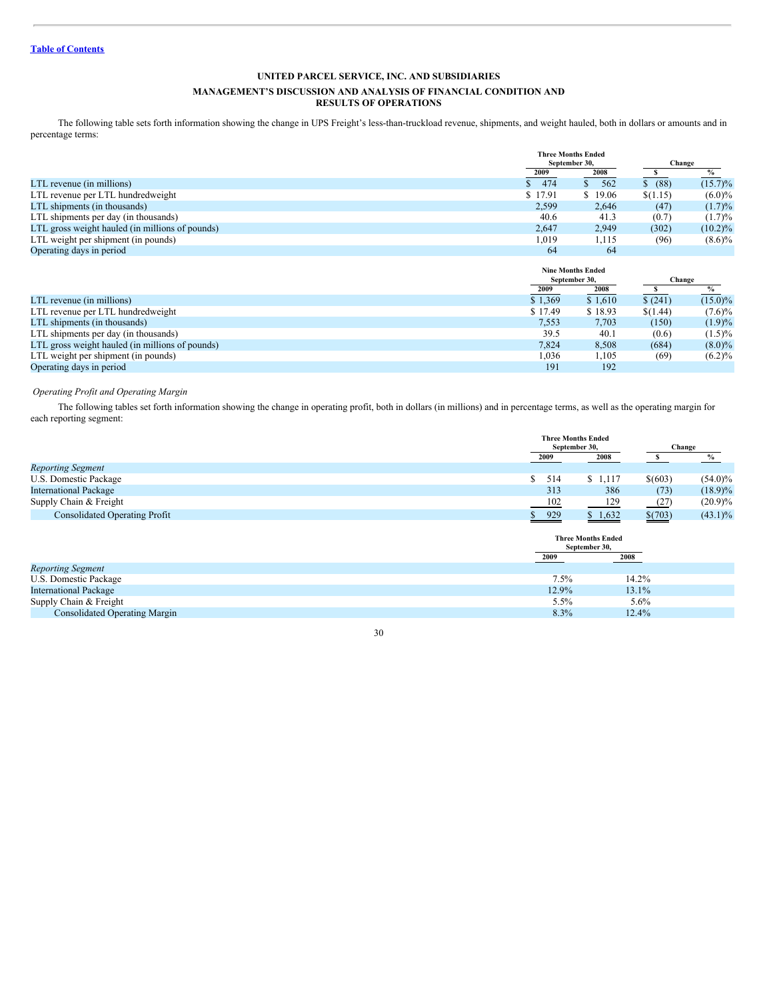The following table sets forth information showing the change in UPS Freight's less-than-truckload revenue, shipments, and weight hauled, both in dollars or amounts and in percentage terms:

|                                                 |         | <b>Three Months Ended</b> |          |            |
|-------------------------------------------------|---------|---------------------------|----------|------------|
|                                                 |         | September 30,             | Change   |            |
|                                                 | 2009    | 2008                      |          |            |
| LTL revenue (in millions)                       | \$474   | 562<br>S.                 | \$ (88)  | $(15.7)\%$ |
| LTL revenue per LTL hundredweight               | \$17.91 | \$19.06                   | \$(1.15) | $(6.0)\%$  |
| LTL shipments (in thousands)                    | 2,599   | 2,646                     | (47)     | $(1.7)\%$  |
| LTL shipments per day (in thousands)            | 40.6    | 41.3                      | (0.7)    | (1.7)%     |
| LTL gross weight hauled (in millions of pounds) | 2,647   | 2,949                     | (302)    | $(10.2)\%$ |
| LTL weight per shipment (in pounds)             | 1,019   | 1.115                     | (96)     | $(8.6)\%$  |
| Operating days in period                        | 64      | -64                       |          |            |

|                                                 |         | <b>Nine Months Ended</b><br>September 30, |          | Change     |
|-------------------------------------------------|---------|-------------------------------------------|----------|------------|
|                                                 | 2009    | 2008                                      |          |            |
| LTL revenue (in millions)                       | \$1,369 | \$1.610                                   | \$(241)  | $(15.0)\%$ |
| LTL revenue per LTL hundredweight               | \$17.49 | \$18.93                                   | \$(1.44) | $(7.6)\%$  |
| LTL shipments (in thousands)                    | 7,553   | 7,703                                     | (150)    | $(1.9)\%$  |
| LTL shipments per day (in thousands)            | 39.5    | 40.1                                      | (0.6)    | $(1.5)\%$  |
| LTL gross weight hauled (in millions of pounds) | 7,824   | 8,508                                     | (684)    | $(8.0)\%$  |
| LTL weight per shipment (in pounds)             | 1,036   | 1,105                                     | (69)     | $(6.2)\%$  |
| Operating days in period                        | 191     | 192                                       |          |            |

## <span id="page-31-0"></span>*Operating Profit and Operating Margin*

The following tables set forth information showing the change in operating profit, both in dollars (in millions) and in percentage terms, as well as the operating margin for each reporting segment:

|                                      |           | <b>Three Months Ended</b> |                    |            |
|--------------------------------------|-----------|---------------------------|--------------------|------------|
|                                      |           | September 30,             |                    | Change     |
|                                      | 2009      | 2008                      |                    | %          |
| <b>Reporting Segment</b>             |           |                           |                    |            |
| U.S. Domestic Package                | 514<br>\$ | \$1,117                   | \$(603)            | $(54.0)\%$ |
| <b>International Package</b>         | 313       | 386                       | (73)               | $(18.9)\%$ |
| Supply Chain & Freight               | 102       | 129                       | (27)               | $(20.9)\%$ |
| <b>Consolidated Operating Profit</b> | 929       | \$1,632                   | $\frac{$(703)}{4}$ | $(43.1)\%$ |
|                                      |           |                           |                    |            |
|                                      |           | <b>Three Months Ended</b> |                    |            |

|                               |          | September 30, |  |  |
|-------------------------------|----------|---------------|--|--|
|                               | 2009     | 2008          |  |  |
| <b>Reporting Segment</b>      |          |               |  |  |
| U.S. Domestic Package         | $7.5\%$  | 14.2%         |  |  |
| <b>International Package</b>  | $12.9\%$ | 13.1%         |  |  |
| Supply Chain & Freight        | 5.5%     | 5.6%          |  |  |
| Consolidated Operating Margin | 8.3%     | 12.4%         |  |  |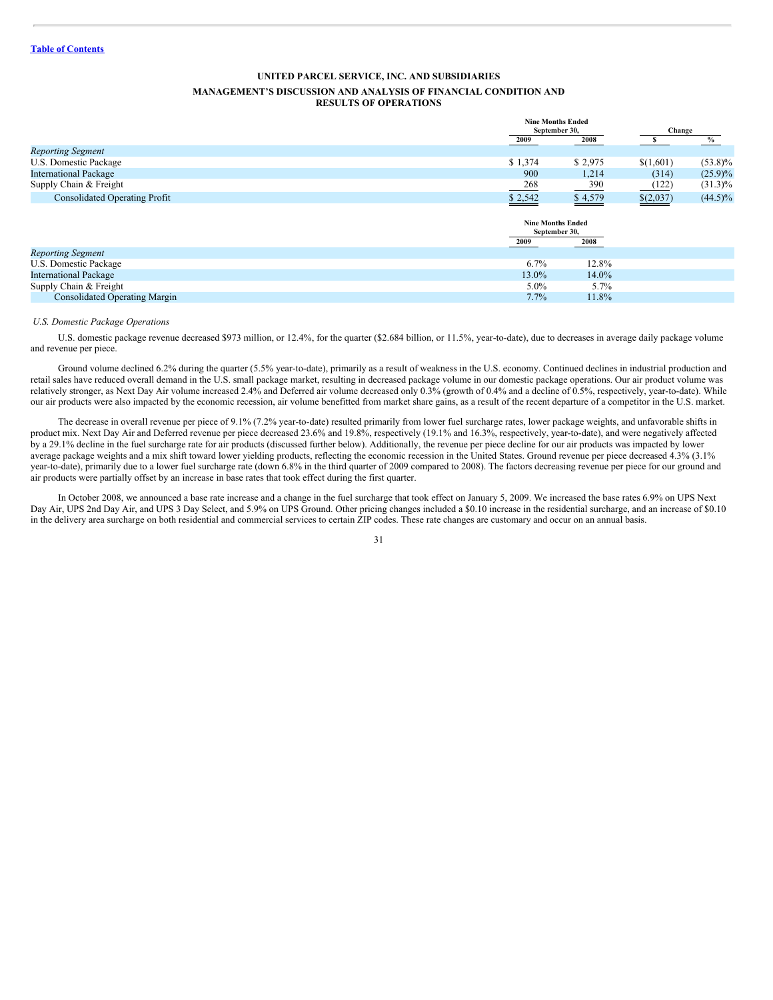|                                      |         | <b>Nine Months Ended</b>                  |           |            |  |  |
|--------------------------------------|---------|-------------------------------------------|-----------|------------|--|--|
|                                      |         | September 30,                             |           | Change     |  |  |
|                                      | 2009    | 2008                                      |           | $\%$       |  |  |
| <b>Reporting Segment</b>             |         |                                           |           |            |  |  |
| U.S. Domestic Package                | \$1,374 | \$2,975                                   | \$(1,601) | $(53.8)\%$ |  |  |
| <b>International Package</b>         | 900     | 1,214                                     | (314)     | $(25.9)\%$ |  |  |
| Supply Chain & Freight               | $-268$  | 390                                       | (122)     | $(31.3)\%$ |  |  |
| <b>Consolidated Operating Profit</b> | \$2,542 | \$4,579                                   | \$(2,037) | $(44.5)\%$ |  |  |
|                                      |         | <b>Nine Months Ended</b><br>September 30, |           |            |  |  |
|                                      | 2009    | 2008                                      |           |            |  |  |
| <b>Reporting Segment</b>             |         |                                           |           |            |  |  |
| U.S. Domestic Package                | 6.7%    | 12.8%                                     |           |            |  |  |
| <b>International Package</b>         | 13.0%   | 14.0%                                     |           |            |  |  |
| Supply Chain & Freight               | $5.0\%$ | $5.7\%$                                   |           |            |  |  |
| <b>Consolidated Operating Margin</b> | $7.7\%$ | 11.8%                                     |           |            |  |  |

### <span id="page-32-0"></span>*U.S. Domestic Package Operations*

U.S. domestic package revenue decreased \$973 million, or 12.4%, for the quarter (\$2.684 billion, or 11.5%, year-to-date), due to decreases in average daily package volume and revenue per piece.

Ground volume declined 6.2% during the quarter (5.5% year-to-date), primarily as a result of weakness in the U.S. economy. Continued declines in industrial production and retail sales have reduced overall demand in the U.S. small package market, resulting in decreased package volume in our domestic package operations. Our air product volume was relatively stronger, as Next Day Air volume increased 2.4% and Deferred air volume decreased only 0.3% (growth of 0.4% and a decline of 0.5%, respectively, year-to-date). While our air products were also impacted by the economic recession, air volume benefitted from market share gains, as a result of the recent departure of a competitor in the U.S. market.

The decrease in overall revenue per piece of 9.1% (7.2% year-to-date) resulted primarily from lower fuel surcharge rates, lower package weights, and unfavorable shifts in product mix. Next Day Air and Deferred revenue per piece decreased 23.6% and 19.8%, respectively (19.1% and 16.3%, respectively, year-to-date), and were negatively affected by a 29.1% decline in the fuel surcharge rate for air products (discussed further below). Additionally, the revenue per piece decline for our air products was impacted by lower average package weights and a mix shift toward lower yielding products, reflecting the economic recession in the United States. Ground revenue per piece decreased 4.3% (3.1% year-to-date), primarily due to a lower fuel surcharge rate (down 6.8% in the third quarter of 2009 compared to 2008). The factors decreasing revenue per piece for our ground and air products were partially offset by an increase in base rates that took effect during the first quarter.

In October 2008, we announced a base rate increase and a change in the fuel surcharge that took effect on January 5, 2009. We increased the base rates 6.9% on UPS Next Day Air, UPS 2nd Day Air, and UPS 3 Day Select, and 5.9% on UPS Ground. Other pricing changes included a \$0.10 increase in the residential surcharge, and an increase of \$0.10 in the delivery area surcharge on both residential and commercial services to certain ZIP codes. These rate changes are customary and occur on an annual basis.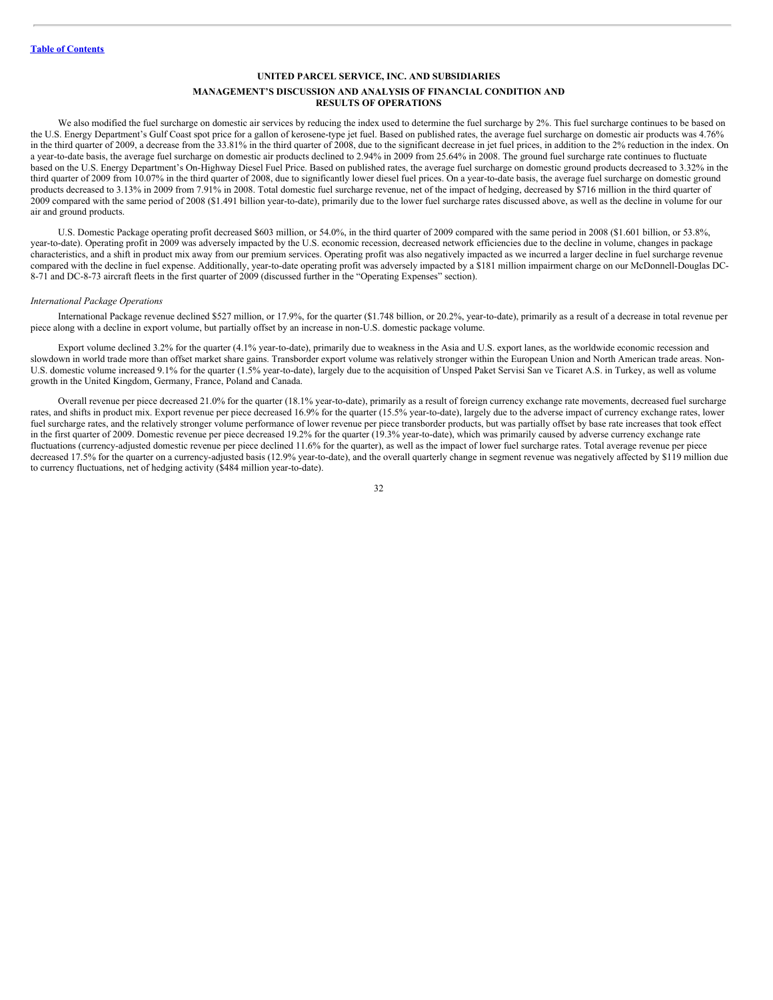We also modified the fuel surcharge on domestic air services by reducing the index used to determine the fuel surcharge by 2%. This fuel surcharge continues to be based on the U.S. Energy Department's Gulf Coast spot price for a gallon of kerosene-type jet fuel. Based on published rates, the average fuel surcharge on domestic air products was 4.76% in the third quarter of 2009, a decrease from the 33.81% in the third quarter of 2008, due to the significant decrease in jet fuel prices, in addition to the 2% reduction in the index. On a year-to-date basis, the average fuel surcharge on domestic air products declined to 2.94% in 2009 from 25.64% in 2008. The ground fuel surcharge rate continues to fluctuate based on the U.S. Energy Department's On-Highway Diesel Fuel Price. Based on published rates, the average fuel surcharge on domestic ground products decreased to 3.32% in the third quarter of 2009 from 10.07% in the third quarter of 2008, due to significantly lower diesel fuel prices. On a year-to-date basis, the average fuel surcharge on domestic ground products decreased to 3.13% in 2009 from 7.91% in 2008. Total domestic fuel surcharge revenue, net of the impact of hedging, decreased by \$716 million in the third quarter of 2009 compared with the same period of 2008 (\$1.491 billion year-to-date), primarily due to the lower fuel surcharge rates discussed above, as well as the decline in volume for our air and ground products.

U.S. Domestic Package operating profit decreased \$603 million, or 54.0%, in the third quarter of 2009 compared with the same period in 2008 (\$1.601 billion, or 53.8%, year-to-date). Operating profit in 2009 was adversely impacted by the U.S. economic recession, decreased network efficiencies due to the decline in volume, changes in package characteristics, and a shift in product mix away from our premium services. Operating profit was also negatively impacted as we incurred a larger decline in fuel surcharge revenue compared with the decline in fuel expense. Additionally, year-to-date operating profit was adversely impacted by a \$181 million impairment charge on our McDonnell-Douglas DC-8-71 and DC-8-73 aircraft fleets in the first quarter of 2009 (discussed further in the "Operating Expenses" section).

### *International Package Operations*

International Package revenue declined \$527 million, or 17.9%, for the quarter (\$1.748 billion, or 20.2%, year-to-date), primarily as a result of a decrease in total revenue per piece along with a decline in export volume, but partially offset by an increase in non-U.S. domestic package volume.

Export volume declined 3.2% for the quarter (4.1% year-to-date), primarily due to weakness in the Asia and U.S. export lanes, as the worldwide economic recession and slowdown in world trade more than offset market share gains. Transborder export volume was relatively stronger within the European Union and North American trade areas. Non-U.S. domestic volume increased 9.1% for the quarter (1.5% year-to-date), largely due to the acquisition of Unsped Paket Servisi San ve Ticaret A.S. in Turkey, as well as volume growth in the United Kingdom, Germany, France, Poland and Canada.

Overall revenue per piece decreased 21.0% for the quarter (18.1% year-to-date), primarily as a result of foreign currency exchange rate movements, decreased fuel surcharge rates, and shifts in product mix. Export revenue per piece decreased 16.9% for the quarter (15.5% year-to-date), largely due to the adverse impact of currency exchange rates, lower fuel surcharge rates, and the relatively stronger volume performance of lower revenue per piece transborder products, but was partially offset by base rate increases that took effect in the first quarter of 2009. Domestic revenue per piece decreased 19.2% for the quarter (19.3% year-to-date), which was primarily caused by adverse currency exchange rate fluctuations (currency-adjusted domestic revenue per piece declined 11.6% for the quarter), as well as the impact of lower fuel surcharge rates. Total average revenue per piece decreased 17.5% for the quarter on a currency-adjusted basis (12.9% year-to-date), and the overall quarterly change in segment revenue was negatively affected by \$119 million due to currency fluctuations, net of hedging activity (\$484 million year-to-date).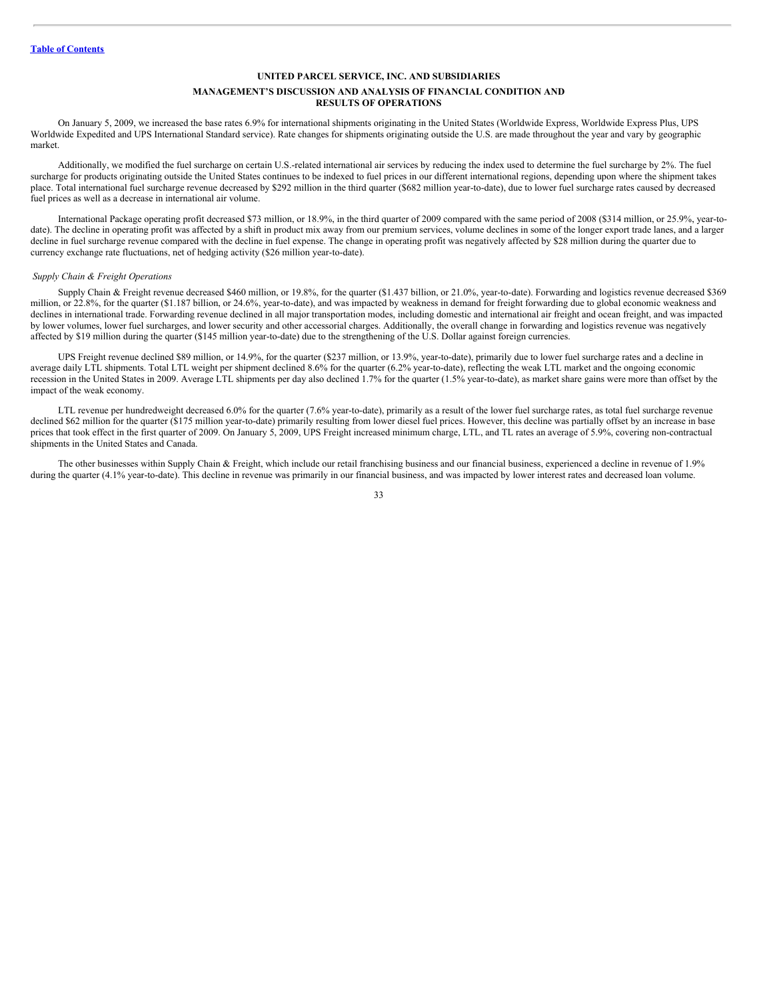On January 5, 2009, we increased the base rates 6.9% for international shipments originating in the United States (Worldwide Express, Worldwide Express Plus, UPS Worldwide Expedited and UPS International Standard service). Rate changes for shipments originating outside the U.S. are made throughout the year and vary by geographic market.

Additionally, we modified the fuel surcharge on certain U.S.-related international air services by reducing the index used to determine the fuel surcharge by 2%. The fuel surcharge for products originating outside the United States continues to be indexed to fuel prices in our different international regions, depending upon where the shipment takes place. Total international fuel surcharge revenue decreased by \$292 million in the third quarter (\$682 million year-to-date), due to lower fuel surcharge rates caused by decreased fuel prices as well as a decrease in international air volume.

International Package operating profit decreased \$73 million, or 18.9%, in the third quarter of 2009 compared with the same period of 2008 (\$314 million, or 25.9%, year-todate). The decline in operating profit was affected by a shift in product mix away from our premium services, volume declines in some of the longer export trade lanes, and a larger decline in fuel surcharge revenue compared with the decline in fuel expense. The change in operating profit was negatively affected by \$28 million during the quarter due to currency exchange rate fluctuations, net of hedging activity (\$26 million year-to-date).

### <span id="page-34-0"></span>*Supply Chain & Freight Operations*

Supply Chain & Freight revenue decreased \$460 million, or 19.8%, for the quarter (\$1.437 billion, or 21.0%, year-to-date). Forwarding and logistics revenue decreased \$369 million, or 22.8%, for the quarter (\$1.187 billion, or 24.6%, year-to-date), and was impacted by weakness in demand for freight forwarding due to global economic weakness and declines in international trade. Forwarding revenue declined in all major transportation modes, including domestic and international air freight and ocean freight, and was impacted by lower volumes, lower fuel surcharges, and lower security and other accessorial charges. Additionally, the overall change in forwarding and logistics revenue was negatively affected by \$19 million during the quarter (\$145 million year-to-date) due to the strengthening of the U.S. Dollar against foreign currencies.

UPS Freight revenue declined \$89 million, or 14.9%, for the quarter (\$237 million, or 13.9%, year-to-date), primarily due to lower fuel surcharge rates and a decline in average daily LTL shipments. Total LTL weight per shipment declined 8.6% for the quarter (6.2% year-to-date), reflecting the weak LTL market and the ongoing economic recession in the United States in 2009. Average LTL shipments per day also declined 1.7% for the quarter (1.5% year-to-date), as market share gains were more than offset by the impact of the weak economy.

LTL revenue per hundredweight decreased 6.0% for the quarter (7.6% year-to-date), primarily as a result of the lower fuel surcharge rates, as total fuel surcharge revenue declined \$62 million for the quarter (\$175 million year-to-date) primarily resulting from lower diesel fuel prices. However, this decline was partially offset by an increase in base prices that took effect in the first quarter of 2009. On January 5, 2009, UPS Freight increased minimum charge, LTL, and TL rates an average of 5.9%, covering non-contractual shipments in the United States and Canada.

The other businesses within Supply Chain & Freight, which include our retail franchising business and our financial business, experienced a decline in revenue of 1.9% during the quarter (4.1% year-to-date). This decline in revenue was primarily in our financial business, and was impacted by lower interest rates and decreased loan volume.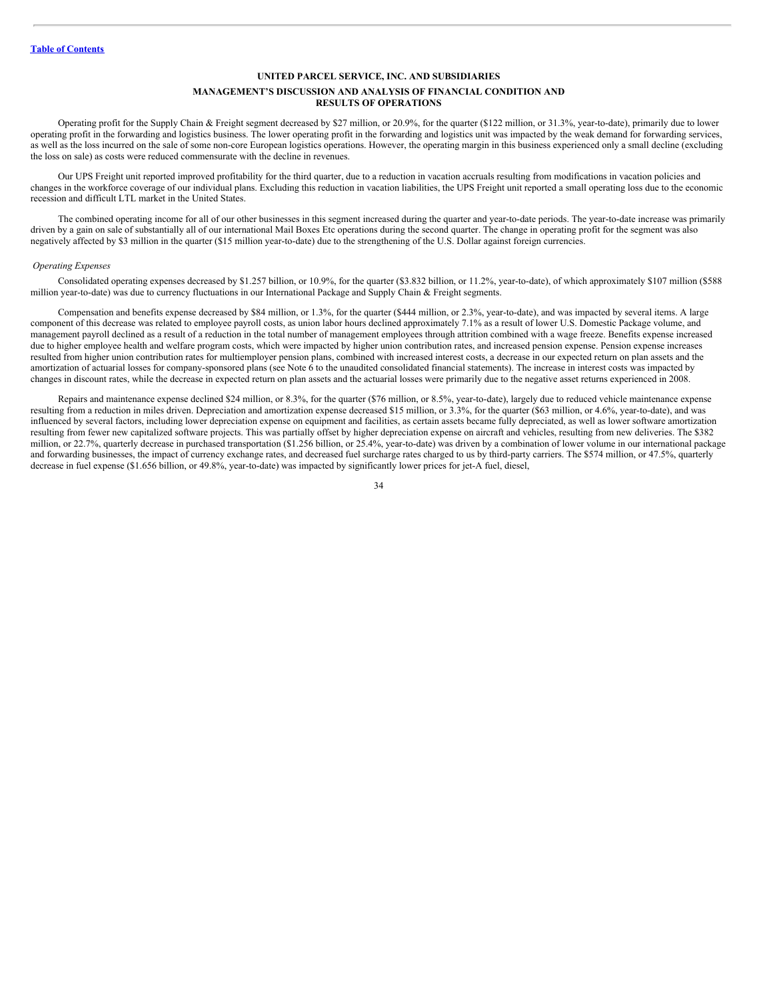Operating profit for the Supply Chain & Freight segment decreased by \$27 million, or 20.9%, for the quarter (\$122 million, or 31.3%, year-to-date), primarily due to lower operating profit in the forwarding and logistics business. The lower operating profit in the forwarding and logistics unit was impacted by the weak demand for forwarding services, as well as the loss incurred on the sale of some non-core European logistics operations. However, the operating margin in this business experienced only a small decline (excluding the loss on sale) as costs were reduced commensurate with the decline in revenues.

Our UPS Freight unit reported improved profitability for the third quarter, due to a reduction in vacation accruals resulting from modifications in vacation policies and changes in the workforce coverage of our individual plans. Excluding this reduction in vacation liabilities, the UPS Freight unit reported a small operating loss due to the economic recession and difficult LTL market in the United States.

The combined operating income for all of our other businesses in this segment increased during the quarter and year-to-date periods. The year-to-date increase was primarily driven by a gain on sale of substantially all of our international Mail Boxes Etc operations during the second quarter. The change in operating profit for the segment was also negatively affected by \$3 million in the quarter (\$15 million year-to-date) due to the strengthening of the U.S. Dollar against foreign currencies.

### <span id="page-35-0"></span>*Operating Expenses*

Consolidated operating expenses decreased by \$1.257 billion, or 10.9%, for the quarter (\$3.832 billion, or 11.2%, year-to-date), of which approximately \$107 million (\$588 million year-to-date) was due to currency fluctuations in our International Package and Supply Chain & Freight segments.

Compensation and benefits expense decreased by \$84 million, or 1.3%, for the quarter (\$444 million, or 2.3%, year-to-date), and was impacted by several items. A large component of this decrease was related to employee payroll costs, as union labor hours declined approximately 7.1% as a result of lower U.S. Domestic Package volume, and management payroll declined as a result of a reduction in the total number of management employees through attrition combined with a wage freeze. Benefits expense increased due to higher employee health and welfare program costs, which were impacted by higher union contribution rates, and increased pension expense. Pension expense increases resulted from higher union contribution rates for multiemployer pension plans, combined with increased interest costs, a decrease in our expected return on plan assets and the amortization of actuarial losses for company-sponsored plans (see Note 6 to the unaudited consolidated financial statements). The increase in interest costs was impacted by changes in discount rates, while the decrease in expected return on plan assets and the actuarial losses were primarily due to the negative asset returns experienced in 2008.

Repairs and maintenance expense declined \$24 million, or 8.3%, for the quarter (\$76 million, or 8.5%, year-to-date), largely due to reduced vehicle maintenance expense resulting from a reduction in miles driven. Depreciation and amortization expense decreased \$15 million, or 3.3%, for the quarter (\$63 million, or 4.6%, year-to-date), and was influenced by several factors, including lower depreciation expense on equipment and facilities, as certain assets became fully depreciated, as well as lower software amortization resulting from fewer new capitalized software projects. This was partially offset by higher depreciation expense on aircraft and vehicles, resulting from new deliveries. The \$382 million, or 22.7%, quarterly decrease in purchased transportation (\$1.256 billion, or 25.4%, year-to-date) was driven by a combination of lower volume in our international package and forwarding businesses, the impact of currency exchange rates, and decreased fuel surcharge rates charged to us by third-party carriers. The \$574 million, or 47.5%, quarterly decrease in fuel expense (\$1.656 billion, or 49.8%, year-to-date) was impacted by significantly lower prices for jet-A fuel, diesel,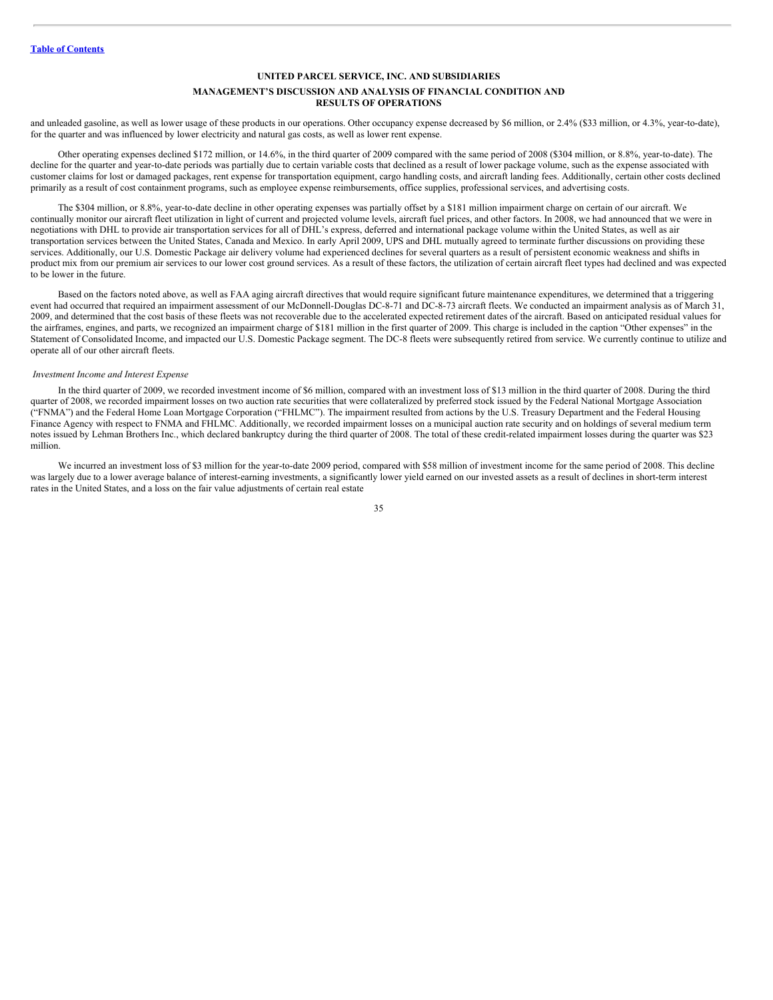and unleaded gasoline, as well as lower usage of these products in our operations. Other occupancy expense decreased by \$6 million, or 2.4% (\$33 million, or 4.3%, year-to-date), for the quarter and was influenced by lower electricity and natural gas costs, as well as lower rent expense.

Other operating expenses declined \$172 million, or 14.6%, in the third quarter of 2009 compared with the same period of 2008 (\$304 million, or 8.8%, year-to-date). The decline for the quarter and year-to-date periods was partially due to certain variable costs that declined as a result of lower package volume, such as the expense associated with customer claims for lost or damaged packages, rent expense for transportation equipment, cargo handling costs, and aircraft landing fees. Additionally, certain other costs declined primarily as a result of cost containment programs, such as employee expense reimbursements, office supplies, professional services, and advertising costs.

The \$304 million, or 8.8%, year-to-date decline in other operating expenses was partially offset by a \$181 million impairment charge on certain of our aircraft. We continually monitor our aircraft fleet utilization in light of current and projected volume levels, aircraft fuel prices, and other factors. In 2008, we had announced that we were in negotiations with DHL to provide air transportation services for all of DHL's express, deferred and international package volume within the United States, as well as air transportation services between the United States, Canada and Mexico. In early April 2009, UPS and DHL mutually agreed to terminate further discussions on providing these services. Additionally, our U.S. Domestic Package air delivery volume had experienced declines for several quarters as a result of persistent economic weakness and shifts in product mix from our premium air services to our lower cost ground services. As a result of these factors, the utilization of certain aircraft fleet types had declined and was expected to be lower in the future.

Based on the factors noted above, as well as FAA aging aircraft directives that would require significant future maintenance expenditures, we determined that a triggering event had occurred that required an impairment assessment of our McDonnell-Douglas DC-8-71 and DC-8-73 aircraft fleets. We conducted an impairment analysis as of March 31, 2009, and determined that the cost basis of these fleets was not recoverable due to the accelerated expected retirement dates of the aircraft. Based on anticipated residual values for the airframes, engines, and parts, we recognized an impairment charge of \$181 million in the first quarter of 2009. This charge is included in the caption "Other expenses" in the Statement of Consolidated Income, and impacted our U.S. Domestic Package segment. The DC-8 fleets were subsequently retired from service. We currently continue to utilize and operate all of our other aircraft fleets.

### <span id="page-36-0"></span>*Investment Income and Interest Expense*

In the third quarter of 2009, we recorded investment income of \$6 million, compared with an investment loss of \$13 million in the third quarter of 2008. During the third quarter of 2008, we recorded impairment losses on two auction rate securities that were collateralized by preferred stock issued by the Federal National Mortgage Association ("FNMA") and the Federal Home Loan Mortgage Corporation ("FHLMC"). The impairment resulted from actions by the U.S. Treasury Department and the Federal Housing Finance Agency with respect to FNMA and FHLMC. Additionally, we recorded impairment losses on a municipal auction rate security and on holdings of several medium term notes issued by Lehman Brothers Inc., which declared bankruptcy during the third quarter of 2008. The total of these credit-related impairment losses during the quarter was \$23 million.

We incurred an investment loss of \$3 million for the year-to-date 2009 period, compared with \$58 million of investment income for the same period of 2008. This decline was largely due to a lower average balance of interest-earning investments, a significantly lower yield earned on our invested assets as a result of declines in short-term interest rates in the United States, and a loss on the fair value adjustments of certain real estate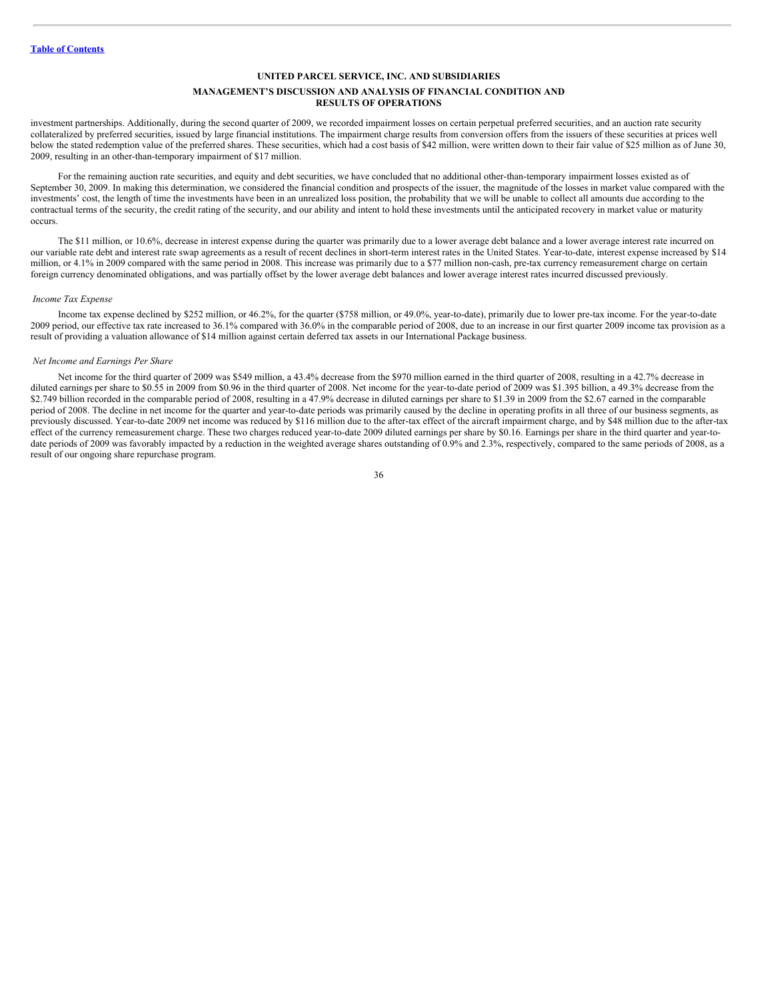investment partnerships. Additionally, during the second quarter of 2009, we recorded impairment losses on certain perpetual preferred securities, and an auction rate security collateralized by preferred securities, issued by large financial institutions. The impairment charge results from conversion offers from the issuers of these securities at prices well below the stated redemption value of the preferred shares. These securities, which had a cost basis of \$42 million, were written down to their fair value of \$25 million as of June 30, 2009, resulting in an other-than-temporary impairment of \$17 million.

For the remaining auction rate securities, and equity and debt securities, we have concluded that no additional other-than-temporary impairment losses existed as of September 30, 2009. In making this determination, we considered the financial condition and prospects of the issuer, the magnitude of the losses in market value compared with the investments' cost, the length of time the investments have been in an unrealized loss position, the probability that we will be unable to collect all amounts due according to the contractual terms of the security, the credit rating of the security, and our ability and intent to hold these investments until the anticipated recovery in market value or maturity occurs.

The \$11 million, or 10.6%, decrease in interest expense during the quarter was primarily due to a lower average debt balance and a lower average interest rate incurred on our variable rate debt and interest rate swap agreements as a result of recent declines in short-term interest rates in the United States. Year-to-date, interest expense increased by \$14 million, or 4.1% in 2009 compared with the same period in 2008. This increase was primarily due to a \$77 million non-cash, pre-tax currency remeasurement charge on certain foreign currency denominated obligations, and was partially offset by the lower average debt balances and lower average interest rates incurred discussed previously.

### <span id="page-37-0"></span>*Income Tax Expense*

Income tax expense declined by \$252 million, or 46.2%, for the quarter (\$758 million, or 49.0%, year-to-date), primarily due to lower pre-tax income. For the year-to-date 2009 period, our effective tax rate increased to 36.1% compared with 36.0% in the comparable period of 2008, due to an increase in our first quarter 2009 income tax provision as a result of providing a valuation allowance of \$14 million against certain deferred tax assets in our International Package business.

### <span id="page-37-1"></span>*Net Income and Earnings Per Share*

Net income for the third quarter of 2009 was \$549 million, a 43.4% decrease from the \$970 million earned in the third quarter of 2008, resulting in a 42.7% decrease in diluted earnings per share to \$0.55 in 2009 from \$0.96 in the third quarter of 2008. Net income for the year-to-date period of 2009 was \$1.395 billion, a 49.3% decrease from the \$2.749 billion recorded in the comparable period of 2008, resulting in a 47.9% decrease in diluted earnings per share to \$1.39 in 2009 from the \$2.67 earned in the comparable period of 2008. The decline in net income for the quarter and year-to-date periods was primarily caused by the decline in operating profits in all three of our business segments, as previously discussed. Year-to-date 2009 net income was reduced by \$116 million due to the after-tax effect of the aircraft impairment charge, and by \$48 million due to the after-tax effect of the currency remeasurement charge. These two charges reduced year-to-date 2009 diluted earnings per share by \$0.16. Earnings per share in the third quarter and year-todate periods of 2009 was favorably impacted by a reduction in the weighted average shares outstanding of 0.9% and 2.3%, respectively, compared to the same periods of 2008, as a result of our ongoing share repurchase program.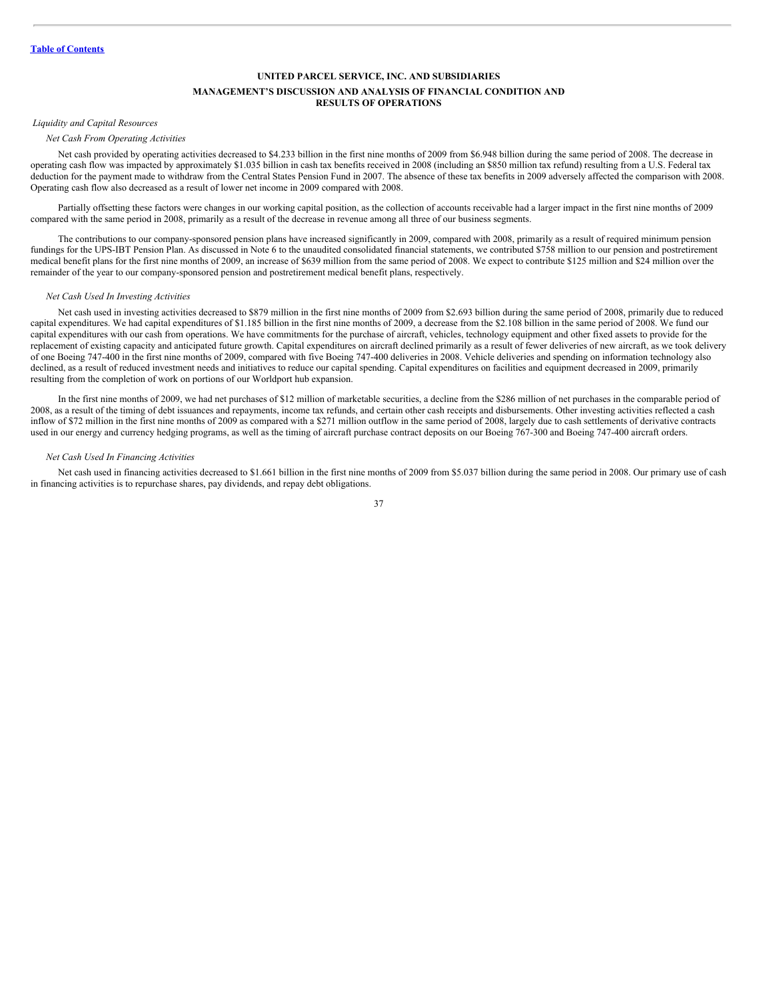### <span id="page-38-0"></span>*Liquidity and Capital Resources*

### <span id="page-38-1"></span>*Net Cash From Operating Activities*

Net cash provided by operating activities decreased to \$4.233 billion in the first nine months of 2009 from \$6.948 billion during the same period of 2008. The decrease in operating cash flow was impacted by approximately \$1.035 billion in cash tax benefits received in 2008 (including an \$850 million tax refund) resulting from a U.S. Federal tax deduction for the payment made to withdraw from the Central States Pension Fund in 2007. The absence of these tax benefits in 2009 adversely affected the comparison with 2008. Operating cash flow also decreased as a result of lower net income in 2009 compared with 2008.

Partially offsetting these factors were changes in our working capital position, as the collection of accounts receivable had a larger impact in the first nine months of 2009 compared with the same period in 2008, primarily as a result of the decrease in revenue among all three of our business segments.

The contributions to our company-sponsored pension plans have increased significantly in 2009, compared with 2008, primarily as a result of required minimum pension fundings for the UPS-IBT Pension Plan. As discussed in Note 6 to the unaudited consolidated financial statements, we contributed \$758 million to our pension and postretirement medical benefit plans for the first nine months of 2009, an increase of \$639 million from the same period of 2008. We expect to contribute \$125 million and \$24 million over the remainder of the year to our company-sponsored pension and postretirement medical benefit plans, respectively.

### <span id="page-38-2"></span>*Net Cash Used In Investing Activities*

Net cash used in investing activities decreased to \$879 million in the first nine months of 2009 from \$2.693 billion during the same period of 2008, primarily due to reduced capital expenditures. We had capital expenditures of \$1.185 billion in the first nine months of 2009, a decrease from the \$2.108 billion in the same period of 2008. We fund our capital expenditures with our cash from operations. We have commitments for the purchase of aircraft, vehicles, technology equipment and other fixed assets to provide for the replacement of existing capacity and anticipated future growth. Capital expenditures on aircraft declined primarily as a result of fewer deliveries of new aircraft, as we took delivery of one Boeing 747-400 in the first nine months of 2009, compared with five Boeing 747-400 deliveries in 2008. Vehicle deliveries and spending on information technology also declined, as a result of reduced investment needs and initiatives to reduce our capital spending. Capital expenditures on facilities and equipment decreased in 2009, primarily resulting from the completion of work on portions of our Worldport hub expansion.

In the first nine months of 2009, we had net purchases of \$12 million of marketable securities, a decline from the \$286 million of net purchases in the comparable period of 2008, as a result of the timing of debt issuances and repayments, income tax refunds, and certain other cash receipts and disbursements. Other investing activities reflected a cash inflow of \$72 million in the first nine months of 2009 as compared with a \$271 million outflow in the same period of 2008, largely due to cash settlements of derivative contracts used in our energy and currency hedging programs, as well as the timing of aircraft purchase contract deposits on our Boeing 767-300 and Boeing 747-400 aircraft orders.

### <span id="page-38-3"></span>*Net Cash Used In Financing Activities*

Net cash used in financing activities decreased to \$1.661 billion in the first nine months of 2009 from \$5.037 billion during the same period in 2008. Our primary use of cash in financing activities is to repurchase shares, pay dividends, and repay debt obligations.

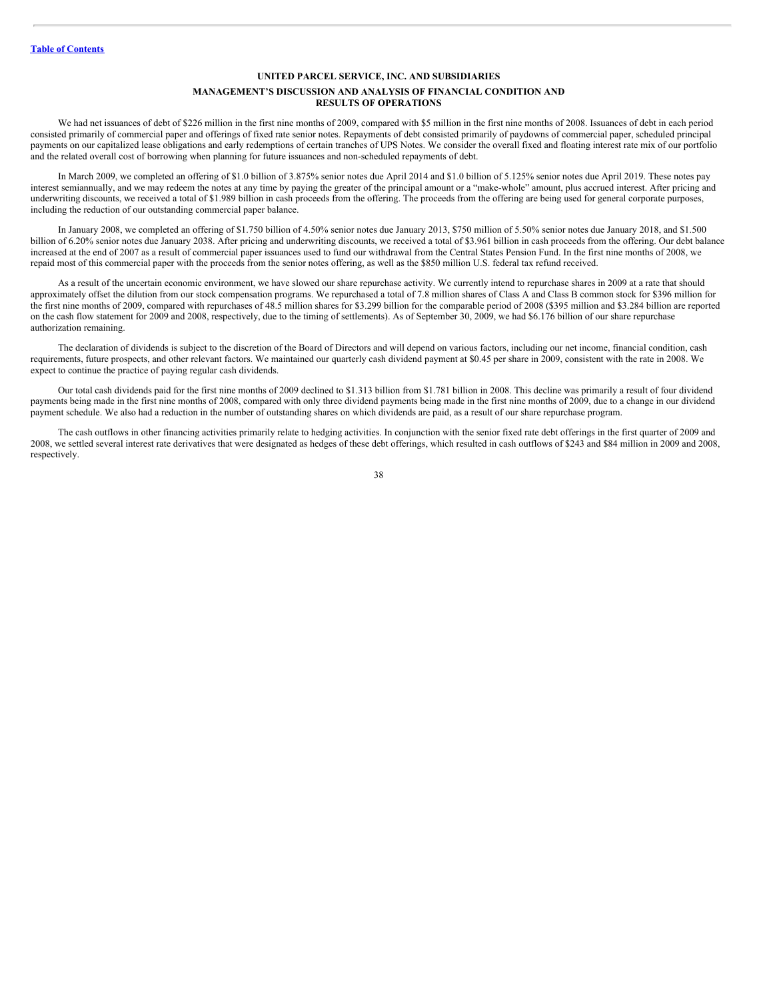We had net issuances of debt of \$226 million in the first nine months of 2009, compared with \$5 million in the first nine months of 2008. Issuances of debt in each period consisted primarily of commercial paper and offerings of fixed rate senior notes. Repayments of debt consisted primarily of paydowns of commercial paper, scheduled principal payments on our capitalized lease obligations and early redemptions of certain tranches of UPS Notes. We consider the overall fixed and floating interest rate mix of our portfolio and the related overall cost of borrowing when planning for future issuances and non-scheduled repayments of debt.

In March 2009, we completed an offering of \$1.0 billion of 3.875% senior notes due April 2014 and \$1.0 billion of 5.125% senior notes due April 2019. These notes pay interest semiannually, and we may redeem the notes at any time by paying the greater of the principal amount or a "make-whole" amount, plus accrued interest. After pricing and underwriting discounts, we received a total of \$1.989 billion in cash proceeds from the offering. The proceeds from the offering are being used for general corporate purposes, including the reduction of our outstanding commercial paper balance.

In January 2008, we completed an offering of \$1.750 billion of 4.50% senior notes due January 2013, \$750 million of 5.50% senior notes due January 2018, and \$1.500 billion of 6.20% senior notes due January 2038. After pricing and underwriting discounts, we received a total of \$3.961 billion in cash proceeds from the offering. Our debt balance increased at the end of 2007 as a result of commercial paper issuances used to fund our withdrawal from the Central States Pension Fund. In the first nine months of 2008, we repaid most of this commercial paper with the proceeds from the senior notes offering, as well as the \$850 million U.S. federal tax refund received.

As a result of the uncertain economic environment, we have slowed our share repurchase activity. We currently intend to repurchase shares in 2009 at a rate that should approximately offset the dilution from our stock compensation programs. We repurchased a total of 7.8 million shares of Class A and Class B common stock for \$396 million for the first nine months of 2009, compared with repurchases of 48.5 million shares for \$3.299 billion for the comparable period of 2008 (\$395 million and \$3.284 billion are reported on the cash flow statement for 2009 and 2008, respectively, due to the timing of settlements). As of September 30, 2009, we had \$6.176 billion of our share repurchase authorization remaining.

The declaration of dividends is subject to the discretion of the Board of Directors and will depend on various factors, including our net income, financial condition, cash requirements, future prospects, and other relevant factors. We maintained our quarterly cash dividend payment at \$0.45 per share in 2009, consistent with the rate in 2008. We expect to continue the practice of paying regular cash dividends.

Our total cash dividends paid for the first nine months of 2009 declined to \$1.313 billion from \$1.781 billion in 2008. This decline was primarily a result of four dividend payments being made in the first nine months of 2008, compared with only three dividend payments being made in the first nine months of 2009, due to a change in our dividend payment schedule. We also had a reduction in the number of outstanding shares on which dividends are paid, as a result of our share repurchase program.

The cash outflows in other financing activities primarily relate to hedging activities. In conjunction with the senior fixed rate debt offerings in the first quarter of 2009 and 2008, we settled several interest rate derivatives that were designated as hedges of these debt offerings, which resulted in cash outflows of \$243 and \$84 million in 2009 and 2008, respectively.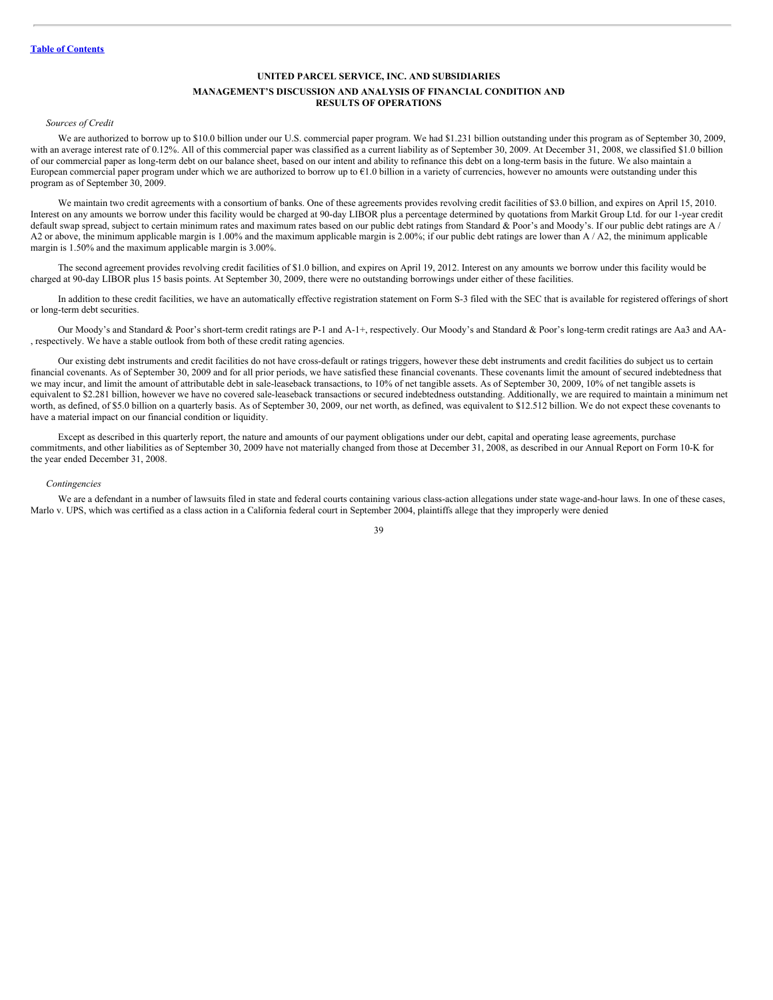## <span id="page-40-0"></span>*Sources of Credit*

We are authorized to borrow up to \$10.0 billion under our U.S. commercial paper program. We had \$1.231 billion outstanding under this program as of September 30, 2009, with an average interest rate of 0.12%. All of this commercial paper was classified as a current liability as of September 30, 2009. At December 31, 2008, we classified \$1.0 billion of our commercial paper as long-term debt on our balance sheet, based on our intent and ability to refinance this debt on a long-term basis in the future. We also maintain a European commercial paper program under which we are authorized to borrow up to €1.0 billion in a variety of currencies, however no amounts were outstanding under this program as of September 30, 2009.

We maintain two credit agreements with a consortium of banks. One of these agreements provides revolving credit facilities of \$3.0 billion, and expires on April 15, 2010. Interest on any amounts we borrow under this facility would be charged at 90-day LIBOR plus a percentage determined by quotations from Markit Group Ltd. for our 1-year credit default swap spread, subject to certain minimum rates and maximum rates based on our public debt ratings from Standard & Poor's and Moody's. If our public debt ratings are A / A2 or above, the minimum applicable margin is 1.00% and the maximum applicable margin is 2.00%; if our public debt ratings are lower than A / A2, the minimum applicable margin is 1.50% and the maximum applicable margin is 3.00%.

The second agreement provides revolving credit facilities of \$1.0 billion, and expires on April 19, 2012. Interest on any amounts we borrow under this facility would be charged at 90-day LIBOR plus 15 basis points. At September 30, 2009, there were no outstanding borrowings under either of these facilities.

In addition to these credit facilities, we have an automatically effective registration statement on Form S-3 filed with the SEC that is available for registered offerings of short or long-term debt securities.

Our Moody's and Standard & Poor's short-term credit ratings are P-1 and A-1+, respectively. Our Moody's and Standard & Poor's long-term credit ratings are Aa3 and AA- , respectively. We have a stable outlook from both of these credit rating agencies.

Our existing debt instruments and credit facilities do not have cross-default or ratings triggers, however these debt instruments and credit facilities do subject us to certain financial covenants. As of September 30, 2009 and for all prior periods, we have satisfied these financial covenants. These covenants limit the amount of secured indebtedness that we may incur, and limit the amount of attributable debt in sale-leaseback transactions, to 10% of net tangible assets. As of September 30, 2009, 10% of net tangible assets is equivalent to \$2.281 billion, however we have no covered sale-leaseback transactions or secured indebtedness outstanding. Additionally, we are required to maintain a minimum net worth, as defined, of \$5.0 billion on a quarterly basis. As of September 30, 2009, our net worth, as defined, was equivalent to \$12.512 billion. We do not expect these covenants to have a material impact on our financial condition or liquidity.

Except as described in this quarterly report, the nature and amounts of our payment obligations under our debt, capital and operating lease agreements, purchase commitments, and other liabilities as of September 30, 2009 have not materially changed from those at December 31, 2008, as described in our Annual Report on Form 10-K for the year ended December 31, 2008.

### <span id="page-40-1"></span>*Contingencies*

We are a defendant in a number of lawsuits filed in state and federal courts containing various class-action allegations under state wage-and-hour laws. In one of these cases, Marlo v. UPS, which was certified as a class action in a California federal court in September 2004, plaintiffs allege that they improperly were denied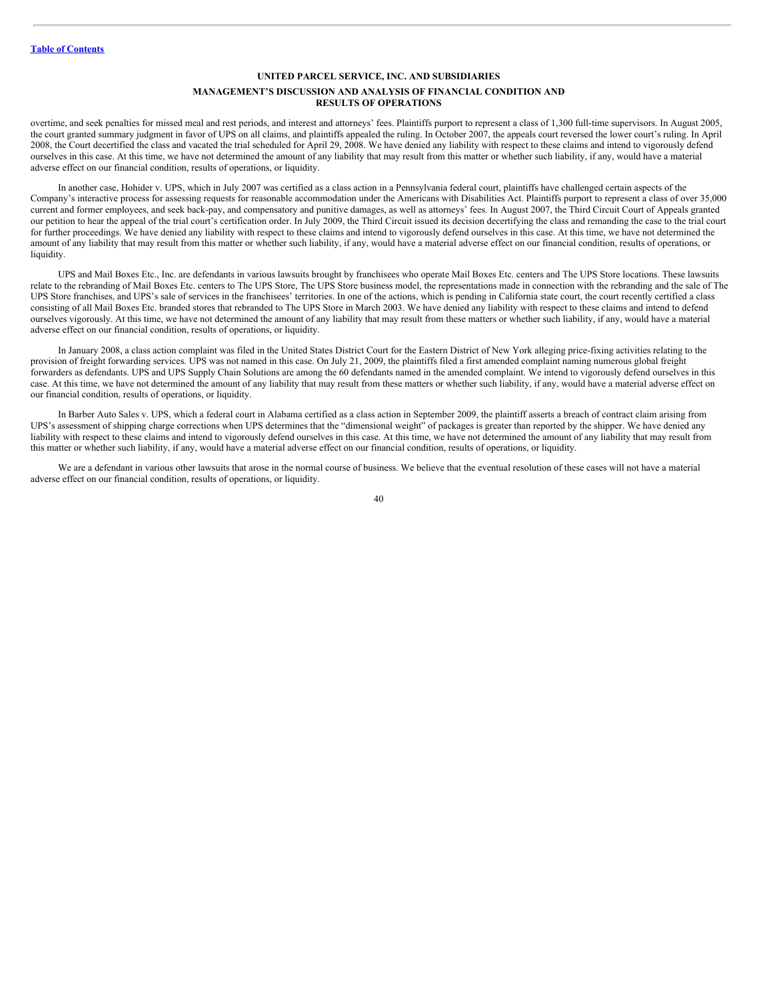overtime, and seek penalties for missed meal and rest periods, and interest and attorneys' fees. Plaintiffs purport to represent a class of 1,300 full-time supervisors. In August 2005, the court granted summary judgment in favor of UPS on all claims, and plaintiffs appealed the ruling. In October 2007, the appeals court reversed the lower court's ruling. In April 2008, the Court decertified the class and vacated the trial scheduled for April 29, 2008. We have denied any liability with respect to these claims and intend to vigorously defend ourselves in this case. At this time, we have not determined the amount of any liability that may result from this matter or whether such liability, if any, would have a material adverse effect on our financial condition, results of operations, or liquidity.

In another case, Hohider v. UPS, which in July 2007 was certified as a class action in a Pennsylvania federal court, plaintiffs have challenged certain aspects of the Company's interactive process for assessing requests for reasonable accommodation under the Americans with Disabilities Act. Plaintiffs purport to represent a class of over 35,000 current and former employees, and seek back-pay, and compensatory and punitive damages, as well as attorneys' fees. In August 2007, the Third Circuit Court of Appeals granted our petition to hear the appeal of the trial court's certification order. In July 2009, the Third Circuit issued its decision decertifying the class and remanding the case to the trial court for further proceedings. We have denied any liability with respect to these claims and intend to vigorously defend ourselves in this case. At this time, we have not determined the amount of any liability that may result from this matter or whether such liability, if any, would have a material adverse effect on our financial condition, results of operations, or liquidity

UPS and Mail Boxes Etc., Inc. are defendants in various lawsuits brought by franchisees who operate Mail Boxes Etc. centers and The UPS Store locations. These lawsuits relate to the rebranding of Mail Boxes Etc. centers to The UPS Store, The UPS Store business model, the representations made in connection with the rebranding and the sale of The UPS Store franchises, and UPS's sale of services in the franchisees' territories. In one of the actions, which is pending in California state court, the court recently certified a class consisting of all Mail Boxes Etc. branded stores that rebranded to The UPS Store in March 2003. We have denied any liability with respect to these claims and intend to defend ourselves vigorously. At this time, we have not determined the amount of any liability that may result from these matters or whether such liability, if any, would have a material adverse effect on our financial condition, results of operations, or liquidity.

In January 2008, a class action complaint was filed in the United States District Court for the Eastern District of New York alleging price-fixing activities relating to the provision of freight forwarding services. UPS was not named in this case. On July 21, 2009, the plaintiffs filed a first amended complaint naming numerous global freight forwarders as defendants. UPS and UPS Supply Chain Solutions are among the 60 defendants named in the amended complaint. We intend to vigorously defend ourselves in this case. At this time, we have not determined the amount of any liability that may result from these matters or whether such liability, if any, would have a material adverse effect on our financial condition, results of operations, or liquidity.

In Barber Auto Sales v. UPS, which a federal court in Alabama certified as a class action in September 2009, the plaintiff asserts a breach of contract claim arising from UPS's assessment of shipping charge corrections when UPS determines that the "dimensional weight" of packages is greater than reported by the shipper. We have denied any liability with respect to these claims and intend to vigorously defend ourselves in this case. At this time, we have not determined the amount of any liability that may result from this matter or whether such liability, if any, would have a material adverse effect on our financial condition, results of operations, or liquidity.

We are a defendant in various other lawsuits that arose in the normal course of business. We believe that the eventual resolution of these cases will not have a material adverse effect on our financial condition, results of operations, or liquidity.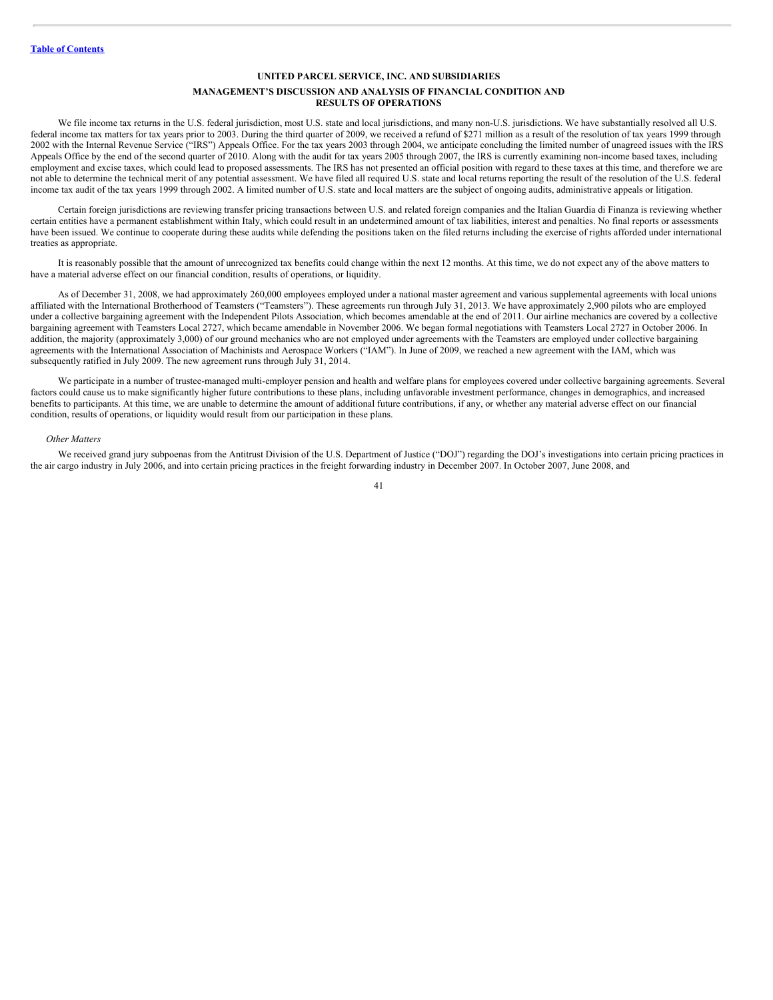We file income tax returns in the U.S. federal jurisdiction, most U.S. state and local jurisdictions, and many non-U.S. jurisdictions. We have substantially resolved all U.S. federal income tax matters for tax years prior to 2003. During the third quarter of 2009, we received a refund of \$271 million as a result of the resolution of tax years 1999 through 2002 with the Internal Revenue Service ("IRS") Appeals Office. For the tax years 2003 through 2004, we anticipate concluding the limited number of unagreed issues with the IRS Appeals Office by the end of the second quarter of 2010. Along with the audit for tax years 2005 through 2007, the IRS is currently examining non-income based taxes, including employment and excise taxes, which could lead to proposed assessments. The IRS has not presented an official position with regard to these taxes at this time, and therefore we are not able to determine the technical merit of any potential assessment. We have filed all required U.S. state and local returns reporting the result of the resolution of the U.S. federal income tax audit of the tax years 1999 through 2002. A limited number of U.S. state and local matters are the subject of ongoing audits, administrative appeals or litigation.

Certain foreign jurisdictions are reviewing transfer pricing transactions between U.S. and related foreign companies and the Italian Guardia di Finanza is reviewing whether certain entities have a permanent establishment within Italy, which could result in an undetermined amount of tax liabilities, interest and penalties. No final reports or assessments have been issued. We continue to cooperate during these audits while defending the positions taken on the filed returns including the exercise of rights afforded under international treaties as appropriate.

It is reasonably possible that the amount of unrecognized tax benefits could change within the next 12 months. At this time, we do not expect any of the above matters to have a material adverse effect on our financial condition, results of operations, or liquidity.

As of December 31, 2008, we had approximately 260,000 employees employed under a national master agreement and various supplemental agreements with local unions affiliated with the International Brotherhood of Teamsters ("Teamsters"). These agreements run through July 31, 2013. We have approximately 2,900 pilots who are employed under a collective bargaining agreement with the Independent Pilots Association, which becomes amendable at the end of 2011. Our airline mechanics are covered by a collective bargaining agreement with Teamsters Local 2727, which became amendable in November 2006. We began formal negotiations with Teamsters Local 2727 in October 2006. In addition, the majority (approximately 3,000) of our ground mechanics who are not employed under agreements with the Teamsters are employed under collective bargaining agreements with the International Association of Machinists and Aerospace Workers ("IAM"). In June of 2009, we reached a new agreement with the IAM, which was subsequently ratified in July 2009. The new agreement runs through July 31, 2014.

We participate in a number of trustee-managed multi-employer pension and health and welfare plans for employees covered under collective bargaining agreements. Several factors could cause us to make significantly higher future contributions to these plans, including unfavorable investment performance, changes in demographics, and increased benefits to participants. At this time, we are unable to determine the amount of additional future contributions, if any, or whether any material adverse effect on our financial condition, results of operations, or liquidity would result from our participation in these plans.

### <span id="page-42-0"></span>*Other Matters*

We received grand jury subpoenas from the Antitrust Division of the U.S. Department of Justice ("DOJ") regarding the DOJ's investigations into certain pricing practices in the air cargo industry in July 2006, and into certain pricing practices in the freight forwarding industry in December 2007. In October 2007, June 2008, and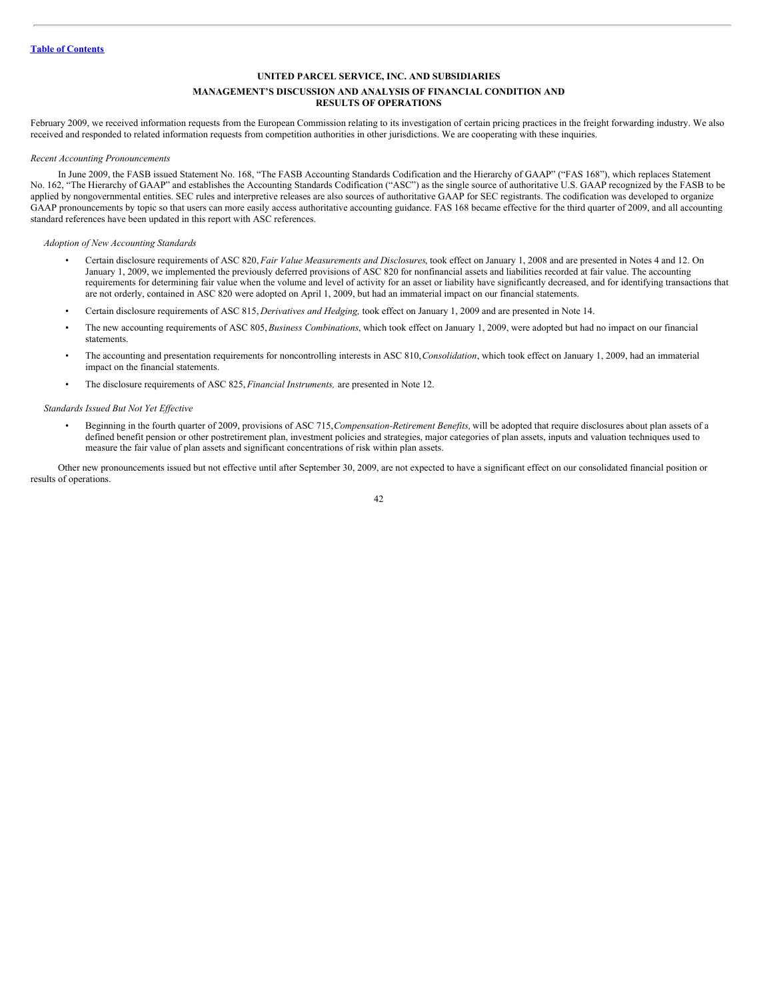February 2009, we received information requests from the European Commission relating to its investigation of certain pricing practices in the freight forwarding industry. We also received and responded to related information requests from competition authorities in other jurisdictions. We are cooperating with these inquiries.

### *Recent Accounting Pronouncements*

In June 2009, the FASB issued Statement No. 168, "The FASB Accounting Standards Codification and the Hierarchy of GAAP" ("FAS 168"), which replaces Statement No. 162, "The Hierarchy of GAAP" and establishes the Accounting Standards Codification ("ASC") as the single source of authoritative U.S. GAAP recognized by the FASB to be applied by nongovernmental entities. SEC rules and interpretive releases are also sources of authoritative GAAP for SEC registrants. The codification was developed to organize GAAP pronouncements by topic so that users can more easily access authoritative accounting guidance. FAS 168 became effective for the third quarter of 2009, and all accounting standard references have been updated in this report with ASC references.

### *Adoption of New Accounting Standards*

- Certain disclosure requirements of ASC 820, *Fair Value Measurements and Disclosures*, took effect on January 1, 2008 and are presented in Notes 4 and 12. On January 1, 2009, we implemented the previously deferred provisions of ASC 820 for nonfinancial assets and liabilities recorded at fair value. The accounting requirements for determining fair value when the volume and level of activity for an asset or liability have significantly decreased, and for identifying transactions that are not orderly, contained in ASC 820 were adopted on April 1, 2009, but had an immaterial impact on our financial statements.
- Certain disclosure requirements of ASC 815, *Derivatives and Hedging,* took effect on January 1, 2009 and are presented in Note 14.
- The new accounting requirements of ASC 805, *Business Combinations*, which took effect on January 1, 2009, were adopted but had no impact on our financial statements.
- The accounting and presentation requirements for noncontrolling interests in ASC 810,*Consolidation*, which took effect on January 1, 2009, had an immaterial impact on the financial statements.
- The disclosure requirements of ASC 825, *Financial Instruments,* are presented in Note 12.

### *Standards Issued But Not Yet Ef ective*

• Beginning in the fourth quarter of 2009, provisions of ASC 715,*Compensation-Retirement Benefits,* will be adopted that require disclosures about plan assets of a defined benefit pension or other postretirement plan, investment policies and strategies, major categories of plan assets, inputs and valuation techniques used to measure the fair value of plan assets and significant concentrations of risk within plan assets.

Other new pronouncements issued but not effective until after September 30, 2009, are not expected to have a significant effect on our consolidated financial position or results of operations.

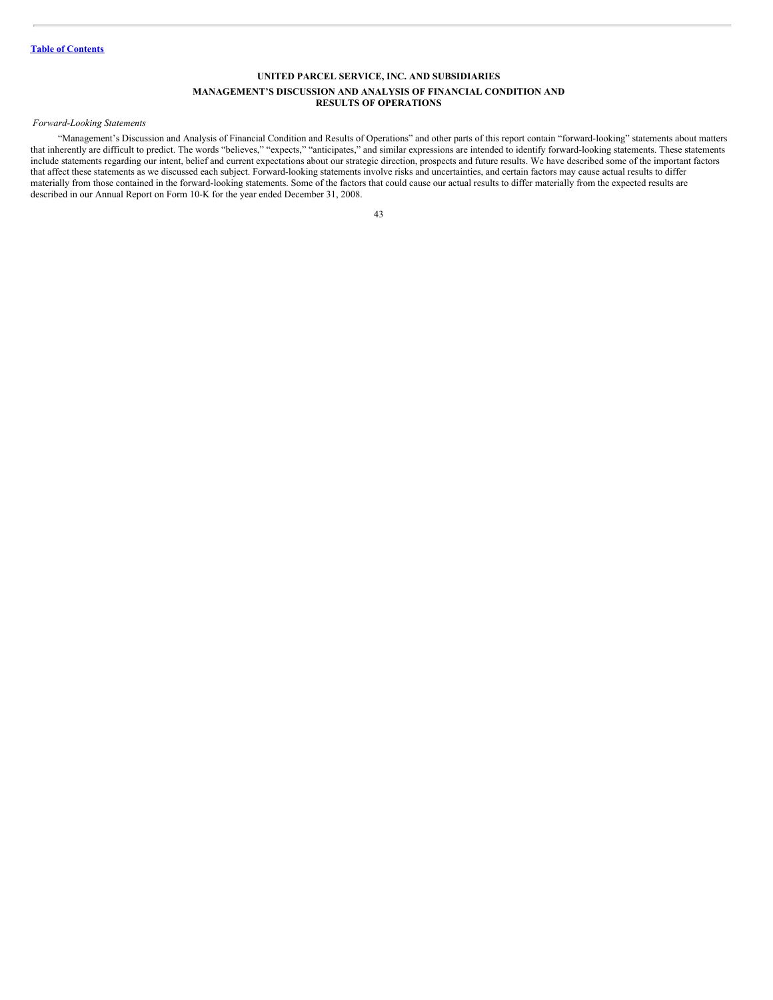### <span id="page-44-0"></span>*Forward-Looking Statements*

"Management's Discussion and Analysis of Financial Condition and Results of Operations" and other parts of this report contain "forward-looking" statements about matters that inherently are difficult to predict. The words "believes," "expects," "anticipates," and similar expressions are intended to identify forward-looking statements. These statements include statements regarding our intent, belief and current expectations about our strategic direction, prospects and future results. We have described some of the important factors that affect these statements as we discussed each subject. Forward-looking statements involve risks and uncertainties, and certain factors may cause actual results to differ materially from those contained in the forward-looking statements. Some of the factors that could cause our actual results to differ materially from the expected results are described in our Annual Report on Form 10-K for the year ended December 31, 2008.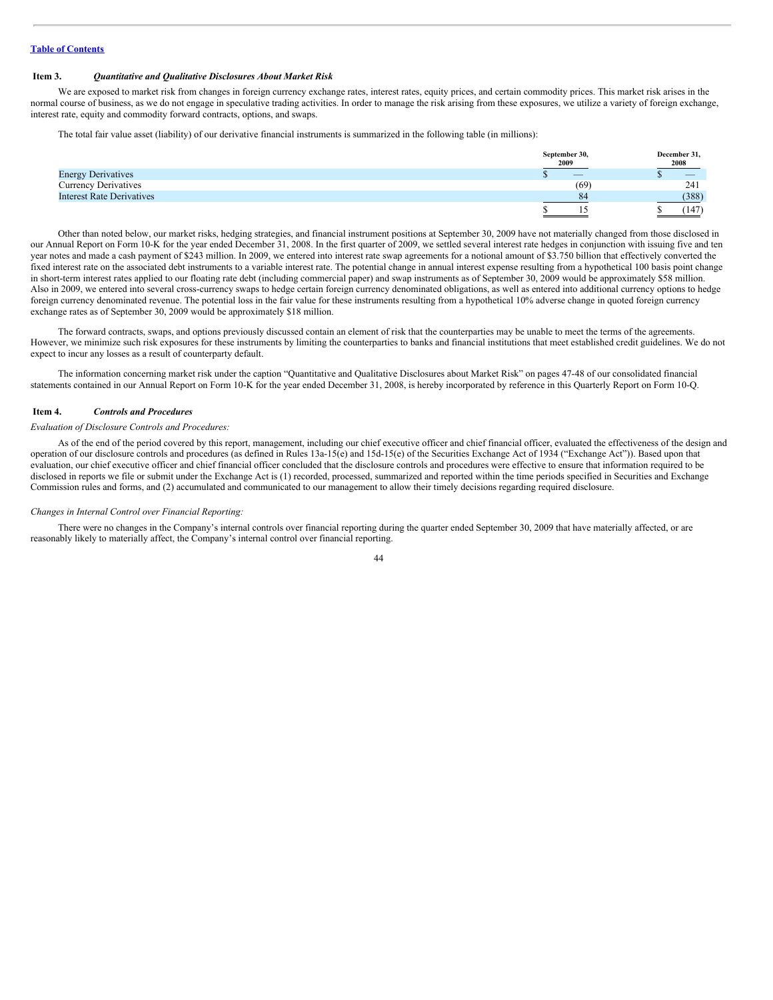### <span id="page-45-0"></span>**Item 3.** *Quantitative and Qualitative Disclosures About Market Risk*

We are exposed to market risk from changes in foreign currency exchange rates, interest rates, equity prices, and certain commodity prices. This market risk arises in the normal course of business, as we do not engage in speculative trading activities. In order to manage the risk arising from these exposures, we utilize a variety of foreign exchange, interest rate, equity and commodity forward contracts, options, and swaps.

The total fair value asset (liability) of our derivative financial instruments is summarized in the following table (in millions):

|                                  | September 30,<br>2009    | December 31,<br>2008 |
|----------------------------------|--------------------------|----------------------|
| <b>Energy Derivatives</b>        | $\overline{\phantom{m}}$ |                      |
| <b>Currency Derivatives</b>      | (69)                     | 241                  |
| <b>Interest Rate Derivatives</b> | 84                       | (388)                |
|                                  |                          | (147)                |

Other than noted below, our market risks, hedging strategies, and financial instrument positions at September 30, 2009 have not materially changed from those disclosed in our Annual Report on Form 10-K for the year ended December 31, 2008. In the first quarter of 2009, we settled several interest rate hedges in conjunction with issuing five and ten year notes and made a cash payment of \$243 million. In 2009, we entered into interest rate swap agreements for a notional amount of \$3.750 billion that effectively converted the fixed interest rate on the associated debt instruments to a variable interest rate. The potential change in annual interest expense resulting from a hypothetical 100 basis point change in short-term interest rates applied to our floating rate debt (including commercial paper) and swap instruments as of September 30, 2009 would be approximately \$58 million. Also in 2009, we entered into several cross-currency swaps to hedge certain foreign currency denominated obligations, as well as entered into additional currency options to hedge foreign currency denominated revenue. The potential loss in the fair value for these instruments resulting from a hypothetical 10% adverse change in quoted foreign currency exchange rates as of September 30, 2009 would be approximately \$18 million.

The forward contracts, swaps, and options previously discussed contain an element of risk that the counterparties may be unable to meet the terms of the agreements. However, we minimize such risk exposures for these instruments by limiting the counterparties to banks and financial institutions that meet established credit guidelines. We do not expect to incur any losses as a result of counterparty default.

The information concerning market risk under the caption "Quantitative and Qualitative Disclosures about Market Risk" on pages 47-48 of our consolidated financial statements contained in our Annual Report on Form 10-K for the year ended December 31, 2008, is hereby incorporated by reference in this Quarterly Report on Form 10-Q.

### <span id="page-45-1"></span>**Item 4.** *Controls and Procedures*

### *Evaluation of Disclosure Controls and Procedures:*

As of the end of the period covered by this report, management, including our chief executive officer and chief financial officer, evaluated the effectiveness of the design and operation of our disclosure controls and procedures (as defined in Rules 13a-15(e) and 15d-15(e) of the Securities Exchange Act of 1934 ("Exchange Act")). Based upon that evaluation, our chief executive officer and chief financial officer concluded that the disclosure controls and procedures were effective to ensure that information required to be disclosed in reports we file or submit under the Exchange Act is (1) recorded, processed, summarized and reported within the time periods specified in Securities and Exchange Commission rules and forms, and (2) accumulated and communicated to our management to allow their timely decisions regarding required disclosure.

### *Changes in Internal Control over Financial Reporting:*

There were no changes in the Company's internal controls over financial reporting during the quarter ended September 30, 2009 that have materially affected, or are reasonably likely to materially affect, the Company's internal control over financial reporting.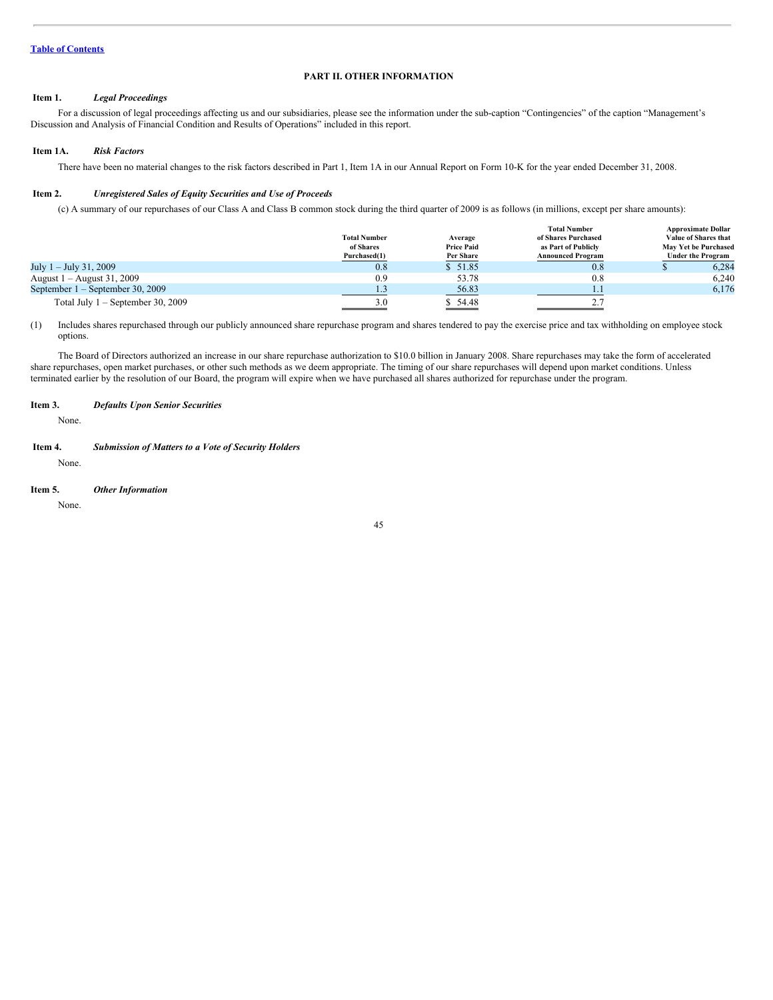## **PART II. OTHER INFORMATION**

## <span id="page-46-0"></span>**Item 1.** *Legal Proceedings*

For a discussion of legal proceedings affecting us and our subsidiaries, please see the information under the sub-caption "Contingencies" of the caption "Management's Discussion and Analysis of Financial Condition and Results of Operations" included in this report.

### <span id="page-46-1"></span>**Item 1A.** *Risk Factors*

There have been no material changes to the risk factors described in Part 1, Item 1A in our Annual Report on Form 10-K for the year ended December 31, 2008.

## <span id="page-46-2"></span>**Item 2.** *Unregistered Sales of Equity Securities and Use of Proceeds*

(c) A summary of our repurchases of our Class A and Class B common stock during the third quarter of 2009 is as follows (in millions, except per share amounts):

|                                     |                     |                   | <b>Total Number</b>      | <b>Approximate Dollar</b> |                                                         |  |  |
|-------------------------------------|---------------------|-------------------|--------------------------|---------------------------|---------------------------------------------------------|--|--|
|                                     | <b>Total Number</b> | Average           | of Shares Purchased      |                           | Value of Shares that                                    |  |  |
|                                     | of Shares           | <b>Price Paid</b> | as Part of Publicly      |                           | <b>May Yet be Purchased</b><br><b>Under the Program</b> |  |  |
|                                     | Purchased(1)        | Per Share         | <b>Announced Program</b> |                           |                                                         |  |  |
| July 1 – July 31, 2009              | 0.8                 | \$51.85           | 0.8                      |                           | 6.284                                                   |  |  |
| August $1 -$ August 31, 2009        | 0.9                 | 53.78             | 0.8                      |                           | 6.240                                                   |  |  |
| September $1 -$ September 30, 2009  |                     | <u>56.83</u>      |                          |                           | 6,176                                                   |  |  |
| Total July $1$ – September 30, 2009 | 3.0                 | \$54.48           | <u>.</u>                 |                           |                                                         |  |  |

(1) Includes shares repurchased through our publicly announced share repurchase program and shares tendered to pay the exercise price and tax withholding on employee stock options.

The Board of Directors authorized an increase in our share repurchase authorization to \$10.0 billion in January 2008. Share repurchases may take the form of accelerated share repurchases, open market purchases, or other such methods as we deem appropriate. The timing of our share repurchases will depend upon market conditions. Unless terminated earlier by the resolution of our Board, the program will expire when we have purchased all shares authorized for repurchase under the program.

### **Item 3.** *Defaults Upon Senior Securities*

None.

### <span id="page-46-3"></span>**Item 4.** *Submission of Matters to a Vote of Security Holders*

None.

### **Item 5.** *Other Information*

None.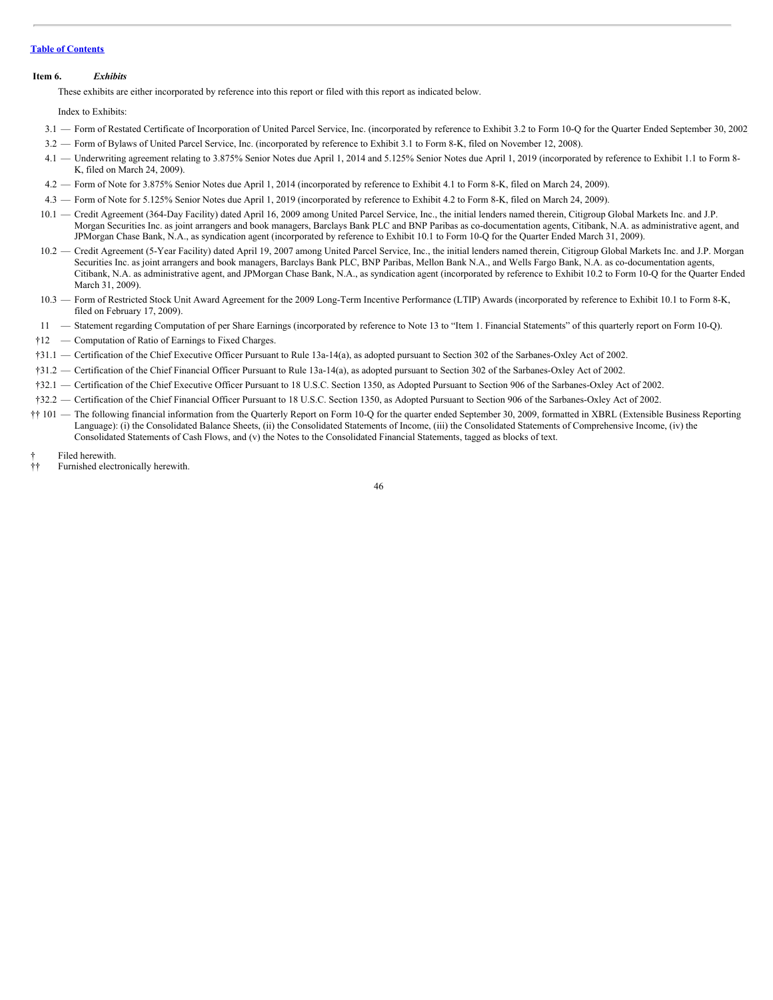### **Table of [Contents](#page-1-0)**

### <span id="page-47-0"></span>**Item 6.** *Exhibits*

These exhibits are either incorporated by reference into this report or filed with this report as indicated below.

Index to Exhibits:

- 3.1 Form of Restated Certificate of Incorporation of United Parcel Service, Inc. (incorporated by reference to Exhibit 3.2 to Form 10-Q for the Quarter Ended September 30, 2002).
- 3.2 Form of Bylaws of United Parcel Service, Inc. (incorporated by reference to Exhibit 3.1 to Form 8-K, filed on November 12, 2008).
- 4.1 Underwriting agreement relating to 3.875% Senior Notes due April 1, 2014 and 5.125% Senior Notes due April 1, 2019 (incorporated by reference to Exhibit 1.1 to Form 8- K, filed on March 24, 2009).
- 4.2 Form of Note for 3.875% Senior Notes due April 1, 2014 (incorporated by reference to Exhibit 4.1 to Form 8-K, filed on March 24, 2009).
- 4.3 Form of Note for 5.125% Senior Notes due April 1, 2019 (incorporated by reference to Exhibit 4.2 to Form 8-K, filed on March 24, 2009).
- 10.1 Credit Agreement (364-Day Facility) dated April 16, 2009 among United Parcel Service, Inc., the initial lenders named therein, Citigroup Global Markets Inc. and J.P. Morgan Securities Inc. as joint arrangers and book managers, Barclays Bank PLC and BNP Paribas as co-documentation agents, Citibank, N.A. as administrative agent, and JPMorgan Chase Bank, N.A., as syndication agent (incorporated by reference to Exhibit 10.1 to Form 10-Q for the Quarter Ended March 31, 2009).
- 10.2 Credit Agreement (5-Year Facility) dated April 19, 2007 among United Parcel Service, Inc., the initial lenders named therein, Citigroup Global Markets Inc. and J.P. Morgan Securities Inc. as joint arrangers and book managers, Barclays Bank PLC, BNP Paribas, Mellon Bank N.A., and Wells Fargo Bank, N.A. as co-documentation agents, Citibank, N.A. as administrative agent, and JPMorgan Chase Bank, N.A., as syndication agent (incorporated by reference to Exhibit 10.2 to Form 10-Q for the Quarter Ended March 31, 2009).
- 10.3 Form of Restricted Stock Unit Award Agreement for the 2009 Long-Term Incentive Performance (LTIP) Awards (incorporated by reference to Exhibit 10.1 to Form 8-K, filed on February 17, 2009).
- 11 Statement regarding Computation of per Share Earnings (incorporated by reference to Note 13 to "Item 1. Financial Statements" of this quarterly report on Form 10-Q).
- †12 Computation of Ratio of Earnings to Fixed Charges.
- †31.1 Certification of the Chief Executive Officer Pursuant to Rule 13a-14(a), as adopted pursuant to Section 302 of the Sarbanes-Oxley Act of 2002.
- †31.2 Certification of the Chief Financial Officer Pursuant to Rule 13a-14(a), as adopted pursuant to Section 302 of the Sarbanes-Oxley Act of 2002.
- †32.1 Certification of the Chief Executive Officer Pursuant to 18 U.S.C. Section 1350, as Adopted Pursuant to Section 906 of the Sarbanes-Oxley Act of 2002.
- †32.2 Certification of the Chief Financial Officer Pursuant to 18 U.S.C. Section 1350, as Adopted Pursuant to Section 906 of the Sarbanes-Oxley Act of 2002.
- †† 101 The following financial information from the Quarterly Report on Form 10-Q for the quarter ended September 30, 2009, formatted in XBRL (Extensible Business Reporting Language): (i) the Consolidated Balance Sheets, (ii) the Consolidated Statements of Income, (iii) the Consolidated Statements of Comprehensive Income, (iv) the Consolidated Statements of Cash Flows, and (v) the Notes to the Consolidated Financial Statements, tagged as blocks of text.
- † Filed herewith.
- †† Furnished electronically herewith.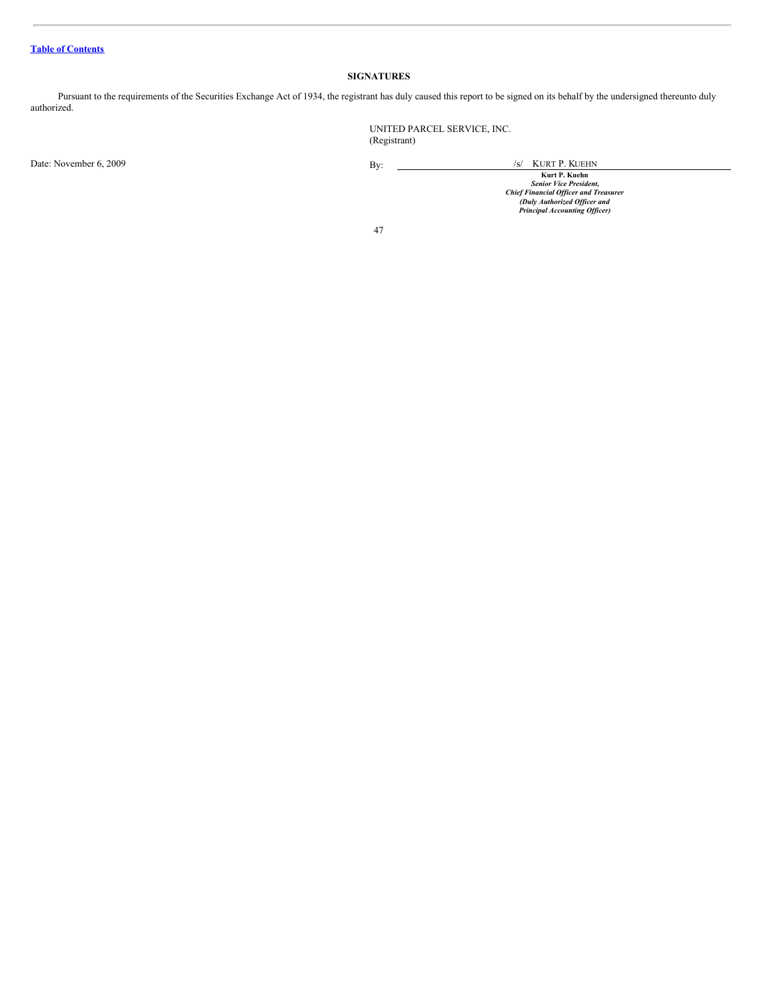## **SIGNATURES**

Pursuant to the requirements of the Securities Exchange Act of 1934, the registrant has duly caused this report to be signed on its behalf by the undersigned thereunto duly authorized.

> UNITED PARCEL SERVICE, INC. (Registrant)

Date: November 6, 2009 By:

/s/ KURT P. KUEHN Kurt P. Kuehn<br>Senior Vice President,<br>Chief Financial Officer and Treasurer<br>(Duly Authorized Officer and<br>Principal Accounting Officer)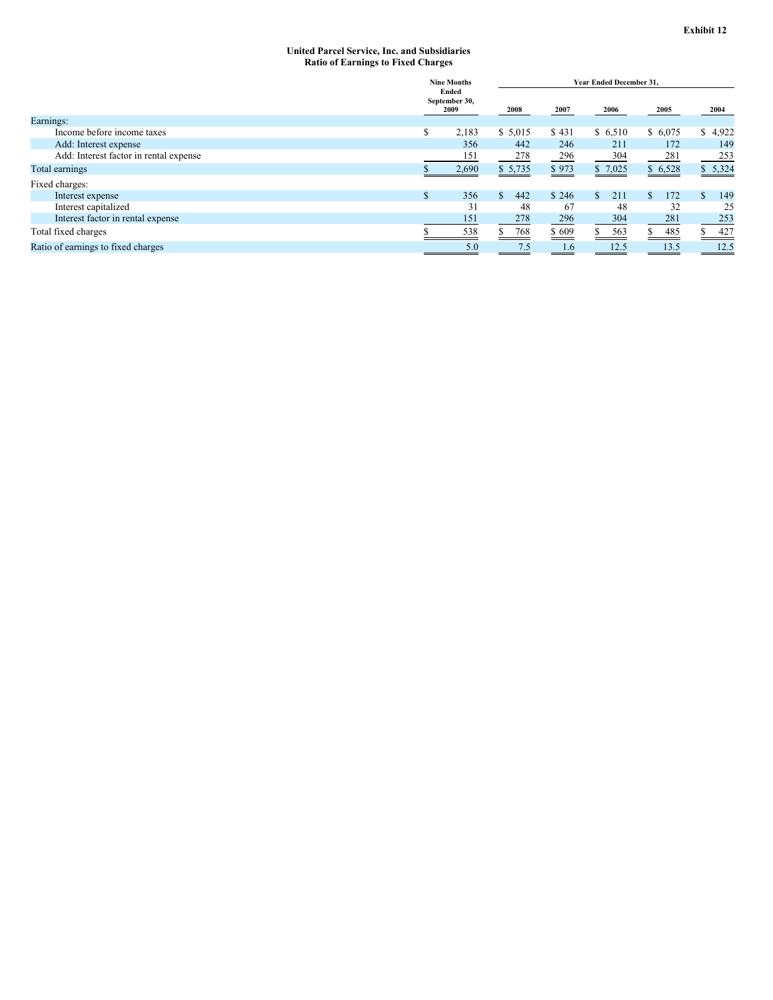### **United Parcel Service, Inc. and Subsidiaries Ratio of Earnings to Fixed Charges**

|                                        | <b>Nine Months</b> |                                |            | Year Ended December 31, |            |          |           |  |
|----------------------------------------|--------------------|--------------------------------|------------|-------------------------|------------|----------|-----------|--|
|                                        |                    | Ended<br>September 30,<br>2009 | 2008       | 2007                    | 2006       | 2005     | 2004      |  |
| Earnings:                              |                    |                                |            |                         |            |          |           |  |
| Income before income taxes             | S                  | 2,183                          | \$5,015    | \$431                   | \$6,510    | \$6,075  | \$4,922   |  |
| Add: Interest expense                  |                    | 356                            | 442        | 246                     | 211        | 172      | 149       |  |
| Add: Interest factor in rental expense |                    | 151                            | 278        | 296                     | 304        | 281      | 253       |  |
| Total earnings                         |                    | 2,690                          | \$5,735    | \$973                   | \$7,025    | \$6,528  | \$5,324   |  |
| Fixed charges:                         |                    |                                |            |                         |            |          |           |  |
| Interest expense                       | \$                 | 356                            | 442<br>\$. | \$246                   | 211<br>\$. | 172<br>S | 149<br>\$ |  |
| Interest capitalized                   |                    | 31                             | 48         | 67                      | 48         | 32       | 25        |  |
| Interest factor in rental expense      |                    | 151                            | 278        | 296                     | 304        | 281      | 253       |  |
| Total fixed charges                    |                    | 538                            | 768        | \$609                   | 563        | 485      | 427       |  |
| Ratio of earnings to fixed charges     |                    | 5.0                            | 7.5        | 1.6                     | 12.5       | 13.5     | 12.5      |  |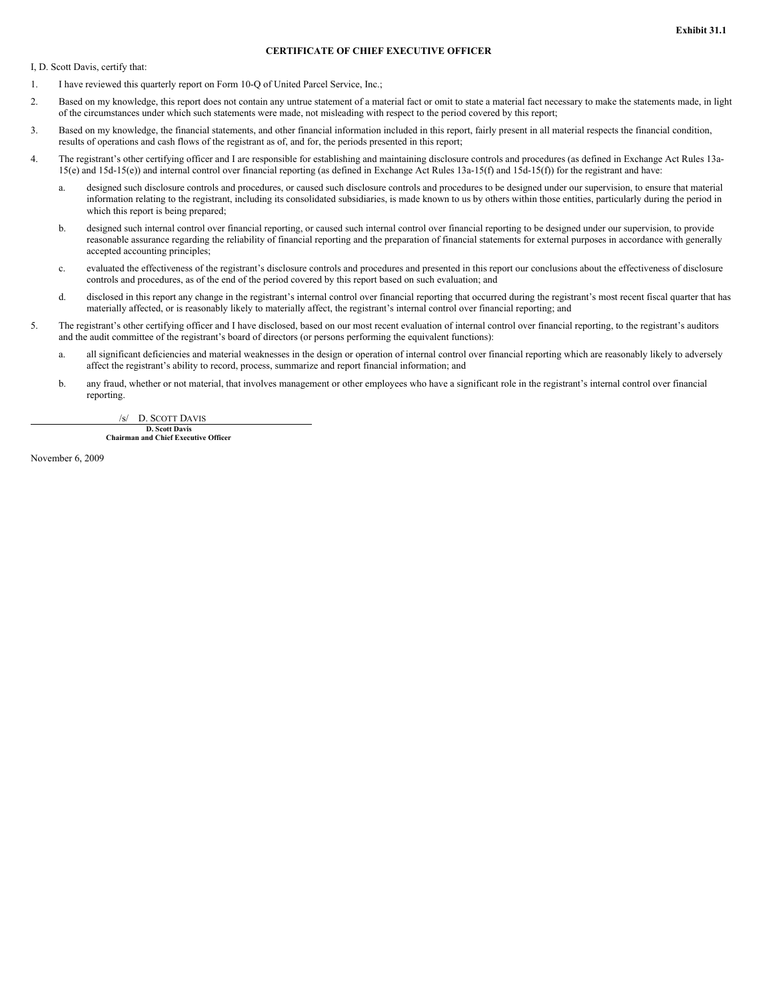## **CERTIFICATE OF CHIEF EXECUTIVE OFFICER**

I, D. Scott Davis, certify that:

- 1. I have reviewed this quarterly report on Form 10-Q of United Parcel Service, Inc.;
- 2. Based on my knowledge, this report does not contain any untrue statement of a material fact or omit to state a material fact necessary to make the statements made, in light of the circumstances under which such statements were made, not misleading with respect to the period covered by this report;
- 3. Based on my knowledge, the financial statements, and other financial information included in this report, fairly present in all material respects the financial condition, results of operations and cash flows of the registrant as of, and for, the periods presented in this report;
- 4. The registrant's other certifying officer and I are responsible for establishing and maintaining disclosure controls and procedures (as defined in Exchange Act Rules 13a-15(e) and 15d-15(e)) and internal control over financial reporting (as defined in Exchange Act Rules 13a-15(f) and 15d-15(f)) for the registrant and have:
	- a. designed such disclosure controls and procedures, or caused such disclosure controls and procedures to be designed under our supervision, to ensure that material information relating to the registrant, including its consolidated subsidiaries, is made known to us by others within those entities, particularly during the period in which this report is being prepared;
	- b. designed such internal control over financial reporting, or caused such internal control over financial reporting to be designed under our supervision, to provide reasonable assurance regarding the reliability of financial reporting and the preparation of financial statements for external purposes in accordance with generally accepted accounting principles:
	- c. evaluated the effectiveness of the registrant's disclosure controls and procedures and presented in this report our conclusions about the effectiveness of disclosure controls and procedures, as of the end of the period covered by this report based on such evaluation; and
	- d. disclosed in this report any change in the registrant's internal control over financial reporting that occurred during the registrant's most recent fiscal quarter that has materially affected, or is reasonably likely to materially affect, the registrant's internal control over financial reporting; and
- 5. The registrant's other certifying officer and I have disclosed, based on our most recent evaluation of internal control over financial reporting, to the registrant's auditors and the audit committee of the registrant's board of directors (or persons performing the equivalent functions):
	- a. all significant deficiencies and material weaknesses in the design or operation of internal control over financial reporting which are reasonably likely to adversely affect the registrant's ability to record, process, summarize and report financial information; and
	- b. any fraud, whether or not material, that involves management or other employees who have a significant role in the registrant's internal control over financial reporting.

/s/ D. SCOTT DAVIS **D. Scott Davis**

**Chairman and Chief Executive Officer**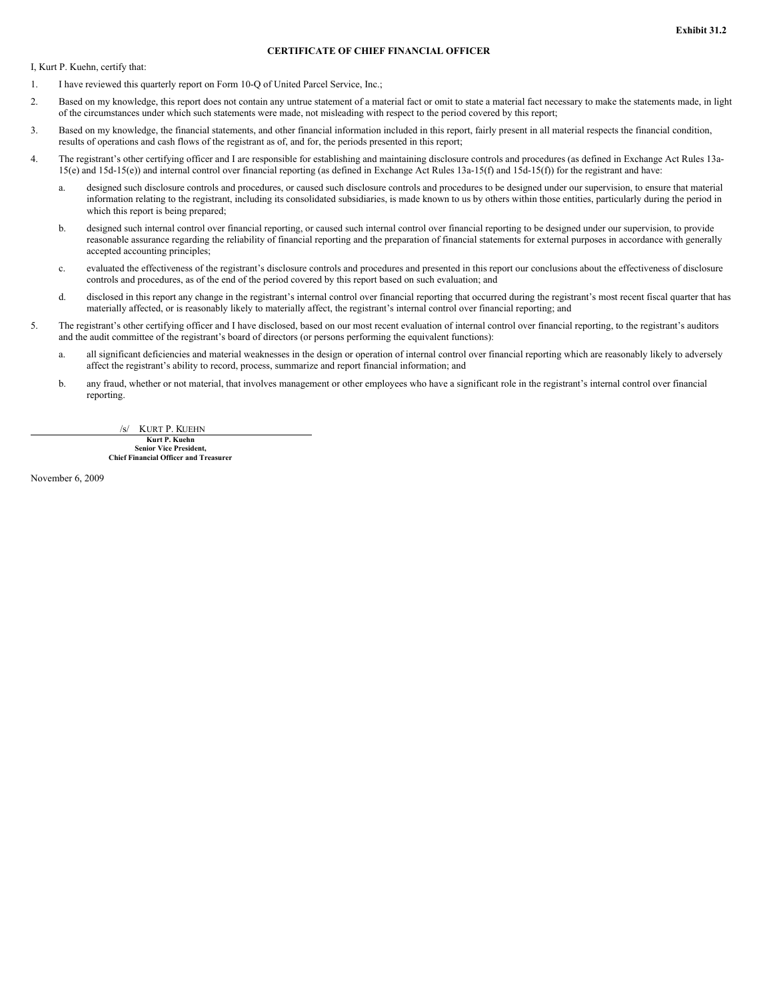## **CERTIFICATE OF CHIEF FINANCIAL OFFICER**

I, Kurt P. Kuehn, certify that:

- 1. I have reviewed this quarterly report on Form 10-Q of United Parcel Service, Inc.;
- 2. Based on my knowledge, this report does not contain any untrue statement of a material fact or omit to state a material fact necessary to make the statements made, in light of the circumstances under which such statements were made, not misleading with respect to the period covered by this report;
- 3. Based on my knowledge, the financial statements, and other financial information included in this report, fairly present in all material respects the financial condition, results of operations and cash flows of the registrant as of, and for, the periods presented in this report;
- 4. The registrant's other certifying officer and I are responsible for establishing and maintaining disclosure controls and procedures (as defined in Exchange Act Rules 13a-15(e) and 15d-15(e)) and internal control over financial reporting (as defined in Exchange Act Rules 13a-15(f) and 15d-15(f)) for the registrant and have:
	- a. designed such disclosure controls and procedures, or caused such disclosure controls and procedures to be designed under our supervision, to ensure that material information relating to the registrant, including its consolidated subsidiaries, is made known to us by others within those entities, particularly during the period in which this report is being prepared;
	- b. designed such internal control over financial reporting, or caused such internal control over financial reporting to be designed under our supervision, to provide reasonable assurance regarding the reliability of financial reporting and the preparation of financial statements for external purposes in accordance with generally accepted accounting principles;
	- c. evaluated the effectiveness of the registrant's disclosure controls and procedures and presented in this report our conclusions about the effectiveness of disclosure controls and procedures, as of the end of the period covered by this report based on such evaluation; and
	- d. disclosed in this report any change in the registrant's internal control over financial reporting that occurred during the registrant's most recent fiscal quarter that has materially affected, or is reasonably likely to materially affect, the registrant's internal control over financial reporting; and
- 5. The registrant's other certifying officer and I have disclosed, based on our most recent evaluation of internal control over financial reporting, to the registrant's auditors and the audit committee of the registrant's board of directors (or persons performing the equivalent functions):
	- a. all significant deficiencies and material weaknesses in the design or operation of internal control over financial reporting which are reasonably likely to adversely affect the registrant's ability to record, process, summarize and report financial information; and
	- b. any fraud, whether or not material, that involves management or other employees who have a significant role in the registrant's internal control over financial reporting.

/s/ KURT P. KUEHN

**Kurt P. Kuehn Senior Vice President, Chief Financial Officer and Treasurer**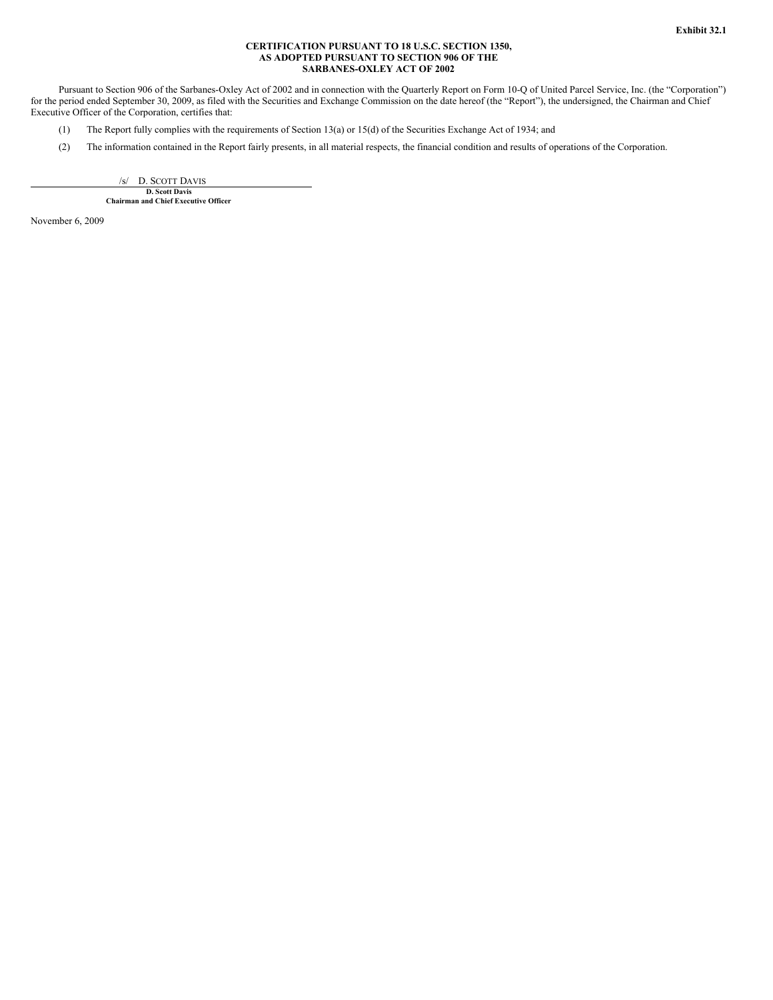### **CERTIFICATION PURSUANT TO 18 U.S.C. SECTION 1350, AS ADOPTED PURSUANT TO SECTION 906 OF THE SARBANES-OXLEY ACT OF 2002**

Pursuant to Section 906 of the Sarbanes-Oxley Act of 2002 and in connection with the Quarterly Report on Form 10-Q of United Parcel Service, Inc. (the "Corporation") for the period ended September 30, 2009, as filed with the Securities and Exchange Commission on the date hereof (the "Report"), the undersigned, the Chairman and Chief Executive Officer of the Corporation, certifies that:

- (1) The Report fully complies with the requirements of Section 13(a) or 15(d) of the Securities Exchange Act of 1934; and
- (2) The information contained in the Report fairly presents, in all material respects, the financial condition and results of operations of the Corporation.

/s/ D. SCOTT DAVIS **D. Scott Davis Chairman and Chief Executive Officer**